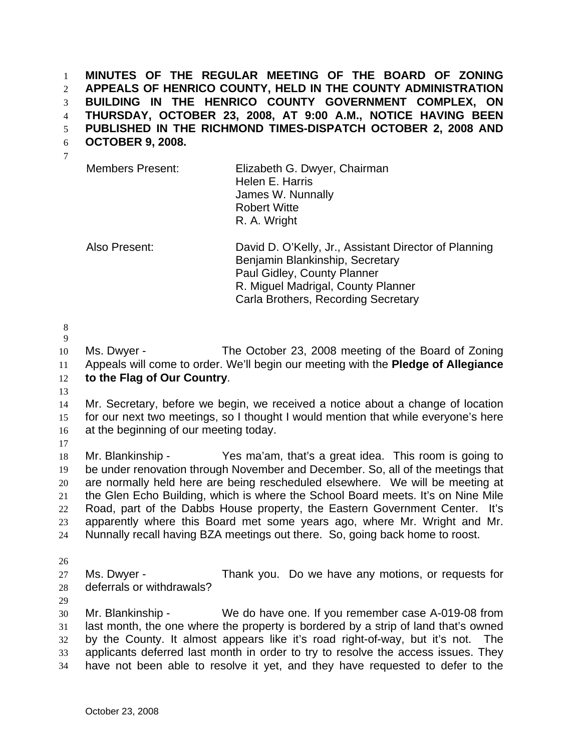**MINUTES OF THE REGULAR MEETING OF THE BOARD OF ZONING APPEALS OF HENRICO COUNTY, HELD IN THE COUNTY ADMINISTRATION BUILDING IN THE HENRICO COUNTY GOVERNMENT COMPLEX, ON THURSDAY, OCTOBER 23, 2008, AT 9:00 A.M., NOTICE HAVING BEEN PUBLISHED IN THE RICHMOND TIMES-DISPATCH OCTOBER 2, 2008 AND**  1 2 3 4 5

- **OCTOBER 9, 2008.**  6
	- Members Present: Elizabeth G. Dwyer, Chairman Helen E. Harris James W. Nunnally Robert Witte R. A. Wright

Also Present: David D. O'Kelly, Jr., Assistant Director of Planning Benjamin Blankinship, Secretary Paul Gidley, County Planner R. Miguel Madrigal, County Planner Carla Brothers, Recording Secretary

8 9

7

10 11 12 Ms. Dwyer - The October 23, 2008 meeting of the Board of Zoning Appeals will come to order. We'll begin our meeting with the **Pledge of Allegiance to the Flag of Our Country**.

13

14 15 16 Mr. Secretary, before we begin, we received a notice about a change of location for our next two meetings, so I thought I would mention that while everyone's here at the beginning of our meeting today.

17

18 19 20 21 22 23 24 Mr. Blankinship - Yes ma'am, that's a great idea. This room is going to be under renovation through November and December. So, all of the meetings that are normally held here are being rescheduled elsewhere. We will be meeting at the Glen Echo Building, which is where the School Board meets. It's on Nine Mile Road, part of the Dabbs House property, the Eastern Government Center. It's apparently where this Board met some years ago, where Mr. Wright and Mr. Nunnally recall having BZA meetings out there. So, going back home to roost.

26

27 28 Ms. Dwyer - Thank you. Do we have any motions, or requests for deferrals or withdrawals?

29

30 31 32 33 34 Mr. Blankinship - We do have one. If you remember case A-019-08 from last month, the one where the property is bordered by a strip of land that's owned by the County. It almost appears like it's road right-of-way, but it's not. The applicants deferred last month in order to try to resolve the access issues. They have not been able to resolve it yet, and they have requested to defer to the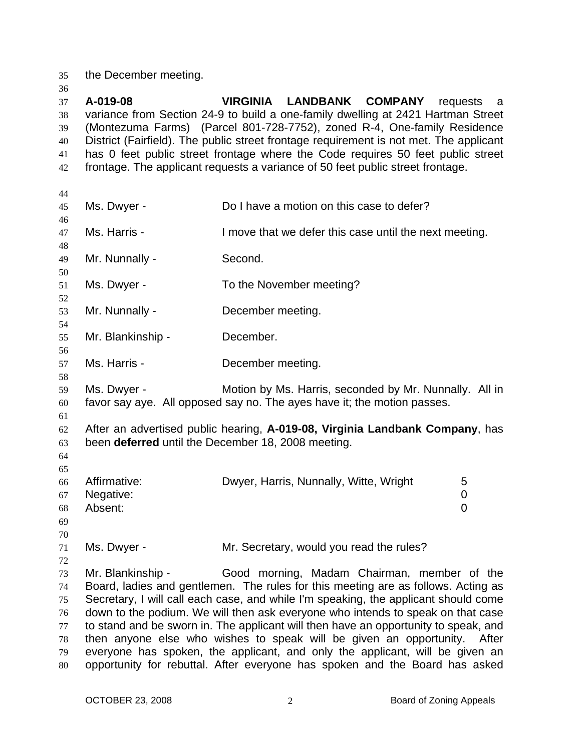35 the December meeting.

| 36       |                   |                                                                                                                                                                        |                 |
|----------|-------------------|------------------------------------------------------------------------------------------------------------------------------------------------------------------------|-----------------|
| 37       | A-019-08          | VIRGINIA LANDBANK COMPANY                                                                                                                                              | requests<br>- a |
| 38       |                   | variance from Section 24-9 to build a one-family dwelling at 2421 Hartman Street                                                                                       |                 |
| 39       |                   | (Montezuma Farms) (Parcel 801-728-7752), zoned R-4, One-family Residence                                                                                               |                 |
| 40       |                   | District (Fairfield). The public street frontage requirement is not met. The applicant                                                                                 |                 |
| 41       |                   | has 0 feet public street frontage where the Code requires 50 feet public street                                                                                        |                 |
| 42       |                   | frontage. The applicant requests a variance of 50 feet public street frontage.                                                                                         |                 |
| 44       |                   |                                                                                                                                                                        |                 |
| 45       | Ms. Dwyer -       | Do I have a motion on this case to defer?                                                                                                                              |                 |
| 46       |                   |                                                                                                                                                                        |                 |
| 47       | Ms. Harris -      | I move that we defer this case until the next meeting.                                                                                                                 |                 |
| 48       |                   |                                                                                                                                                                        |                 |
| 49       | Mr. Nunnally -    | Second.                                                                                                                                                                |                 |
| 50       |                   |                                                                                                                                                                        |                 |
| 51       | Ms. Dwyer -       | To the November meeting?                                                                                                                                               |                 |
| 52       |                   |                                                                                                                                                                        |                 |
| 53       | Mr. Nunnally -    | December meeting.                                                                                                                                                      |                 |
| 54       |                   |                                                                                                                                                                        |                 |
| 55       | Mr. Blankinship - | December.                                                                                                                                                              |                 |
| 56<br>57 | Ms. Harris -      | December meeting.                                                                                                                                                      |                 |
| 58       |                   |                                                                                                                                                                        |                 |
| 59       | Ms. Dwyer -       | Motion by Ms. Harris, seconded by Mr. Nunnally. All in                                                                                                                 |                 |
| 60       |                   | favor say aye. All opposed say no. The ayes have it; the motion passes.                                                                                                |                 |
| 61       |                   |                                                                                                                                                                        |                 |
| 62       |                   | After an advertised public hearing, A-019-08, Virginia Landbank Company, has                                                                                           |                 |
| 63       |                   | been deferred until the December 18, 2008 meeting.                                                                                                                     |                 |
| 64       |                   |                                                                                                                                                                        |                 |
| 65       |                   |                                                                                                                                                                        |                 |
| 66       | Affirmative:      | Dwyer, Harris, Nunnally, Witte, Wright                                                                                                                                 | 5               |
| 67       | Negative:         |                                                                                                                                                                        | 0               |
| 68       | Absent:           |                                                                                                                                                                        | 0               |
| 69       |                   |                                                                                                                                                                        |                 |
| 70       |                   |                                                                                                                                                                        |                 |
| 71       | Ms. Dwyer -       | Mr. Secretary, would you read the rules?                                                                                                                               |                 |
| 72       |                   |                                                                                                                                                                        |                 |
| 73       | Mr. Blankinship - | Good morning, Madam Chairman, member of the                                                                                                                            |                 |
| 74       |                   | Board, ladies and gentlemen. The rules for this meeting are as follows. Acting as                                                                                      |                 |
| 75       |                   | Secretary, I will call each case, and while I'm speaking, the applicant should come                                                                                    |                 |
| 76<br>77 |                   | down to the podium. We will then ask everyone who intends to speak on that case<br>to stand and be sworn in. The applicant will then have an opportunity to speak, and |                 |
| 78       |                   | then anyone else who wishes to speak will be given an opportunity. After                                                                                               |                 |
| 79       |                   | everyone has spoken, the applicant, and only the applicant, will be given an                                                                                           |                 |
| $80\,$   |                   | opportunity for rebuttal. After everyone has spoken and the Board has asked                                                                                            |                 |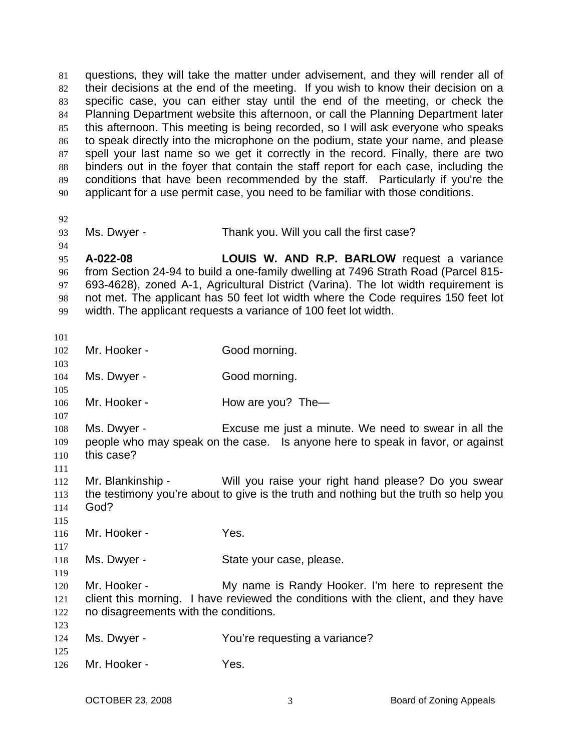| 81 | questions, they will take the matter under advisement, and they will render all of  |
|----|-------------------------------------------------------------------------------------|
| 82 | their decisions at the end of the meeting. If you wish to know their decision on a  |
| 83 | specific case, you can either stay until the end of the meeting, or check the       |
| 84 | Planning Department website this afternoon, or call the Planning Department later   |
| 85 | this afternoon. This meeting is being recorded, so I will ask everyone who speaks   |
| 86 | to speak directly into the microphone on the podium, state your name, and please    |
| 87 | spell your last name so we get it correctly in the record. Finally, there are two   |
| 88 | binders out in the foyer that contain the staff report for each case, including the |
| 89 | conditions that have been recommended by the staff. Particularly if you're the      |
| 90 | applicant for a use permit case, you need to be familiar with those conditions.     |
|    |                                                                                     |

92

94

93

Ms. Dwyer - Thank you. Will you call the first case?

95 96 97 98 99 **A-022-08 LOUIS W. AND R.P. BARLOW** request a variance from Section 24-94 to build a one-family dwelling at 7496 Strath Road (Parcel 815- 693-4628), zoned A-1, Agricultural District (Varina). The lot width requirement is not met. The applicant has 50 feet lot width where the Code requires 150 feet lot width. The applicant requests a variance of 100 feet lot width.

| 101        |                                       |                                                                                                                                        |
|------------|---------------------------------------|----------------------------------------------------------------------------------------------------------------------------------------|
| 102        | Mr. Hooker -                          | Good morning.                                                                                                                          |
| 103<br>104 | Ms. Dwyer -                           | Good morning.                                                                                                                          |
| 105        |                                       |                                                                                                                                        |
| 106<br>107 | Mr. Hooker -                          | How are you? The-                                                                                                                      |
| 108<br>109 | Ms. Dwyer -                           | Excuse me just a minute. We need to swear in all the<br>people who may speak on the case. Is anyone here to speak in favor, or against |
| 110        | this case?                            |                                                                                                                                        |
| 111<br>112 | Mr. Blankinship -                     | Will you raise your right hand please? Do you swear                                                                                    |
| 113        |                                       | the testimony you're about to give is the truth and nothing but the truth so help you                                                  |
| 114<br>115 | God?                                  |                                                                                                                                        |
| 116        | Mr. Hooker -                          | Yes.                                                                                                                                   |
| 117<br>118 | Ms. Dwyer -                           | State your case, please.                                                                                                               |
| 119        |                                       |                                                                                                                                        |
| 120<br>121 | Mr. Hooker -                          | My name is Randy Hooker. I'm here to represent the                                                                                     |
| 122        | no disagreements with the conditions. | client this morning. I have reviewed the conditions with the client, and they have                                                     |
| 123        |                                       |                                                                                                                                        |
| 124        | Ms. Dwyer -                           | You're requesting a variance?                                                                                                          |
| 125        |                                       |                                                                                                                                        |
| 126        | Mr. Hooker -                          | Yes.                                                                                                                                   |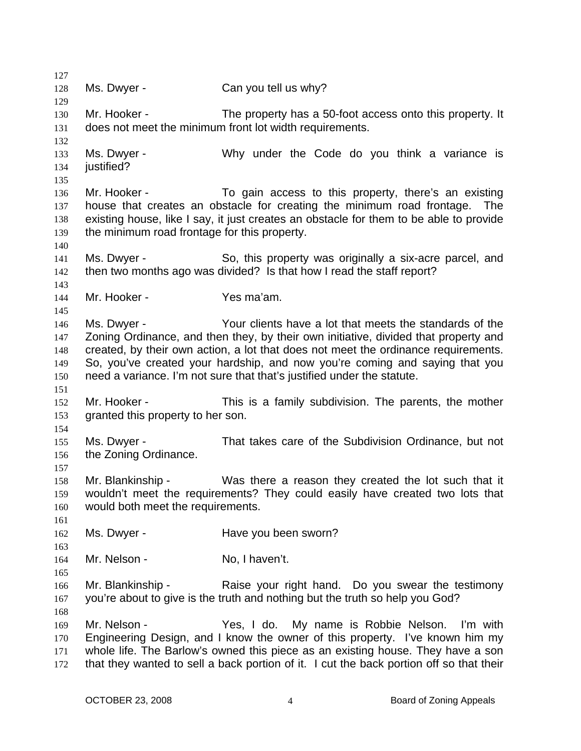127 128 129 130 131 132 133 134 135 136 137 138 139 140 141 142 143 144 145 146 147 148 149 150 151 152 153 154 155 156 157 158 159 160 161 162 163 164 165 166 167 168 169 170 171 172 Ms. Dwyer - Can you tell us why? Mr. Hooker - The property has a 50-foot access onto this property. It does not meet the minimum front lot width requirements. Ms. Dwyer - Why under the Code do you think a variance is justified? Mr. Hooker - To gain access to this property, there's an existing house that creates an obstacle for creating the minimum road frontage. The existing house, like I say, it just creates an obstacle for them to be able to provide the minimum road frontage for this property. Ms. Dwyer - So, this property was originally a six-acre parcel, and then two months ago was divided? Is that how I read the staff report? Mr. Hooker - Yes ma'am. Ms. Dwyer - Your clients have a lot that meets the standards of the Zoning Ordinance, and then they, by their own initiative, divided that property and created, by their own action, a lot that does not meet the ordinance requirements. So, you've created your hardship, and now you're coming and saying that you need a variance. I'm not sure that that's justified under the statute. Mr. Hooker - This is a family subdivision. The parents, the mother granted this property to her son. Ms. Dwyer - That takes care of the Subdivision Ordinance, but not the Zoning Ordinance. Mr. Blankinship - Was there a reason they created the lot such that it wouldn't meet the requirements? They could easily have created two lots that would both meet the requirements. Ms. Dwyer - **Have you been sworn?** Mr. Nelson - No, I haven't. Mr. Blankinship - The Raise your right hand. Do you swear the testimony you're about to give is the truth and nothing but the truth so help you God? Mr. Nelson - Yes, I do. My name is Robbie Nelson. I'm with Engineering Design, and I know the owner of this property. I've known him my whole life. The Barlow's owned this piece as an existing house. They have a son that they wanted to sell a back portion of it. I cut the back portion off so that their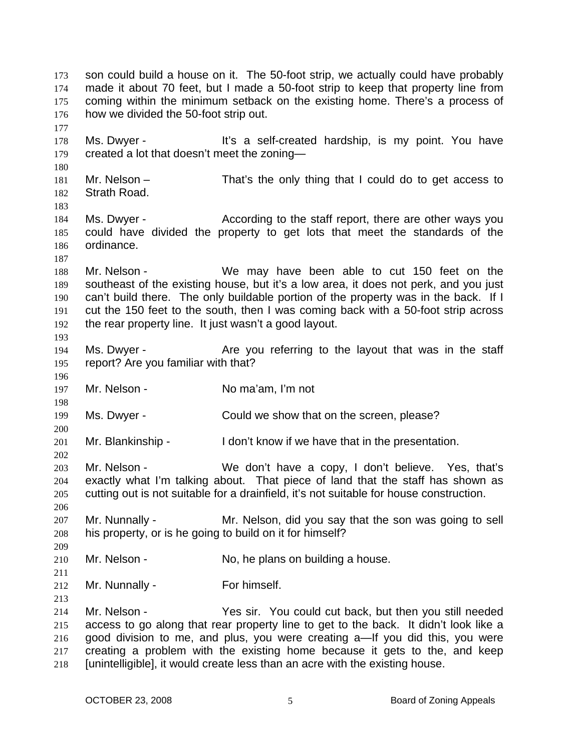son could build a house on it. The 50-foot strip, we actually could have probably made it about 70 feet, but I made a 50-foot strip to keep that property line from coming within the minimum setback on the existing home. There's a process of how we divided the 50-foot strip out. 173 174 175 176 177 178 179 180 181 182 183 184 185 186 187 188 189 190 191 192 193 194 195 196 197 198 199 200 201 202 203 204 205 206 207 208 209 210 211 212 213 214 215 216 217 218 Ms. Dwyer - The Music of the self-created hardship, is my point. You have created a lot that doesn't meet the zoning— Mr. Nelson – That's the only thing that I could do to get access to Strath Road. Ms. Dwyer - According to the staff report, there are other ways you could have divided the property to get lots that meet the standards of the ordinance. Mr. Nelson - We may have been able to cut 150 feet on the southeast of the existing house, but it's a low area, it does not perk, and you just can't build there. The only buildable portion of the property was in the back. If I cut the 150 feet to the south, then I was coming back with a 50-foot strip across the rear property line. It just wasn't a good layout. Ms. Dwyer - The Staff Courreferring to the layout that was in the staff report? Are you familiar with that? Mr. Nelson - No ma'am, I'm not Ms. Dwyer - Could we show that on the screen, please? Mr. Blankinship - I don't know if we have that in the presentation. Mr. Nelson - We don't have a copy, I don't believe. Yes, that's exactly what I'm talking about. That piece of land that the staff has shown as cutting out is not suitable for a drainfield, it's not suitable for house construction. Mr. Nunnally - Mr. Nelson, did you say that the son was going to sell his property, or is he going to build on it for himself? Mr. Nelson - No, he plans on building a house. Mr. Nunnally - For himself. Mr. Nelson - Yes sir. You could cut back, but then you still needed access to go along that rear property line to get to the back. It didn't look like a good division to me, and plus, you were creating a—If you did this, you were creating a problem with the existing home because it gets to the, and keep [unintelligible], it would create less than an acre with the existing house.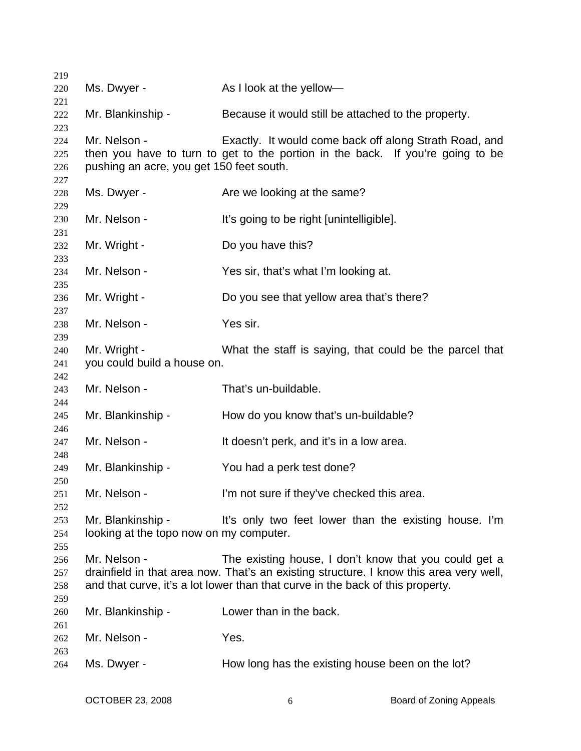| 219        |                                          |                                                                                        |
|------------|------------------------------------------|----------------------------------------------------------------------------------------|
| 220        | Ms. Dwyer -                              | As I look at the yellow-                                                               |
| 221        |                                          |                                                                                        |
| 222        | Mr. Blankinship -                        | Because it would still be attached to the property.                                    |
| 223        |                                          |                                                                                        |
| 224        | Mr. Nelson -                             | Exactly. It would come back off along Strath Road, and                                 |
| 225        |                                          | then you have to turn to get to the portion in the back. If you're going to be         |
| 226        | pushing an acre, you get 150 feet south. |                                                                                        |
| 227        |                                          |                                                                                        |
| 228<br>229 | Ms. Dwyer -                              | Are we looking at the same?                                                            |
| 230        | Mr. Nelson -                             | It's going to be right [unintelligible].                                               |
| 231        |                                          |                                                                                        |
| 232        | Mr. Wright -                             | Do you have this?                                                                      |
| 233        |                                          |                                                                                        |
| 234        | Mr. Nelson -                             | Yes sir, that's what I'm looking at.                                                   |
| 235        |                                          |                                                                                        |
| 236        | Mr. Wright -                             | Do you see that yellow area that's there?                                              |
| 237        |                                          |                                                                                        |
| 238        | Mr. Nelson -                             | Yes sir.                                                                               |
| 239        |                                          |                                                                                        |
| 240        | Mr. Wright -                             | What the staff is saying, that could be the parcel that                                |
| 241        | you could build a house on.              |                                                                                        |
| 242        |                                          |                                                                                        |
| 243        | Mr. Nelson -                             | That's un-buildable.                                                                   |
| 244<br>245 | Mr. Blankinship -                        | How do you know that's un-buildable?                                                   |
| 246        |                                          |                                                                                        |
| 247        | Mr. Nelson -                             | It doesn't perk, and it's in a low area.                                               |
| 248        |                                          |                                                                                        |
| 249        | Mr. Blankinship -                        | You had a perk test done?                                                              |
| 250        |                                          |                                                                                        |
| 251        | Mr. Nelson -                             | I'm not sure if they've checked this area.                                             |
| 252        |                                          |                                                                                        |
| 253        | Mr. Blankinship -                        | It's only two feet lower than the existing house. I'm                                  |
| 254        | looking at the topo now on my computer.  |                                                                                        |
| 255        |                                          |                                                                                        |
| 256        | Mr. Nelson -                             | The existing house, I don't know that you could get a                                  |
| 257        |                                          | drainfield in that area now. That's an existing structure. I know this area very well, |
| 258        |                                          | and that curve, it's a lot lower than that curve in the back of this property.         |
| 259        |                                          |                                                                                        |
| 260        | Mr. Blankinship -                        | Lower than in the back.                                                                |
| 261<br>262 | Mr. Nelson -                             | Yes.                                                                                   |
| 263        |                                          |                                                                                        |
| 264        | Ms. Dwyer -                              | How long has the existing house been on the lot?                                       |
|            |                                          |                                                                                        |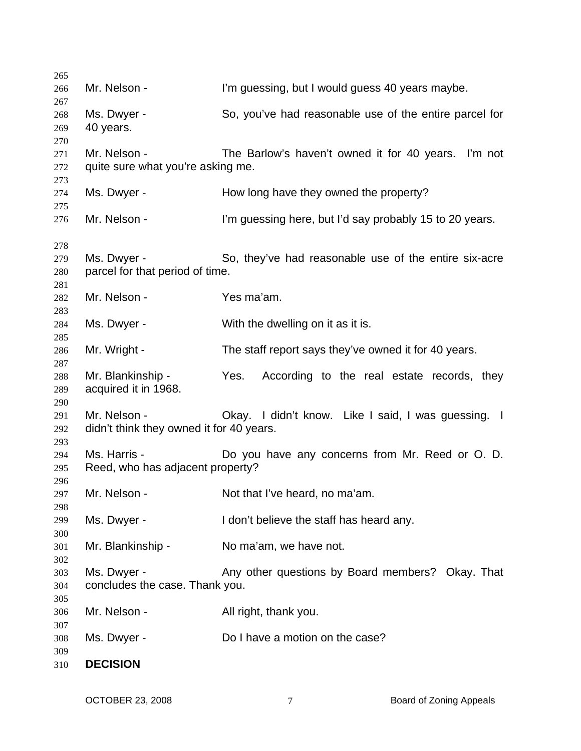| 265        |                                          |                                                         |
|------------|------------------------------------------|---------------------------------------------------------|
| 266        | Mr. Nelson -                             | I'm guessing, but I would guess 40 years maybe.         |
| 267        |                                          |                                                         |
| 268        | Ms. Dwyer -                              | So, you've had reasonable use of the entire parcel for  |
| 269        | 40 years.                                |                                                         |
| 270        |                                          |                                                         |
| 271        | Mr. Nelson -                             | The Barlow's haven't owned it for 40 years. I'm not     |
| 272        | quite sure what you're asking me.        |                                                         |
| 273        |                                          |                                                         |
| 274        | Ms. Dwyer -                              | How long have they owned the property?                  |
| 275        |                                          |                                                         |
| 276        | Mr. Nelson -                             | I'm guessing here, but I'd say probably 15 to 20 years. |
|            |                                          |                                                         |
| 278<br>279 | Ms. Dwyer -                              | So, they've had reasonable use of the entire six-acre   |
| 280        | parcel for that period of time.          |                                                         |
| 281        |                                          |                                                         |
| 282        | Mr. Nelson -                             | Yes ma'am.                                              |
| 283        |                                          |                                                         |
| 284        | Ms. Dwyer -                              | With the dwelling on it as it is.                       |
| 285        |                                          |                                                         |
| 286        | Mr. Wright -                             | The staff report says they've owned it for 40 years.    |
| 287        |                                          |                                                         |
| 288        | Mr. Blankinship -                        | Yes.<br>According to the real estate records, they      |
| 289        | acquired it in 1968.                     |                                                         |
| 290        |                                          |                                                         |
| 291        | Mr. Nelson -                             | Okay. I didn't know. Like I said, I was guessing. I     |
| 292        | didn't think they owned it for 40 years. |                                                         |
| 293        |                                          |                                                         |
| 294        | Ms. Harris -                             | Do you have any concerns from Mr. Reed or O. D.         |
| 295        | Reed, who has adjacent property?         |                                                         |
| 296        |                                          |                                                         |
| 297        | Mr. Nelson -                             | Not that I've heard, no ma'am.                          |
| 298        |                                          |                                                         |
| 299        | Ms. Dwyer -                              | I don't believe the staff has heard any.                |
| 300        |                                          |                                                         |
| 301        | Mr. Blankinship -                        | No ma'am, we have not.                                  |
| 302        |                                          |                                                         |
| 303        | Ms. Dwyer -                              | Any other questions by Board members? Okay. That        |
| 304        | concludes the case. Thank you.           |                                                         |
| 305        |                                          |                                                         |
| 306        | Mr. Nelson -                             | All right, thank you.                                   |
| 307        |                                          |                                                         |
| 308        | Ms. Dwyer -                              | Do I have a motion on the case?                         |
| 309        |                                          |                                                         |
| 310        | <b>DECISION</b>                          |                                                         |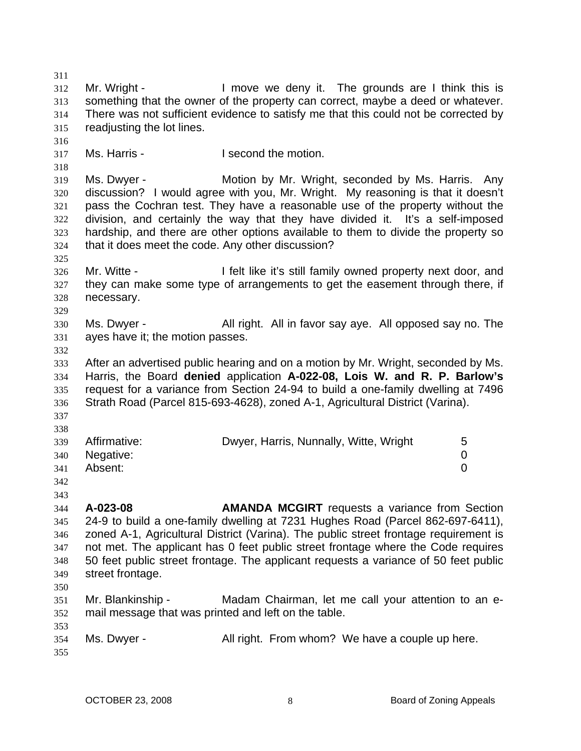311 312 313 314 315 316 317 318 319 320 321 322 323 324 325 326 327 328 329 330 331 332 333 334 335 336 337 338 339 340 341 342 343 344 345 346 347 348 349 350 351 352 353 354 355 Mr. Wright - I move we deny it. The grounds are I think this is something that the owner of the property can correct, maybe a deed or whatever. There was not sufficient evidence to satisfy me that this could not be corrected by readjusting the lot lines. Ms. Harris - The Music Head of the motion. Ms. Dwyer - **Motion by Mr. Wright, seconded by Ms. Harris.** Any discussion? I would agree with you, Mr. Wright. My reasoning is that it doesn't pass the Cochran test. They have a reasonable use of the property without the division, and certainly the way that they have divided it. It's a self-imposed hardship, and there are other options available to them to divide the property so that it does meet the code. Any other discussion? Mr. Witte - The I felt like it's still family owned property next door, and they can make some type of arrangements to get the easement through there, if necessary. Ms. Dwyer - **All right.** All in favor say aye. All opposed say no. The ayes have it; the motion passes. After an advertised public hearing and on a motion by Mr. Wright, seconded by Ms. Harris, the Board **denied** application **A-022-08, Lois W. and R. P. Barlow's** request for a variance from Section 24-94 to build a one-family dwelling at 7496 Strath Road (Parcel 815-693-4628), zoned A-1, Agricultural District (Varina). Affirmative: **Dwyer, Harris, Nunnally, Witte, Wright** 5 Negative: 0 Absent: 0 **A-023-08 AMANDA MCGIRT** requests a variance from Section 24-9 to build a one-family dwelling at 7231 Hughes Road (Parcel 862-697-6411), zoned A-1, Agricultural District (Varina). The public street frontage requirement is not met. The applicant has 0 feet public street frontage where the Code requires 50 feet public street frontage. The applicant requests a variance of 50 feet public street frontage. Mr. Blankinship - Madam Chairman, let me call your attention to an email message that was printed and left on the table. Ms. Dwyer - **All right.** From whom? We have a couple up here.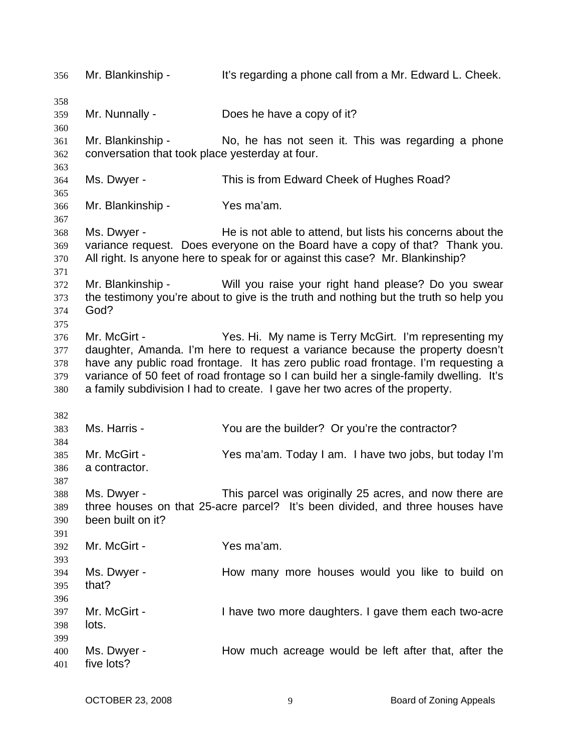356 Mr. Blankinship - It's regarding a phone call from a Mr. Edward L. Cheek. 358 359 360 361 362 363 364 365 366 367 368 369 370 371 372 373 374 375 376 377 378 379 380 382 383 384 385 386 387 388 389 390 391 392 393 394 395 396 397 398 399 400 401 Mr. Nunnally - Does he have a copy of it? Mr. Blankinship - No, he has not seen it. This was regarding a phone conversation that took place yesterday at four. Ms. Dwyer - This is from Edward Cheek of Hughes Road? Mr. Blankinship - Yes ma'am. Ms. Dwyer - He is not able to attend, but lists his concerns about the variance request. Does everyone on the Board have a copy of that? Thank you. All right. Is anyone here to speak for or against this case? Mr. Blankinship? Mr. Blankinship - Will you raise your right hand please? Do you swear the testimony you're about to give is the truth and nothing but the truth so help you God? Mr. McGirt - Yes. Hi. My name is Terry McGirt. I'm representing my daughter, Amanda. I'm here to request a variance because the property doesn't have any public road frontage. It has zero public road frontage. I'm requesting a variance of 50 feet of road frontage so I can build her a single-family dwelling. It's a family subdivision I had to create. I gave her two acres of the property. Ms. Harris - The You are the builder? Or you're the contractor? Mr. McGirt - Yes ma'am. Today I am. I have two jobs, but today I'm a contractor. Ms. Dwyer - This parcel was originally 25 acres, and now there are three houses on that 25-acre parcel? It's been divided, and three houses have been built on it? Mr. McGirt - Yes ma'am. Ms. Dwyer - The How many more houses would you like to build on that? Mr. McGirt - I have two more daughters. I gave them each two-acre lots. Ms. Dwyer - The How much acreage would be left after that, after the five lots?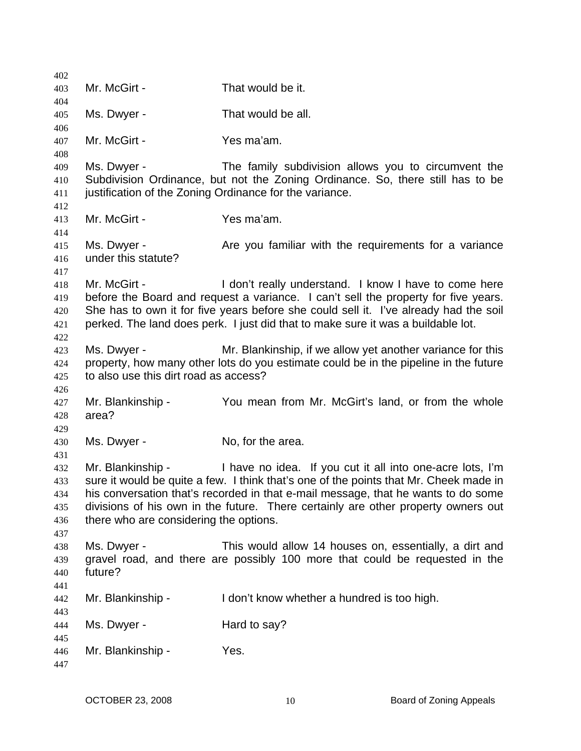| 402        |                                        |                                                                                       |
|------------|----------------------------------------|---------------------------------------------------------------------------------------|
| 403        | Mr. McGirt -                           | That would be it.                                                                     |
| 404        |                                        |                                                                                       |
| 405        | Ms. Dwyer -                            | That would be all.                                                                    |
| 406<br>407 | Mr. McGirt -                           | Yes ma'am.                                                                            |
| 408        |                                        |                                                                                       |
| 409        | Ms. Dwyer -                            | The family subdivision allows you to circumvent the                                   |
| 410        |                                        | Subdivision Ordinance, but not the Zoning Ordinance. So, there still has to be        |
| 411        |                                        | justification of the Zoning Ordinance for the variance.                               |
| 412        |                                        |                                                                                       |
| 413        | Mr. McGirt -                           | Yes ma'am.                                                                            |
| 414        |                                        |                                                                                       |
| 415        | Ms. Dwyer -                            | Are you familiar with the requirements for a variance                                 |
| 416        | under this statute?                    |                                                                                       |
| 417<br>418 | Mr. McGirt -                           | I don't really understand. I know I have to come here                                 |
| 419        |                                        | before the Board and request a variance. I can't sell the property for five years.    |
| 420        |                                        | She has to own it for five years before she could sell it. I've already had the soil  |
| 421        |                                        | perked. The land does perk. I just did that to make sure it was a buildable lot.      |
| 422        |                                        |                                                                                       |
| 423        | Ms. Dwyer -                            | Mr. Blankinship, if we allow yet another variance for this                            |
| 424        |                                        | property, how many other lots do you estimate could be in the pipeline in the future  |
| 425        | to also use this dirt road as access?  |                                                                                       |
| 426        |                                        |                                                                                       |
| 427        | Mr. Blankinship -                      | You mean from Mr. McGirt's land, or from the whole                                    |
| 428        | area?                                  |                                                                                       |
| 429<br>430 | Ms. Dwyer -                            | No, for the area.                                                                     |
| 431        |                                        |                                                                                       |
| 432        | Mr. Blankinship -                      | I have no idea. If you cut it all into one-acre lots, I'm                             |
| 433        |                                        | sure it would be quite a few. I think that's one of the points that Mr. Cheek made in |
| 434        |                                        | his conversation that's recorded in that e-mail message, that he wants to do some     |
| 435        |                                        | divisions of his own in the future. There certainly are other property owners out     |
| 436        | there who are considering the options. |                                                                                       |
| 437        |                                        |                                                                                       |
| 438        | Ms. Dwyer -                            | This would allow 14 houses on, essentially, a dirt and                                |
| 439        |                                        | gravel road, and there are possibly 100 more that could be requested in the           |
| 440        | future?                                |                                                                                       |
| 441        |                                        |                                                                                       |
| 442        | Mr. Blankinship -                      | I don't know whether a hundred is too high.                                           |
| 443<br>444 | Ms. Dwyer -                            | Hard to say?                                                                          |
| 445        |                                        |                                                                                       |
| 446        | Mr. Blankinship -                      | Yes.                                                                                  |
| 447        |                                        |                                                                                       |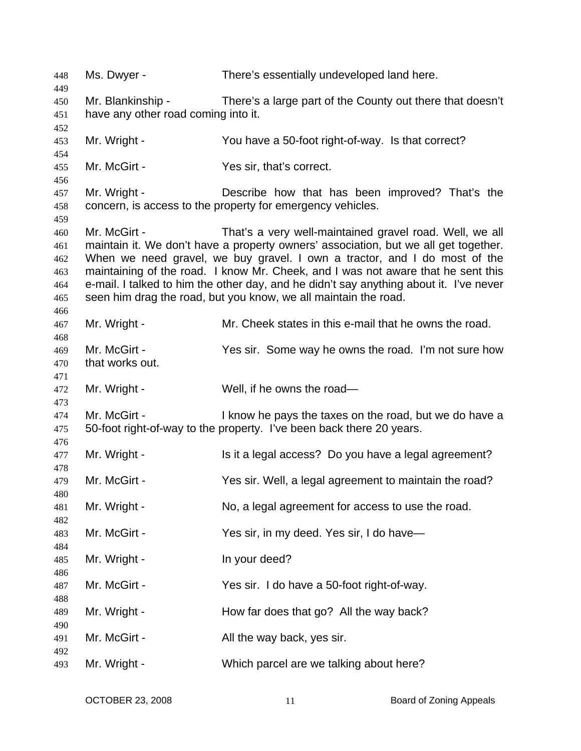| 448        | Ms. Dwyer -                         | There's essentially undeveloped land here.                                             |
|------------|-------------------------------------|----------------------------------------------------------------------------------------|
| 449        | Mr. Blankinship -                   | There's a large part of the County out there that doesn't                              |
| 450<br>451 | have any other road coming into it. |                                                                                        |
| 452        |                                     |                                                                                        |
| 453        | Mr. Wright -                        | You have a 50-foot right-of-way. Is that correct?                                      |
| 454        |                                     |                                                                                        |
| 455        | Mr. McGirt -                        | Yes sir, that's correct.                                                               |
| 456        |                                     |                                                                                        |
| 457        | Mr. Wright -                        | Describe how that has been improved? That's the                                        |
| 458        |                                     | concern, is access to the property for emergency vehicles.                             |
| 459        |                                     |                                                                                        |
| 460        | Mr. McGirt -                        | That's a very well-maintained gravel road. Well, we all                                |
| 461        |                                     | maintain it. We don't have a property owners' association, but we all get together.    |
| 462        |                                     | When we need gravel, we buy gravel. I own a tractor, and I do most of the              |
| 463        |                                     | maintaining of the road. I know Mr. Cheek, and I was not aware that he sent this       |
| 464        |                                     | e-mail. I talked to him the other day, and he didn't say anything about it. I've never |
| 465        |                                     | seen him drag the road, but you know, we all maintain the road.                        |
| 466        |                                     | Mr. Cheek states in this e-mail that he owns the road.                                 |
| 467        | Mr. Wright -                        |                                                                                        |
| 468<br>469 | Mr. McGirt -                        | Yes sir. Some way he owns the road. I'm not sure how                                   |
| 470        | that works out.                     |                                                                                        |
| 471        |                                     |                                                                                        |
| 472        | Mr. Wright -                        | Well, if he owns the road-                                                             |
| 473        |                                     |                                                                                        |
| 474        | Mr. McGirt -                        | I know he pays the taxes on the road, but we do have a                                 |
| 475        |                                     | 50-foot right-of-way to the property. I've been back there 20 years.                   |
| 476        |                                     |                                                                                        |
| 477        | Mr. Wright -                        | Is it a legal access? Do you have a legal agreement?                                   |
| 478        |                                     |                                                                                        |
| 479        | Mr. McGirt -                        | Yes sir. Well, a legal agreement to maintain the road?                                 |
| 480        |                                     |                                                                                        |
| 481        | Mr. Wright -                        | No, a legal agreement for access to use the road.                                      |
| 482        |                                     |                                                                                        |
| 483        | Mr. McGirt -                        | Yes sir, in my deed. Yes sir, I do have—                                               |
| 484        |                                     |                                                                                        |
| 485        | Mr. Wright -                        | In your deed?                                                                          |
| 486        |                                     |                                                                                        |
| 487        | Mr. McGirt -                        | Yes sir. I do have a 50-foot right-of-way.                                             |
| 488        | Mr. Wright -                        |                                                                                        |
| 489<br>490 |                                     | How far does that go? All the way back?                                                |
| 491        | Mr. McGirt -                        | All the way back, yes sir.                                                             |
| 492        |                                     |                                                                                        |
| 493        | Mr. Wright -                        | Which parcel are we talking about here?                                                |
|            |                                     |                                                                                        |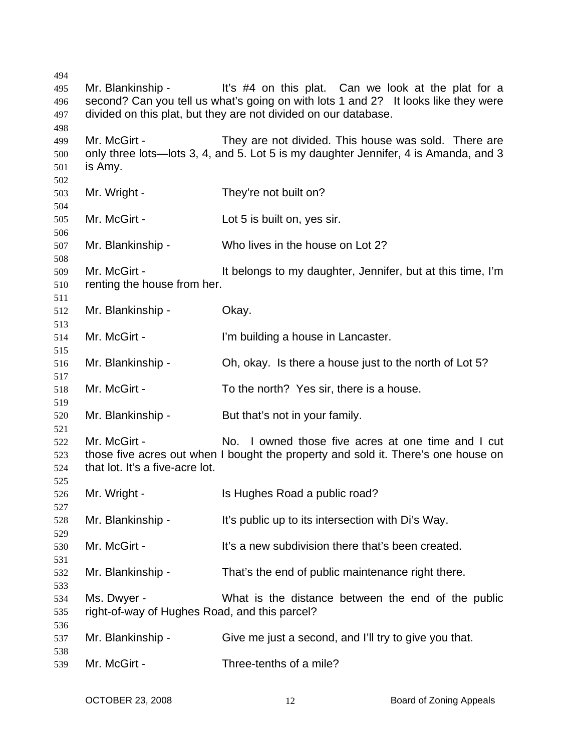| 494 |                                               |                                                                                     |
|-----|-----------------------------------------------|-------------------------------------------------------------------------------------|
| 495 |                                               | Mr. Blankinship - lt's #4 on this plat. Can we look at the plat for a               |
| 496 |                                               | second? Can you tell us what's going on with lots 1 and 2? It looks like they were  |
| 497 |                                               | divided on this plat, but they are not divided on our database.                     |
| 498 |                                               |                                                                                     |
| 499 | Mr. McGirt -                                  | They are not divided. This house was sold. There are                                |
| 500 |                                               | only three lots—lots 3, 4, and 5. Lot 5 is my daughter Jennifer, 4 is Amanda, and 3 |
| 501 | is Amy.                                       |                                                                                     |
|     |                                               |                                                                                     |
| 502 |                                               |                                                                                     |
| 503 | Mr. Wright -                                  | They're not built on?                                                               |
| 504 |                                               |                                                                                     |
| 505 | Mr. McGirt -                                  | Lot 5 is built on, yes sir.                                                         |
| 506 |                                               |                                                                                     |
| 507 | Mr. Blankinship -                             | Who lives in the house on Lot 2?                                                    |
| 508 |                                               |                                                                                     |
| 509 | Mr. McGirt -                                  | It belongs to my daughter, Jennifer, but at this time, I'm                          |
| 510 | renting the house from her.                   |                                                                                     |
| 511 |                                               |                                                                                     |
| 512 | Mr. Blankinship -                             | Okay.                                                                               |
| 513 |                                               |                                                                                     |
| 514 | Mr. McGirt -                                  | I'm building a house in Lancaster.                                                  |
| 515 |                                               |                                                                                     |
| 516 | Mr. Blankinship -                             | Oh, okay. Is there a house just to the north of Lot 5?                              |
| 517 |                                               |                                                                                     |
| 518 | Mr. McGirt -                                  | To the north? Yes sir, there is a house.                                            |
|     |                                               |                                                                                     |
| 519 |                                               |                                                                                     |
| 520 | Mr. Blankinship -                             | But that's not in your family.                                                      |
| 521 |                                               |                                                                                     |
| 522 | Mr. McGirt -                                  | No. I owned those five acres at one time and I cut                                  |
| 523 |                                               | those five acres out when I bought the property and sold it. There's one house on   |
| 524 | that lot. It's a five-acre lot.               |                                                                                     |
| 525 |                                               |                                                                                     |
| 526 | Mr. Wright -                                  | Is Hughes Road a public road?                                                       |
| 527 |                                               |                                                                                     |
| 528 | Mr. Blankinship -                             | It's public up to its intersection with Di's Way.                                   |
| 529 |                                               |                                                                                     |
| 530 | Mr. McGirt -                                  | It's a new subdivision there that's been created.                                   |
| 531 |                                               |                                                                                     |
| 532 | Mr. Blankinship -                             | That's the end of public maintenance right there.                                   |
| 533 |                                               |                                                                                     |
| 534 | Ms. Dwyer -                                   | What is the distance between the end of the public                                  |
| 535 | right-of-way of Hughes Road, and this parcel? |                                                                                     |
| 536 |                                               |                                                                                     |
| 537 | Mr. Blankinship -                             | Give me just a second, and I'll try to give you that.                               |
| 538 |                                               |                                                                                     |
|     | Mr. McGirt -                                  | Three-tenths of a mile?                                                             |
| 539 |                                               |                                                                                     |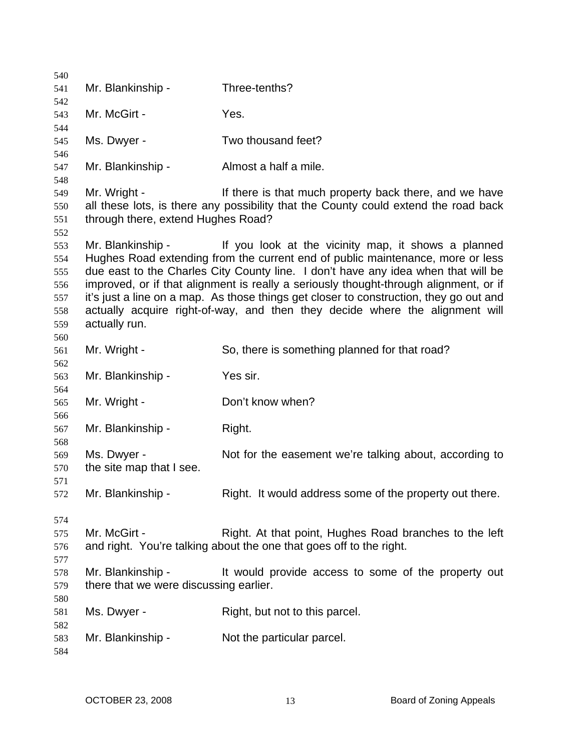| 540        |                                        |                                                                                        |
|------------|----------------------------------------|----------------------------------------------------------------------------------------|
| 541        | Mr. Blankinship -                      | Three-tenths?                                                                          |
| 542        |                                        |                                                                                        |
| 543        | Mr. McGirt -                           | Yes.                                                                                   |
| 544        |                                        |                                                                                        |
| 545        | Ms. Dwyer -                            | Two thousand feet?                                                                     |
| 546        | Mr. Blankinship -                      | Almost a half a mile.                                                                  |
| 547<br>548 |                                        |                                                                                        |
| 549        | Mr. Wright -                           | If there is that much property back there, and we have                                 |
| 550        |                                        | all these lots, is there any possibility that the County could extend the road back    |
| 551        | through there, extend Hughes Road?     |                                                                                        |
| 552        |                                        |                                                                                        |
| 553        | Mr. Blankinship -                      | If you look at the vicinity map, it shows a planned                                    |
| 554        |                                        | Hughes Road extending from the current end of public maintenance, more or less         |
| 555        |                                        | due east to the Charles City County line. I don't have any idea when that will be      |
| 556        |                                        | improved, or if that alignment is really a seriously thought-through alignment, or if  |
| 557        |                                        | it's just a line on a map. As those things get closer to construction, they go out and |
| 558        |                                        | actually acquire right-of-way, and then they decide where the alignment will           |
| 559        | actually run.                          |                                                                                        |
| 560        |                                        |                                                                                        |
| 561<br>562 | Mr. Wright -                           | So, there is something planned for that road?                                          |
| 563        | Mr. Blankinship -                      | Yes sir.                                                                               |
| 564        |                                        |                                                                                        |
| 565        | Mr. Wright -                           | Don't know when?                                                                       |
| 566        |                                        |                                                                                        |
| 567        | Mr. Blankinship -                      | Right.                                                                                 |
| 568        |                                        |                                                                                        |
| 569        | Ms. Dwyer -                            | Not for the easement we're talking about, according to                                 |
| 570        | the site map that I see.               |                                                                                        |
| 571        |                                        |                                                                                        |
| 572        | Mr. Blankinship -                      | Right. It would address some of the property out there.                                |
|            |                                        |                                                                                        |
| 574<br>575 | Mr. McGirt -                           | Right. At that point, Hughes Road branches to the left                                 |
| 576        |                                        | and right. You're talking about the one that goes off to the right.                    |
| 577        |                                        |                                                                                        |
| 578        | Mr. Blankinship -                      | It would provide access to some of the property out                                    |
| 579        | there that we were discussing earlier. |                                                                                        |
| 580        |                                        |                                                                                        |
| 581        | Ms. Dwyer -                            | Right, but not to this parcel.                                                         |
| 582        |                                        |                                                                                        |
| 583        | Mr. Blankinship -                      | Not the particular parcel.                                                             |
| 584        |                                        |                                                                                        |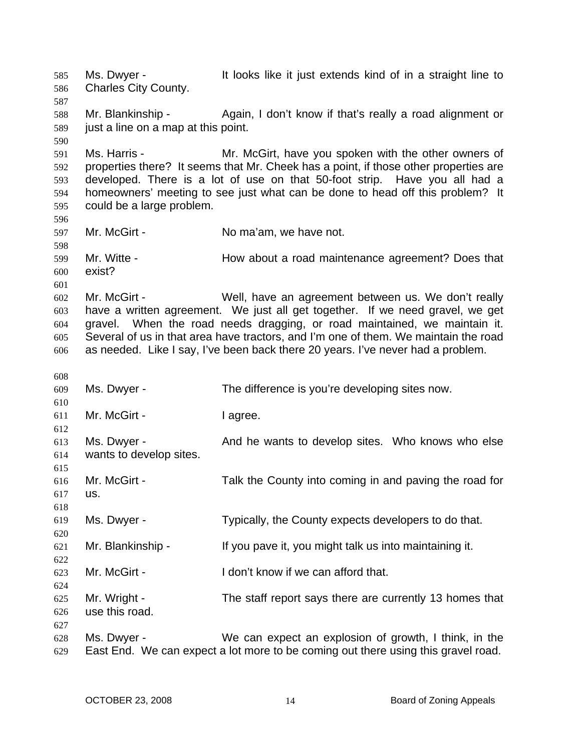Ms. Dwyer - It looks like it just extends kind of in a straight line to Charles City County. 585 586 587 588 589 590 591 592 593 594 595 596 597 598 599 600 601 602 603 604 605 606 608 609 610 611 612 613 614 615 616 617 618 619 620 621 622 623 624 625 626 627 628 629 Mr. Blankinship - Again, I don't know if that's really a road alignment or just a line on a map at this point. Ms. Harris - Mr. McGirt, have you spoken with the other owners of properties there? It seems that Mr. Cheek has a point, if those other properties are developed. There is a lot of use on that 50-foot strip. Have you all had a homeowners' meeting to see just what can be done to head off this problem? It could be a large problem. Mr. McGirt - No ma'am, we have not. Mr. Witte - How about a road maintenance agreement? Does that exist? Mr. McGirt - Well, have an agreement between us. We don't really have a written agreement. We just all get together. If we need gravel, we get gravel. When the road needs dragging, or road maintained, we maintain it. Several of us in that area have tractors, and I'm one of them. We maintain the road as needed. Like I say, I've been back there 20 years. I've never had a problem. Ms. Dwyer - The difference is you're developing sites now. Mr. McGirt - The University of the I agree. Ms. Dwyer - The And he wants to develop sites. Who knows who else wants to develop sites. Mr. McGirt - Talk the County into coming in and paving the road for us. Ms. Dwyer - Typically, the County expects developers to do that. Mr. Blankinship - If you pave it, you might talk us into maintaining it. Mr. McGirt - I don't know if we can afford that. Mr. Wright - The staff report says there are currently 13 homes that use this road. Ms. Dwyer - We can expect an explosion of growth, I think, in the East End. We can expect a lot more to be coming out there using this gravel road.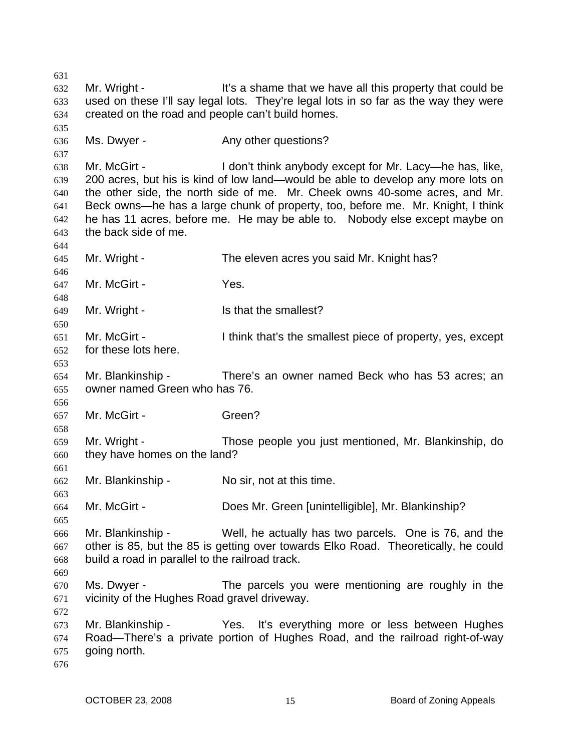631 632 633 634 635 636 637 638 639 640 641 642 643 644 645 646 647 648 649 650 651 652 653 654 655 656 657 658 659 660 661 662 663 664 665 666 667 668 669 670 671 672 673 674 675 676 Mr. Wright - It's a shame that we have all this property that could be used on these I'll say legal lots. They're legal lots in so far as the way they were created on the road and people can't build homes. Ms. Dwyer - The Any other questions? Mr. McGirt - I don't think anybody except for Mr. Lacy—he has, like, 200 acres, but his is kind of low land—would be able to develop any more lots on the other side, the north side of me. Mr. Cheek owns 40-some acres, and Mr. Beck owns—he has a large chunk of property, too, before me. Mr. Knight, I think he has 11 acres, before me. He may be able to. Nobody else except maybe on the back side of me. Mr. Wright - The eleven acres you said Mr. Knight has? Mr. McGirt - Yes. Mr. Wright - Is that the smallest? Mr. McGirt - I think that's the smallest piece of property, yes, except for these lots here. Mr. Blankinship - There's an owner named Beck who has 53 acres; an owner named Green who has 76. Mr. McGirt - Green? Mr. Wright - Those people you just mentioned, Mr. Blankinship, do they have homes on the land? Mr. Blankinship - No sir, not at this time. Mr. McGirt - Does Mr. Green [unintelligible], Mr. Blankinship? Mr. Blankinship - Well, he actually has two parcels. One is 76, and the other is 85, but the 85 is getting over towards Elko Road. Theoretically, he could build a road in parallel to the railroad track. Ms. Dwyer - The parcels you were mentioning are roughly in the vicinity of the Hughes Road gravel driveway. Mr. Blankinship - Yes. It's everything more or less between Hughes Road—There's a private portion of Hughes Road, and the railroad right-of-way going north.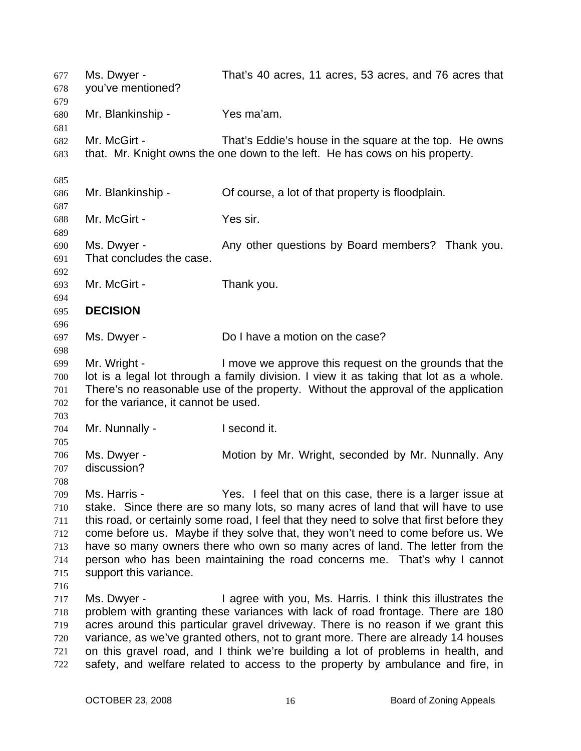| 677<br>678<br>679                             | Ms. Dwyer -<br>you've mentioned?                                                                                                                                                                                                                                                                                                                                                                                                                                                                                                    | That's 40 acres, 11 acres, 53 acres, and 76 acres that                                                                                                                                                                                                                                                                                                                                                                                                                                         |
|-----------------------------------------------|-------------------------------------------------------------------------------------------------------------------------------------------------------------------------------------------------------------------------------------------------------------------------------------------------------------------------------------------------------------------------------------------------------------------------------------------------------------------------------------------------------------------------------------|------------------------------------------------------------------------------------------------------------------------------------------------------------------------------------------------------------------------------------------------------------------------------------------------------------------------------------------------------------------------------------------------------------------------------------------------------------------------------------------------|
| 680<br>681                                    | Mr. Blankinship -                                                                                                                                                                                                                                                                                                                                                                                                                                                                                                                   | Yes ma'am.                                                                                                                                                                                                                                                                                                                                                                                                                                                                                     |
| 682<br>683                                    | Mr. McGirt -                                                                                                                                                                                                                                                                                                                                                                                                                                                                                                                        | That's Eddie's house in the square at the top. He owns<br>that. Mr. Knight owns the one down to the left. He has cows on his property.                                                                                                                                                                                                                                                                                                                                                         |
| 685                                           |                                                                                                                                                                                                                                                                                                                                                                                                                                                                                                                                     |                                                                                                                                                                                                                                                                                                                                                                                                                                                                                                |
| 686                                           | Mr. Blankinship -                                                                                                                                                                                                                                                                                                                                                                                                                                                                                                                   | Of course, a lot of that property is floodplain.                                                                                                                                                                                                                                                                                                                                                                                                                                               |
| 687<br>688<br>689                             | Mr. McGirt -                                                                                                                                                                                                                                                                                                                                                                                                                                                                                                                        | Yes sir.                                                                                                                                                                                                                                                                                                                                                                                                                                                                                       |
| 690<br>691                                    | Ms. Dwyer -<br>That concludes the case.                                                                                                                                                                                                                                                                                                                                                                                                                                                                                             | Any other questions by Board members? Thank you.                                                                                                                                                                                                                                                                                                                                                                                                                                               |
| 692<br>693<br>694                             | Mr. McGirt -                                                                                                                                                                                                                                                                                                                                                                                                                                                                                                                        | Thank you.                                                                                                                                                                                                                                                                                                                                                                                                                                                                                     |
| 695                                           | <b>DECISION</b>                                                                                                                                                                                                                                                                                                                                                                                                                                                                                                                     |                                                                                                                                                                                                                                                                                                                                                                                                                                                                                                |
| 696<br>697<br>698                             | Ms. Dwyer -                                                                                                                                                                                                                                                                                                                                                                                                                                                                                                                         | Do I have a motion on the case?                                                                                                                                                                                                                                                                                                                                                                                                                                                                |
| 699<br>700<br>701<br>702                      | Mr. Wright -<br>for the variance, it cannot be used.                                                                                                                                                                                                                                                                                                                                                                                                                                                                                | I move we approve this request on the grounds that the<br>lot is a legal lot through a family division. I view it as taking that lot as a whole.<br>There's no reasonable use of the property. Without the approval of the application                                                                                                                                                                                                                                                         |
| 703<br>704                                    | Mr. Nunnally -                                                                                                                                                                                                                                                                                                                                                                                                                                                                                                                      | I second it.                                                                                                                                                                                                                                                                                                                                                                                                                                                                                   |
| 705<br>706<br>707<br>708                      | Ms. Dwyer -<br>discussion?                                                                                                                                                                                                                                                                                                                                                                                                                                                                                                          | Motion by Mr. Wright, seconded by Mr. Nunnally. Any                                                                                                                                                                                                                                                                                                                                                                                                                                            |
| 709<br>710<br>711<br>712<br>713<br>714<br>715 | Yes. I feel that on this case, there is a larger issue at<br>Ms. Harris -<br>stake. Since there are so many lots, so many acres of land that will have to use<br>this road, or certainly some road, I feel that they need to solve that first before they<br>come before us. Maybe if they solve that, they won't need to come before us. We<br>have so many owners there who own so many acres of land. The letter from the<br>person who has been maintaining the road concerns me. That's why I cannot<br>support this variance. |                                                                                                                                                                                                                                                                                                                                                                                                                                                                                                |
| 716<br>717<br>718<br>719<br>720<br>721<br>722 | Ms. Dwyer -                                                                                                                                                                                                                                                                                                                                                                                                                                                                                                                         | I agree with you, Ms. Harris. I think this illustrates the<br>problem with granting these variances with lack of road frontage. There are 180<br>acres around this particular gravel driveway. There is no reason if we grant this<br>variance, as we've granted others, not to grant more. There are already 14 houses<br>on this gravel road, and I think we're building a lot of problems in health, and<br>safety, and welfare related to access to the property by ambulance and fire, in |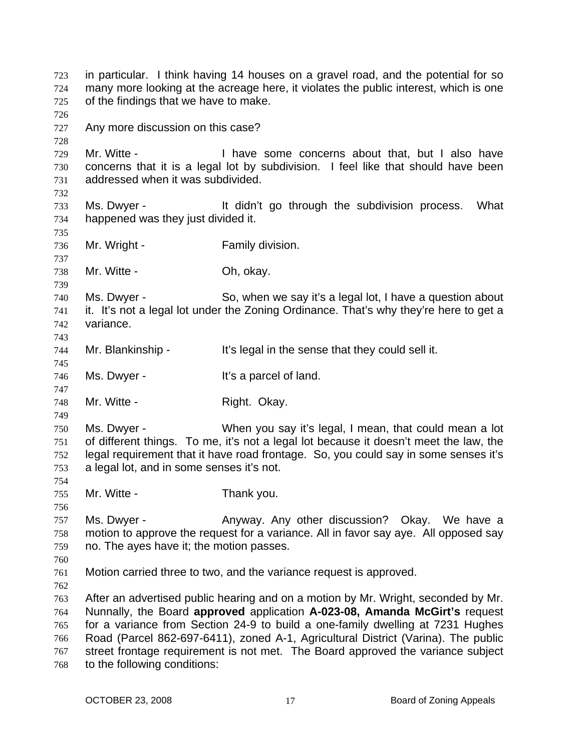in particular. I think having 14 houses on a gravel road, and the potential for so many more looking at the acreage here, it violates the public interest, which is one of the findings that we have to make. 723 724 725 726 727 728 729 730 731 732 733 734 735 736 737 738 739 740 741 742 743 744 745 746 747 748 749 750 751 752 753 754 755 756 757 758 759 760 761 762 763 764 765 766 767 768 Any more discussion on this case? Mr. Witte - I have some concerns about that, but I also have concerns that it is a legal lot by subdivision. I feel like that should have been addressed when it was subdivided. Ms. Dwyer - The Music of the didn't go through the subdivision process. What happened was they just divided it. Mr. Wright - Family division. Mr. Witte - Ch. okay. Ms. Dwyer - So, when we say it's a legal lot, I have a question about it. It's not a legal lot under the Zoning Ordinance. That's why they're here to get a variance. Mr. Blankinship - It's legal in the sense that they could sell it. Ms. Dwyer - The Music Controller's a parcel of land. Mr. Witte - **Right. Okay.** Ms. Dwyer - When you say it's legal, I mean, that could mean a lot of different things. To me, it's not a legal lot because it doesn't meet the law, the legal requirement that it have road frontage. So, you could say in some senses it's a legal lot, and in some senses it's not. Mr. Witte - Thank you. Ms. Dwyer - Anyway. Any other discussion? Okay. We have a motion to approve the request for a variance. All in favor say aye. All opposed say no. The ayes have it; the motion passes. Motion carried three to two, and the variance request is approved. After an advertised public hearing and on a motion by Mr. Wright, seconded by Mr. Nunnally, the Board **approved** application **A-023-08, Amanda McGirt's** request for a variance from Section 24-9 to build a one-family dwelling at 7231 Hughes Road (Parcel 862-697-6411), zoned A-1, Agricultural District (Varina). The public street frontage requirement is not met. The Board approved the variance subject to the following conditions: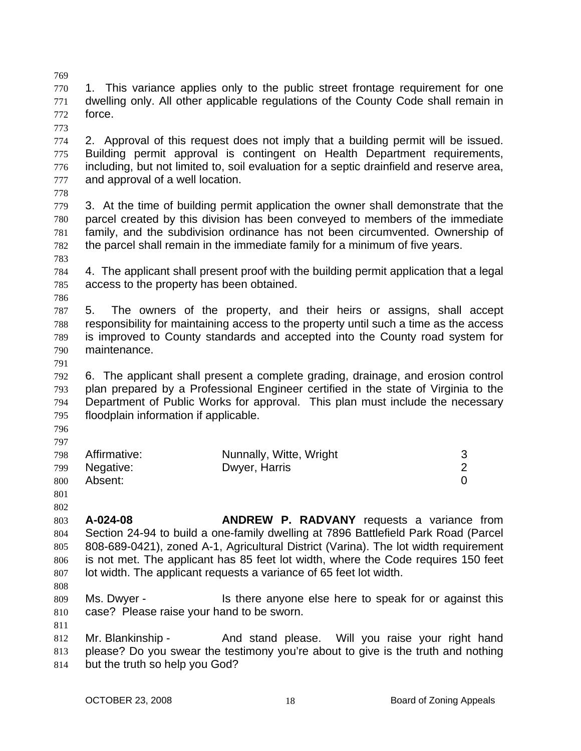769 770 771 772 1. This variance applies only to the public street frontage requirement for one dwelling only. All other applicable regulations of the County Code shall remain in force.

773

774 775 776 777 2. Approval of this request does not imply that a building permit will be issued. Building permit approval is contingent on Health Department requirements, including, but not limited to, soil evaluation for a septic drainfield and reserve area, and approval of a well location.

778

779 780 781 782 3. At the time of building permit application the owner shall demonstrate that the parcel created by this division has been conveyed to members of the immediate family, and the subdivision ordinance has not been circumvented. Ownership of the parcel shall remain in the immediate family for a minimum of five years.

783

784 785 4. The applicant shall present proof with the building permit application that a legal access to the property has been obtained.

786

787 788 789 790 5. The owners of the property, and their heirs or assigns, shall accept responsibility for maintaining access to the property until such a time as the access is improved to County standards and accepted into the County road system for maintenance.

791

792 793 794 795 6. The applicant shall present a complete grading, drainage, and erosion control plan prepared by a Professional Engineer certified in the state of Virginia to the Department of Public Works for approval. This plan must include the necessary floodplain information if applicable.

796 797

|     | 798 Affirmative: | Nunnally, Witte, Wright |  |
|-----|------------------|-------------------------|--|
|     | 799 Negative:    | Dwyer, Harris           |  |
| 800 | Absent:          |                         |  |

- 801
- 802

803 804 805 806 807 **A-024-08 ANDREW P. RADVANY** requests a variance from Section 24-94 to build a one-family dwelling at 7896 Battlefield Park Road (Parcel 808-689-0421), zoned A-1, Agricultural District (Varina). The lot width requirement is not met. The applicant has 85 feet lot width, where the Code requires 150 feet lot width. The applicant requests a variance of 65 feet lot width.

808

809 810 Ms. Dwyer - This there anyone else here to speak for or against this case? Please raise your hand to be sworn.

811 812 Mr. Blankinship - And stand please. Will you raise your right hand

813 814 please? Do you swear the testimony you're about to give is the truth and nothing but the truth so help you God?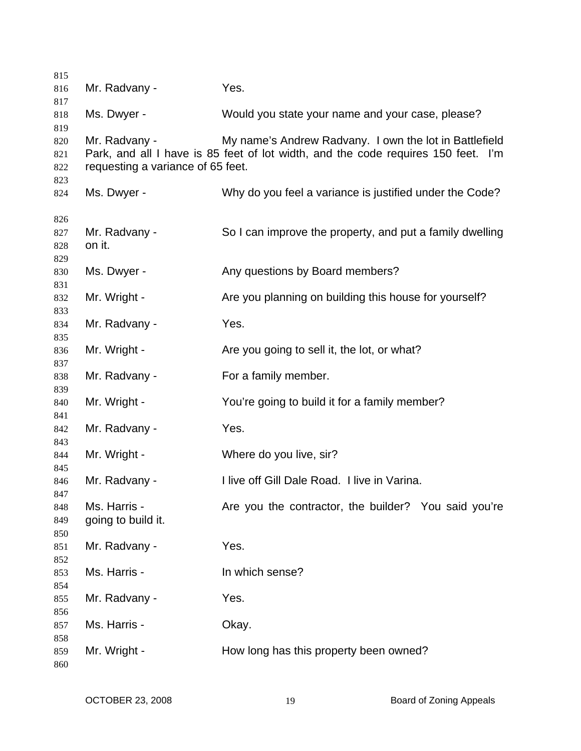| 815        |                                   |                                                                                   |
|------------|-----------------------------------|-----------------------------------------------------------------------------------|
| 816        | Mr. Radvany -                     | Yes.                                                                              |
| 817        |                                   |                                                                                   |
| 818        | Ms. Dwyer -                       | Would you state your name and your case, please?                                  |
| 819        |                                   |                                                                                   |
| 820        | Mr. Radvany -                     | My name's Andrew Radvany. I own the lot in Battlefield                            |
| 821        |                                   | Park, and all I have is 85 feet of lot width, and the code requires 150 feet. I'm |
| 822        | requesting a variance of 65 feet. |                                                                                   |
| 823        |                                   |                                                                                   |
| 824        | Ms. Dwyer -                       | Why do you feel a variance is justified under the Code?                           |
| 826        |                                   |                                                                                   |
| 827        | Mr. Radvany -                     | So I can improve the property, and put a family dwelling                          |
| 828        | on it.                            |                                                                                   |
| 829        |                                   |                                                                                   |
| 830        | Ms. Dwyer -                       | Any questions by Board members?                                                   |
| 831        |                                   |                                                                                   |
| 832        | Mr. Wright -                      | Are you planning on building this house for yourself?                             |
| 833        |                                   |                                                                                   |
| 834        | Mr. Radvany -                     | Yes.                                                                              |
| 835        |                                   |                                                                                   |
| 836        | Mr. Wright -                      | Are you going to sell it, the lot, or what?                                       |
| 837        |                                   |                                                                                   |
| 838        | Mr. Radvany -                     | For a family member.                                                              |
| 839        |                                   |                                                                                   |
| 840        | Mr. Wright -                      | You're going to build it for a family member?                                     |
| 841        |                                   |                                                                                   |
| 842        | Mr. Radvany -                     | Yes.                                                                              |
| 843        |                                   |                                                                                   |
| 844        | Mr. Wright -                      | Where do you live, sir?                                                           |
| 845        |                                   |                                                                                   |
| 846        | Mr. Radvany -                     | I live off Gill Dale Road. I live in Varina.                                      |
| 847<br>848 | Ms. Harris -                      | Are you the contractor, the builder? You said you're                              |
| 849        | going to build it.                |                                                                                   |
| 850        |                                   |                                                                                   |
| 851        | Mr. Radvany -                     | Yes.                                                                              |
| 852        |                                   |                                                                                   |
| 853        | Ms. Harris -                      | In which sense?                                                                   |
| 854        |                                   |                                                                                   |
| 855        | Mr. Radvany -                     | Yes.                                                                              |
| 856        |                                   |                                                                                   |
| 857        | Ms. Harris -                      | Okay.                                                                             |
| 858        |                                   |                                                                                   |
| 859        | Mr. Wright -                      | How long has this property been owned?                                            |
| 860        |                                   |                                                                                   |
|            |                                   |                                                                                   |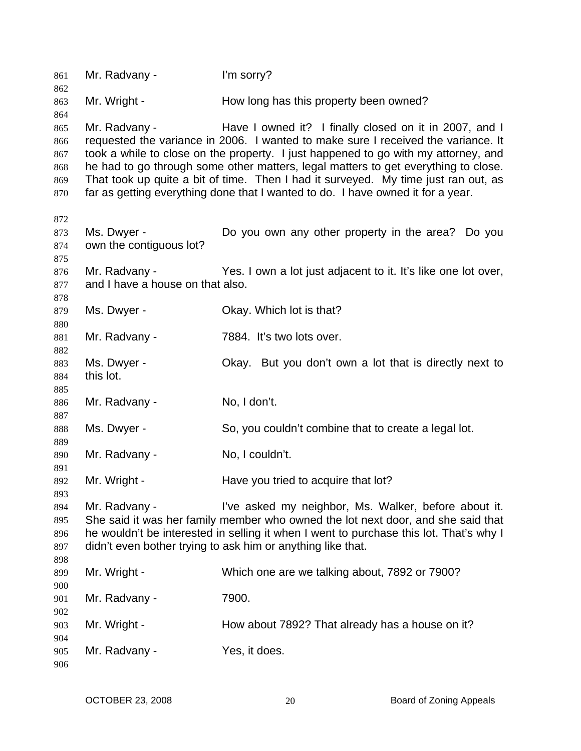| 861<br>862 | Mr. Radvany -                    | I'm sorry?                                                                                                                                  |
|------------|----------------------------------|---------------------------------------------------------------------------------------------------------------------------------------------|
| 863        | Mr. Wright -                     | How long has this property been owned?                                                                                                      |
| 864        |                                  |                                                                                                                                             |
| 865<br>866 | Mr. Radvany -                    | Have I owned it? I finally closed on it in 2007, and I<br>requested the variance in 2006. I wanted to make sure I received the variance. It |
| 867        |                                  | took a while to close on the property. I just happened to go with my attorney, and                                                          |
| 868        |                                  | he had to go through some other matters, legal matters to get everything to close.                                                          |
| 869        |                                  | That took up quite a bit of time. Then I had it surveyed. My time just ran out, as                                                          |
| 870        |                                  | far as getting everything done that I wanted to do. I have owned it for a year.                                                             |
| 872        |                                  |                                                                                                                                             |
| 873        | Ms. Dwyer -                      | Do you own any other property in the area? Do you                                                                                           |
| 874<br>875 | own the contiguous lot?          |                                                                                                                                             |
| 876        | Mr. Radvany -                    | Yes. I own a lot just adjacent to it. It's like one lot over,                                                                               |
| 877        | and I have a house on that also. |                                                                                                                                             |
| 878        |                                  |                                                                                                                                             |
| 879        | Ms. Dwyer -                      | Okay. Which lot is that?                                                                                                                    |
| 880        |                                  |                                                                                                                                             |
| 881        | Mr. Radvany -                    | 7884. It's two lots over.                                                                                                                   |
| 882        |                                  |                                                                                                                                             |
| 883        | Ms. Dwyer -                      | Okay. But you don't own a lot that is directly next to                                                                                      |
| 884        | this lot.                        |                                                                                                                                             |
| 885        |                                  |                                                                                                                                             |
| 886        | Mr. Radvany -                    | No, I don't.                                                                                                                                |
| 887        |                                  |                                                                                                                                             |
| 888<br>889 | Ms. Dwyer -                      | So, you couldn't combine that to create a legal lot.                                                                                        |
| 890        | Mr. Radvany -                    | No, I couldn't.                                                                                                                             |
| 891<br>892 | Mr. Wright -                     | Have you tried to acquire that lot?                                                                                                         |
| 893        |                                  |                                                                                                                                             |
| 894        | Mr. Radvany -                    | I've asked my neighbor, Ms. Walker, before about it.                                                                                        |
| 895        |                                  | She said it was her family member who owned the lot next door, and she said that                                                            |
| 896        |                                  | he wouldn't be interested in selling it when I went to purchase this lot. That's why I                                                      |
| 897        |                                  | didn't even bother trying to ask him or anything like that.                                                                                 |
| 898        |                                  |                                                                                                                                             |
| 899        | Mr. Wright -                     | Which one are we talking about, 7892 or 7900?                                                                                               |
| 900        |                                  |                                                                                                                                             |
| 901        | Mr. Radvany -                    | 7900.                                                                                                                                       |
| 902        |                                  |                                                                                                                                             |
| 903        | Mr. Wright -                     | How about 7892? That already has a house on it?                                                                                             |
| 904        |                                  |                                                                                                                                             |
| 905        | Mr. Radvany -                    | Yes, it does.                                                                                                                               |
| 906        |                                  |                                                                                                                                             |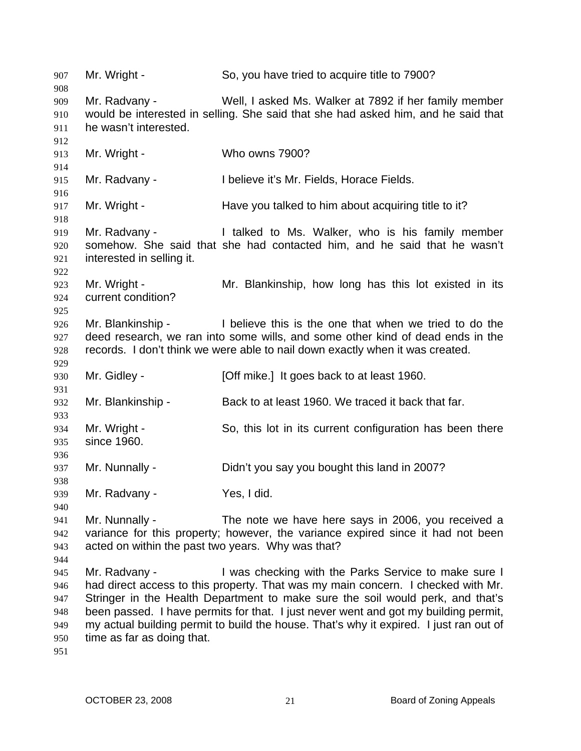907 Mr. Wright - So, you have tried to acquire title to 7900? 908 909 910 911 912 913 914 915 916 917 918 919 920 921 922 923 924 925 926 927 928 929 930 931 932 933 934 935 936 937 938 939 940 941 942 943 944 945 946 947 948 949 950 951 Mr. Radvany - Well, I asked Ms. Walker at 7892 if her family member would be interested in selling. She said that she had asked him, and he said that he wasn't interested. Mr. Wright - Who owns 7900? Mr. Radvany - I believe it's Mr. Fields, Horace Fields. Mr. Wright - The Have you talked to him about acquiring title to it? Mr. Radvany - I talked to Ms. Walker, who is his family member somehow. She said that she had contacted him, and he said that he wasn't interested in selling it. Mr. Wright - Mr. Blankinship, how long has this lot existed in its current condition? Mr. Blankinship - I believe this is the one that when we tried to do the deed research, we ran into some wills, and some other kind of dead ends in the records. I don't think we were able to nail down exactly when it was created. Mr. Gidley - [Off mike.] It goes back to at least 1960. Mr. Blankinship - Back to at least 1960. We traced it back that far. Mr. Wright - So, this lot in its current configuration has been there since 1960. Mr. Nunnally - Didn't you say you bought this land in 2007? Mr. Radvany - Yes, I did. Mr. Nunnally - The note we have here says in 2006, you received a variance for this property; however, the variance expired since it had not been acted on within the past two years. Why was that? Mr. Radvany - Twas checking with the Parks Service to make sure I had direct access to this property. That was my main concern. I checked with Mr. Stringer in the Health Department to make sure the soil would perk, and that's been passed. I have permits for that. I just never went and got my building permit, my actual building permit to build the house. That's why it expired. I just ran out of time as far as doing that.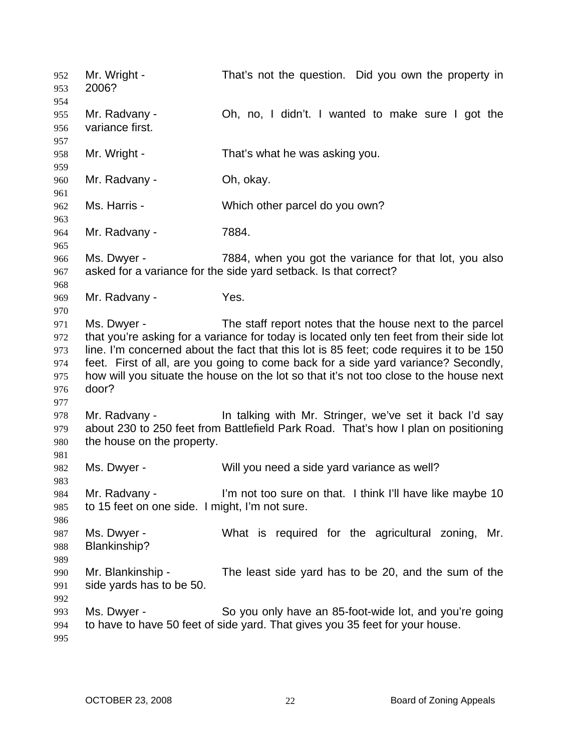Mr. Wright - That's not the question. Did you own the property in 2006? 952 953 954 955 956 957 958 959 960 961 962 963 964 965 966 967 968 969 970 971 972 973 974 975 976 977 978 979 980 981 982 983 984 985 986 987 988 989 990 991 992 993 994 995 Mr. Radvany - Ch, no, I didn't. I wanted to make sure I got the variance first. Mr. Wright - That's what he was asking you. Mr. Radvany - Ch, okay. Ms. Harris - Which other parcel do you own? Mr. Radvany - 7884. Ms. Dwyer - 7884, when you got the variance for that lot, you also asked for a variance for the side yard setback. Is that correct? Mr. Radvany - Yes. Ms. Dwyer - The staff report notes that the house next to the parcel that you're asking for a variance for today is located only ten feet from their side lot line. I'm concerned about the fact that this lot is 85 feet; code requires it to be 150 feet. First of all, are you going to come back for a side yard variance? Secondly, how will you situate the house on the lot so that it's not too close to the house next door? Mr. Radvany - The talking with Mr. Stringer, we've set it back I'd say about 230 to 250 feet from Battlefield Park Road. That's how I plan on positioning the house on the property. Ms. Dwyer - Will you need a side yard variance as well? Mr. Radvany - I'm not too sure on that. I think I'll have like maybe 10 to 15 feet on one side. I might, I'm not sure. Ms. Dwyer - **What is required for the agricultural zoning**, Mr. Blankinship? Mr. Blankinship - The least side yard has to be 20, and the sum of the side yards has to be 50. Ms. Dwyer - So you only have an 85-foot-wide lot, and you're going to have to have 50 feet of side yard. That gives you 35 feet for your house.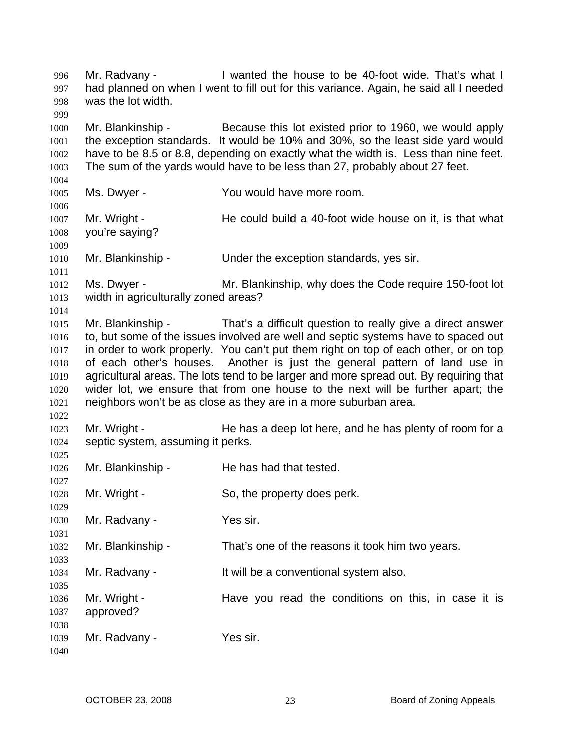Mr. Radvany - I wanted the house to be 40-foot wide. That's what I had planned on when I went to fill out for this variance. Again, he said all I needed was the lot width. 996 997 998 999 1000 1001 1002 1003 1004 1005 1006 1007 1008 1009 1010 1011 1012 1013 1014 1015 1016 1017 1018 1019 1020 1021 1022 1023 1024 1025 1026 1027 1028 1029 1030 1031 1032 1033 1034 1035 1036 1037 1038 1039 1040 Mr. Blankinship - Because this lot existed prior to 1960, we would apply the exception standards. It would be 10% and 30%, so the least side yard would have to be 8.5 or 8.8, depending on exactly what the width is. Less than nine feet. The sum of the yards would have to be less than 27, probably about 27 feet. Ms. Dwyer - You would have more room. Mr. Wright - He could build a 40-foot wide house on it, is that what you're saying? Mr. Blankinship - Under the exception standards, yes sir. Ms. Dwyer - Mr. Blankinship, why does the Code require 150-foot lot width in agriculturally zoned areas? Mr. Blankinship - That's a difficult question to really give a direct answer to, but some of the issues involved are well and septic systems have to spaced out in order to work properly. You can't put them right on top of each other, or on top of each other's houses. Another is just the general pattern of land use in agricultural areas. The lots tend to be larger and more spread out. By requiring that wider lot, we ensure that from one house to the next will be further apart; the neighbors won't be as close as they are in a more suburban area. Mr. Wright - The has a deep lot here, and he has plenty of room for a septic system, assuming it perks. Mr. Blankinship - He has had that tested. Mr. Wright - So, the property does perk. Mr. Radvany - Yes sir. Mr. Blankinship - That's one of the reasons it took him two years. Mr. Radvany - It will be a conventional system also. Mr. Wright - The Have you read the conditions on this, in case it is approved? Mr. Radvany - Yes sir.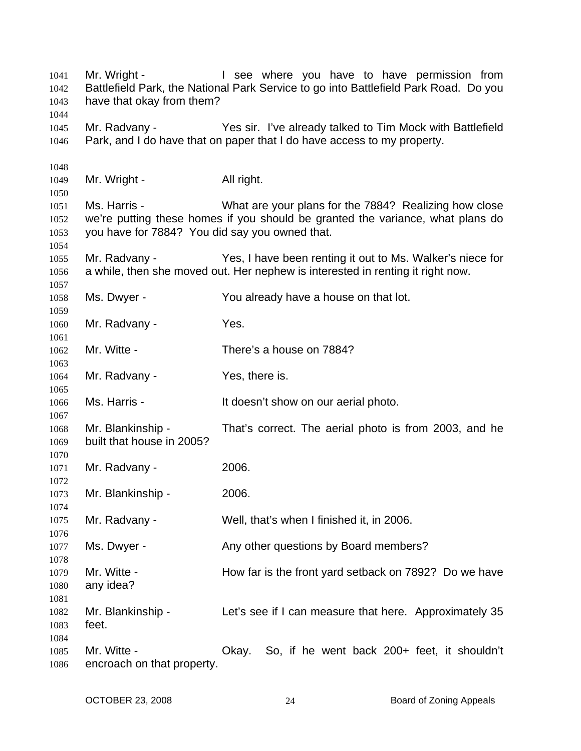Mr. Wright - The State of the State of the Where you have to have permission from Battlefield Park, the National Park Service to go into Battlefield Park Road. Do you have that okay from them? Mr. Radvany - Yes sir. I've already talked to Tim Mock with Battlefield Park, and I do have that on paper that I do have access to my property. Mr. Wright - All right. Ms. Harris - What are your plans for the 7884? Realizing how close we're putting these homes if you should be granted the variance, what plans do you have for 7884? You did say you owned that. Mr. Radvany - Yes, I have been renting it out to Ms. Walker's niece for a while, then she moved out. Her nephew is interested in renting it right now. Ms. Dwyer - The You already have a house on that lot. Mr. Radvany - Yes. Mr. Witte - There's a house on 7884? Mr. Radvany - Yes, there is. Ms. Harris - The Music Harris - It doesn't show on our aerial photo. Mr. Blankinship - That's correct. The aerial photo is from 2003, and he built that house in 2005? Mr. Radvany - 2006. Mr. Blankinship - 2006. Mr. Radvany - Well, that's when I finished it, in 2006. Ms. Dwyer - Any other questions by Board members? Mr. Witte - **How far is the front yard setback on 7892?** Do we have any idea? Mr. Blankinship - Let's see if I can measure that here. Approximately 35 feet. Mr. Witte - Okay. So, if he went back 200+ feet, it shouldn't encroach on that property.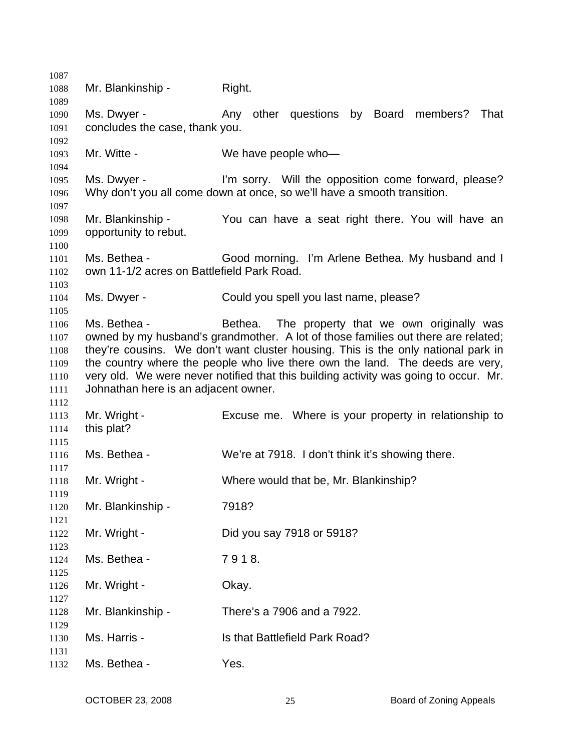| 1087         |                                                            |                                                                                      |
|--------------|------------------------------------------------------------|--------------------------------------------------------------------------------------|
| 1088         | Mr. Blankinship -                                          | Right.                                                                               |
| 1089<br>1090 | Ms. Dwyer -                                                | Any other questions by Board<br>members? That                                        |
| 1091         | concludes the case, thank you.                             |                                                                                      |
| 1092         |                                                            |                                                                                      |
| 1093         | Mr. Witte -                                                | We have people who-                                                                  |
| 1094         |                                                            |                                                                                      |
| 1095         | Ms. Dwyer -                                                | I'm sorry. Will the opposition come forward, please?                                 |
| 1096         |                                                            | Why don't you all come down at once, so we'll have a smooth transition.              |
| 1097         |                                                            |                                                                                      |
| 1098         | Mr. Blankinship -                                          | You can have a seat right there. You will have an                                    |
| 1099         | opportunity to rebut.                                      |                                                                                      |
| 1100         |                                                            |                                                                                      |
| 1101<br>1102 | Ms. Bethea -<br>own 11-1/2 acres on Battlefield Park Road. | Good morning. I'm Arlene Bethea. My husband and I                                    |
| 1103         |                                                            |                                                                                      |
| 1104         | Ms. Dwyer -                                                | Could you spell you last name, please?                                               |
| 1105         |                                                            |                                                                                      |
| 1106         | Ms. Bethea -                                               | Bethea. The property that we own originally was                                      |
| 1107         |                                                            | owned by my husband's grandmother. A lot of those families out there are related;    |
| 1108         |                                                            | they're cousins. We don't want cluster housing. This is the only national park in    |
| 1109         |                                                            | the country where the people who live there own the land. The deeds are very,        |
| 1110         |                                                            | very old. We were never notified that this building activity was going to occur. Mr. |
| 1111         | Johnathan here is an adjacent owner.                       |                                                                                      |
| 1112         |                                                            |                                                                                      |
| 1113         | Mr. Wright -                                               | Excuse me. Where is your property in relationship to                                 |
| 1114         | this plat?                                                 |                                                                                      |
| 1115         |                                                            |                                                                                      |
| 1116<br>1117 | Ms. Bethea -                                               | We're at 7918. I don't think it's showing there.                                     |
| 1118         | Mr. Wright -                                               | Where would that be, Mr. Blankinship?                                                |
| 1119         |                                                            |                                                                                      |
| 1120         | Mr. Blankinship -                                          | 7918?                                                                                |
| 1121         |                                                            |                                                                                      |
| 1122<br>1123 | Mr. Wright -                                               | Did you say 7918 or 5918?                                                            |
| 1124         | Ms. Bethea -                                               | 7918.                                                                                |
| 1125         |                                                            |                                                                                      |
| 1126         | Mr. Wright -                                               | Okay.                                                                                |
| 1127         |                                                            |                                                                                      |
| 1128         | Mr. Blankinship -                                          | There's a 7906 and a 7922.                                                           |
| 1129<br>1130 | Ms. Harris -                                               | Is that Battlefield Park Road?                                                       |
| 1131         |                                                            |                                                                                      |
| 1132         | Ms. Bethea -                                               | Yes.                                                                                 |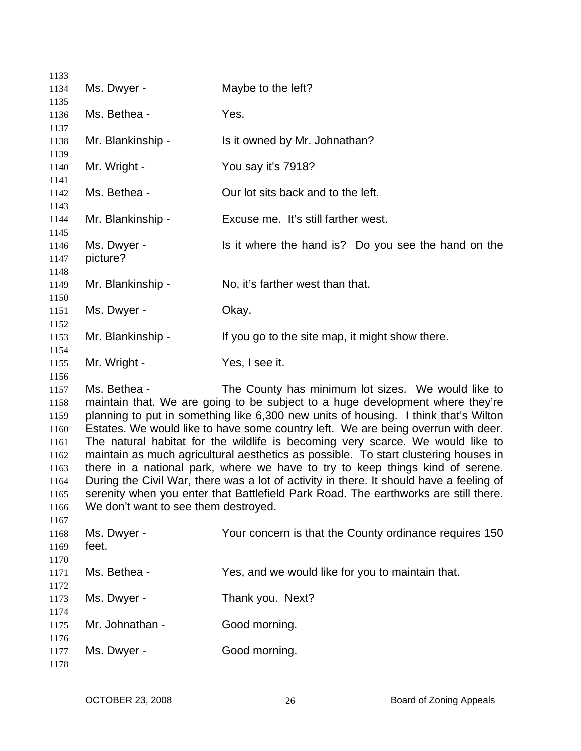| 1133         |                                      |                                                                                         |
|--------------|--------------------------------------|-----------------------------------------------------------------------------------------|
| 1134         | Ms. Dwyer -                          | Maybe to the left?                                                                      |
| 1135         |                                      |                                                                                         |
| 1136         | Ms. Bethea -                         | Yes.                                                                                    |
| 1137         |                                      |                                                                                         |
| 1138         | Mr. Blankinship -                    | Is it owned by Mr. Johnathan?                                                           |
| 1139         |                                      |                                                                                         |
| 1140         | Mr. Wright -                         | You say it's 7918?                                                                      |
| 1141         |                                      |                                                                                         |
| 1142         | Ms. Bethea -                         | Our lot sits back and to the left.                                                      |
| 1143         |                                      | Excuse me. It's still farther west.                                                     |
| 1144<br>1145 | Mr. Blankinship -                    |                                                                                         |
| 1146         | Ms. Dwyer -                          | Is it where the hand is? Do you see the hand on the                                     |
| 1147         | picture?                             |                                                                                         |
| 1148         |                                      |                                                                                         |
| 1149         | Mr. Blankinship -                    | No, it's farther west than that.                                                        |
| 1150         |                                      |                                                                                         |
| 1151         | Ms. Dwyer -                          | Okay.                                                                                   |
| 1152         |                                      |                                                                                         |
| 1153         | Mr. Blankinship -                    | If you go to the site map, it might show there.                                         |
| 1154         |                                      |                                                                                         |
| 1155         | Mr. Wright -                         | Yes, I see it.                                                                          |
| 1156         |                                      |                                                                                         |
| 1157         | Ms. Bethea -                         | The County has minimum lot sizes. We would like to                                      |
| 1158         |                                      | maintain that. We are going to be subject to a huge development where they're           |
| 1159         |                                      | planning to put in something like 6,300 new units of housing. I think that's Wilton     |
| 1160         |                                      | Estates. We would like to have some country left. We are being overrun with deer.       |
| 1161         |                                      | The natural habitat for the wildlife is becoming very scarce. We would like to          |
| 1162         |                                      | maintain as much agricultural aesthetics as possible. To start clustering houses in     |
| 1163         |                                      | there in a national park, where we have to try to keep things kind of serene.           |
| 1164         |                                      | During the Civil War, there was a lot of activity in there. It should have a feeling of |
| 1165         | We don't want to see them destroyed. | serenity when you enter that Battlefield Park Road. The earthworks are still there.     |
| 1166<br>1167 |                                      |                                                                                         |
| 1168         | Ms. Dwyer -                          | Your concern is that the County ordinance requires 150                                  |
| 1169         | feet.                                |                                                                                         |
| 1170         |                                      |                                                                                         |
| 1171         | Ms. Bethea -                         | Yes, and we would like for you to maintain that.                                        |
| 1172         |                                      |                                                                                         |
| 1173         | Ms. Dwyer -                          | Thank you. Next?                                                                        |
| 1174         |                                      |                                                                                         |
| 1175         | Mr. Johnathan -                      | Good morning.                                                                           |
| 1176         |                                      |                                                                                         |
| 1177         | Ms. Dwyer -                          | Good morning.                                                                           |
| 1178         |                                      |                                                                                         |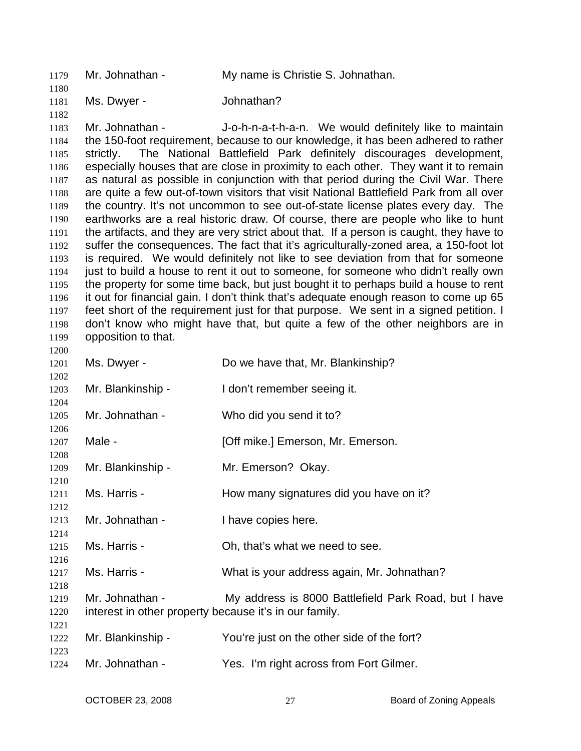| 1179         | Mr. Johnathan -                                                                                                                                                              | My name is Christie S. Johnathan.                                                       |  |
|--------------|------------------------------------------------------------------------------------------------------------------------------------------------------------------------------|-----------------------------------------------------------------------------------------|--|
| 1180<br>1181 | Ms. Dwyer -                                                                                                                                                                  | Johnathan?                                                                              |  |
| 1182         |                                                                                                                                                                              |                                                                                         |  |
| 1183         | Mr. Johnathan -                                                                                                                                                              | J-o-h-n-a-t-h-a-n. We would definitely like to maintain                                 |  |
| 1184         |                                                                                                                                                                              | the 150-foot requirement, because to our knowledge, it has been adhered to rather       |  |
| 1185         | strictly.                                                                                                                                                                    | The National Battlefield Park definitely discourages development,                       |  |
| 1186         |                                                                                                                                                                              | especially houses that are close in proximity to each other. They want it to remain     |  |
| 1187         |                                                                                                                                                                              | as natural as possible in conjunction with that period during the Civil War. There      |  |
| 1188         |                                                                                                                                                                              | are quite a few out-of-town visitors that visit National Battlefield Park from all over |  |
| 1189         |                                                                                                                                                                              | the country. It's not uncommon to see out-of-state license plates every day. The        |  |
| 1190         |                                                                                                                                                                              | earthworks are a real historic draw. Of course, there are people who like to hunt       |  |
| 1191         | the artifacts, and they are very strict about that. If a person is caught, they have to                                                                                      |                                                                                         |  |
| 1192         | suffer the consequences. The fact that it's agriculturally-zoned area, a 150-foot lot                                                                                        |                                                                                         |  |
| 1193         | is required. We would definitely not like to see deviation from that for someone                                                                                             |                                                                                         |  |
| 1194         | just to build a house to rent it out to someone, for someone who didn't really own                                                                                           |                                                                                         |  |
| 1195         |                                                                                                                                                                              | the property for some time back, but just bought it to perhaps build a house to rent    |  |
| 1196<br>1197 | it out for financial gain. I don't think that's adequate enough reason to come up 65<br>feet short of the requirement just for that purpose. We sent in a signed petition. I |                                                                                         |  |
| 1198         |                                                                                                                                                                              | don't know who might have that, but quite a few of the other neighbors are in           |  |
| 1199         | opposition to that.                                                                                                                                                          |                                                                                         |  |
| 1200         |                                                                                                                                                                              |                                                                                         |  |
| 1201         | Ms. Dwyer -                                                                                                                                                                  | Do we have that, Mr. Blankinship?                                                       |  |
| 1202         |                                                                                                                                                                              |                                                                                         |  |
| 1203         | Mr. Blankinship -                                                                                                                                                            | I don't remember seeing it.                                                             |  |
| 1204         |                                                                                                                                                                              |                                                                                         |  |
| 1205         | Mr. Johnathan -                                                                                                                                                              | Who did you send it to?                                                                 |  |
| 1206         |                                                                                                                                                                              |                                                                                         |  |
| 1207         | Male -                                                                                                                                                                       | [Off mike.] Emerson, Mr. Emerson.                                                       |  |
| 1208         |                                                                                                                                                                              |                                                                                         |  |
| 1209         | Mr. Blankinship -                                                                                                                                                            | Mr. Emerson? Okay.                                                                      |  |
| 1210<br>1211 | Ms. Harris -                                                                                                                                                                 | How many signatures did you have on it?                                                 |  |
| 1212         |                                                                                                                                                                              |                                                                                         |  |
| 1213         | Mr. Johnathan -                                                                                                                                                              | I have copies here.                                                                     |  |
| 1214         |                                                                                                                                                                              |                                                                                         |  |
| 1215         | Ms. Harris -                                                                                                                                                                 | Oh, that's what we need to see.                                                         |  |
| 1216         |                                                                                                                                                                              |                                                                                         |  |
| 1217         | Ms. Harris -                                                                                                                                                                 | What is your address again, Mr. Johnathan?                                              |  |
| 1218         |                                                                                                                                                                              |                                                                                         |  |
| 1219         | Mr. Johnathan -                                                                                                                                                              | My address is 8000 Battlefield Park Road, but I have                                    |  |
| 1220         | interest in other property because it's in our family.                                                                                                                       |                                                                                         |  |
| 1221         |                                                                                                                                                                              |                                                                                         |  |
| 1222         | Mr. Blankinship -                                                                                                                                                            | You're just on the other side of the fort?                                              |  |
| 1223         |                                                                                                                                                                              |                                                                                         |  |
| 1224         | Mr. Johnathan -                                                                                                                                                              | Yes. I'm right across from Fort Gilmer.                                                 |  |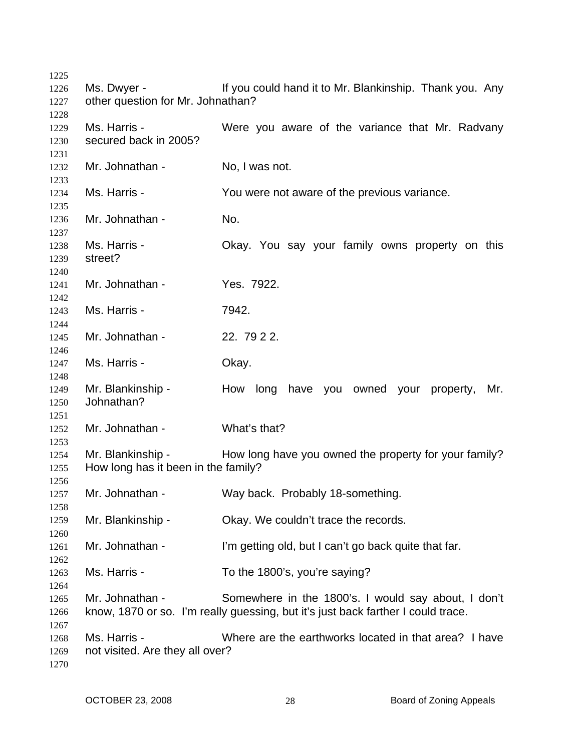Ms. Dwyer - If you could hand it to Mr. Blankinship. Thank you. Any other question for Mr. Johnathan? Ms. Harris - The Mere you aware of the variance that Mr. Radvany secured back in 2005? Mr. Johnathan - No, I was not. Ms. Harris - The You were not aware of the previous variance. Mr. Johnathan - No. Ms. Harris - **CKAY.** You say your family owns property on this street? Mr. Johnathan - Yes. 7922. Ms. Harris - 7942. Mr. Johnathan - 22. 79 2 2. Ms. Harris - Chay. Mr. Blankinship - Thow long have you owned your property, Mr. Johnathan? Mr. Johnathan - What's that? Mr. Blankinship - How long have you owned the property for your family? How long has it been in the family? Mr. Johnathan - Way back. Probably 18-something. Mr. Blankinship - Ckay. We couldn't trace the records. Mr. Johnathan - I'm getting old, but I can't go back quite that far. Ms. Harris - To the 1800's, you're saying? Mr. Johnathan - Somewhere in the 1800's. I would say about, I don't know, 1870 or so. I'm really guessing, but it's just back farther I could trace. Ms. Harris - Where are the earthworks located in that area? I have not visited. Are they all over?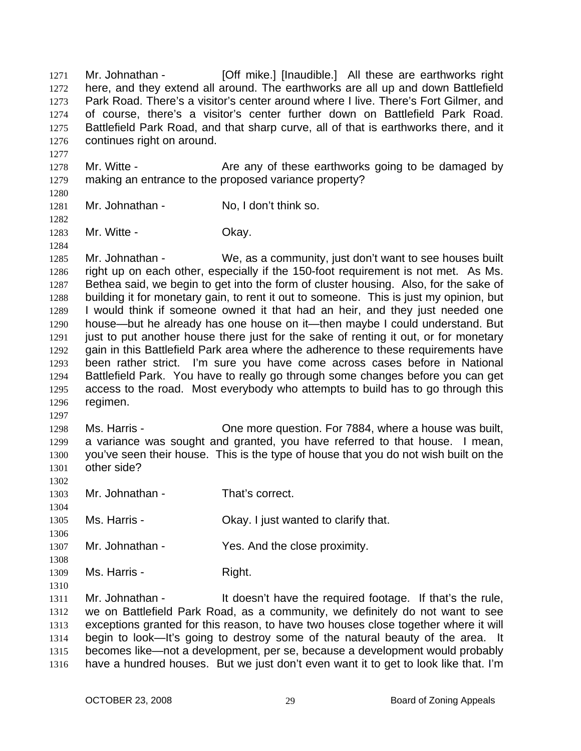Mr. Johnathan - [Off mike.] [Inaudible.] All these are earthworks right here, and they extend all around. The earthworks are all up and down Battlefield Park Road. There's a visitor's center around where I live. There's Fort Gilmer, and of course, there's a visitor's center further down on Battlefield Park Road. Battlefield Park Road, and that sharp curve, all of that is earthworks there, and it continues right on around. 1271 1272 1273 1274 1275 1276

- 1278 1279 Mr. Witte - The Are any of these earthworks going to be damaged by making an entrance to the proposed variance property?
- 1280

1297

1302

1306

1308

1310

1277

1281 1282 Mr. Johnathan - No, I don't think so.

1283 1284 Mr. Witte - Chay.

1285 1286 1287 1288 1289 1290 1291 1292 1293 1294 1295 1296 Mr. Johnathan - We, as a community, just don't want to see houses built right up on each other, especially if the 150-foot requirement is not met. As Ms. Bethea said, we begin to get into the form of cluster housing. Also, for the sake of building it for monetary gain, to rent it out to someone. This is just my opinion, but I would think if someone owned it that had an heir, and they just needed one house—but he already has one house on it—then maybe I could understand. But just to put another house there just for the sake of renting it out, or for monetary gain in this Battlefield Park area where the adherence to these requirements have been rather strict. I'm sure you have come across cases before in National Battlefield Park. You have to really go through some changes before you can get access to the road. Most everybody who attempts to build has to go through this regimen.

1298 1299 1300 1301 Ms. Harris - Che more question. For 7884, where a house was built, a variance was sought and granted, you have referred to that house. I mean, you've seen their house. This is the type of house that you do not wish built on the other side?

- 1303 1304 Mr. Johnathan - That's correct.
- 1305 Ms. Harris - Ckay. I just wanted to clarify that.
- 1307 Mr. Johnathan - Yes. And the close proximity.
- 1309 Ms. Harris - Right.

1311 1312 1313 1314 1315 1316 Mr. Johnathan - It doesn't have the required footage. If that's the rule, we on Battlefield Park Road, as a community, we definitely do not want to see exceptions granted for this reason, to have two houses close together where it will begin to look—It's going to destroy some of the natural beauty of the area. It becomes like—not a development, per se, because a development would probably have a hundred houses. But we just don't even want it to get to look like that. I'm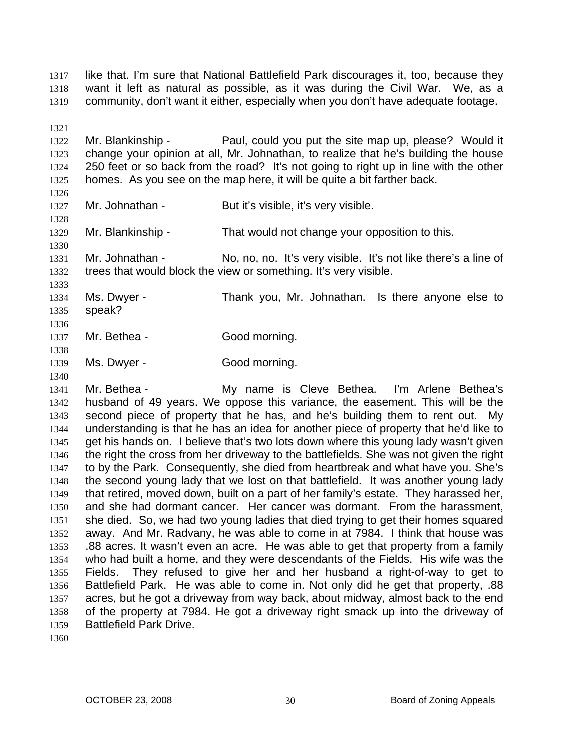like that. I'm sure that National Battlefield Park discourages it, too, because they want it left as natural as possible, as it was during the Civil War. We, as a community, don't want it either, especially when you don't have adequate footage. 1317 1318 1319

1321

1322 1323 1324 1325 Mr. Blankinship - Paul, could you put the site map up, please? Would it change your opinion at all, Mr. Johnathan, to realize that he's building the house 250 feet or so back from the road? It's not going to right up in line with the other homes. As you see on the map here, it will be quite a bit farther back.

1326 1327

1328

1330

1333

1340

Mr. Johnathan - But it's visible, it's very visible.

1329 Mr. Blankinship - That would not change your opposition to this.

1331 1332 Mr. Johnathan - No, no, no. It's very visible. It's not like there's a line of trees that would block the view or something. It's very visible.

1334 1335 1336 Ms. Dwyer - Thank you, Mr. Johnathan. Is there anyone else to speak?

1337 1338 Mr. Bethea - Good morning.

1339 Ms. Dwyer - Good morning.

1341 1342 1343 1344 1345 1346 1347 1348 1349 1350 1351 1352 1353 1354 1355 1356 1357 1358 1359 Mr. Bethea - My name is Cleve Bethea. I'm Arlene Bethea's husband of 49 years. We oppose this variance, the easement. This will be the second piece of property that he has, and he's building them to rent out. My understanding is that he has an idea for another piece of property that he'd like to get his hands on. I believe that's two lots down where this young lady wasn't given the right the cross from her driveway to the battlefields. She was not given the right to by the Park. Consequently, she died from heartbreak and what have you. She's the second young lady that we lost on that battlefield. It was another young lady that retired, moved down, built on a part of her family's estate. They harassed her, and she had dormant cancer. Her cancer was dormant. From the harassment, she died. So, we had two young ladies that died trying to get their homes squared away. And Mr. Radvany, he was able to come in at 7984. I think that house was .88 acres. It wasn't even an acre. He was able to get that property from a family who had built a home, and they were descendants of the Fields. His wife was the Fields. They refused to give her and her husband a right-of-way to get to Battlefield Park. He was able to come in. Not only did he get that property, .88 acres, but he got a driveway from way back, about midway, almost back to the end of the property at 7984. He got a driveway right smack up into the driveway of Battlefield Park Drive.

1360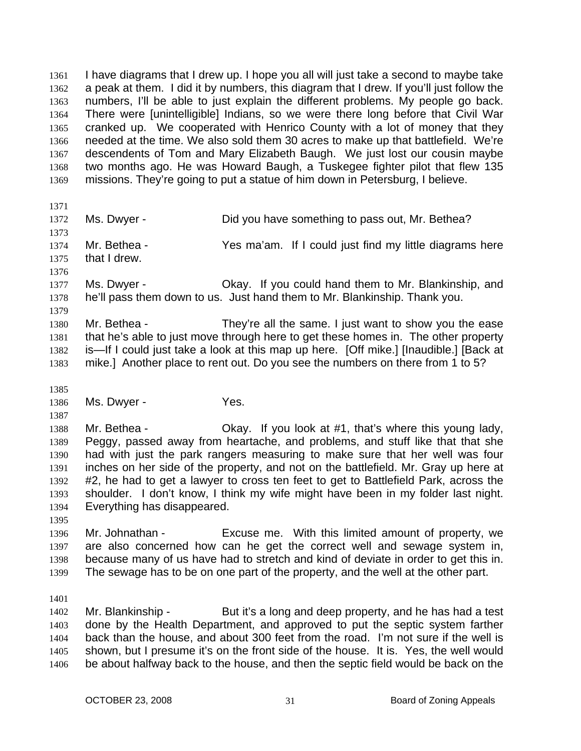I have diagrams that I drew up. I hope you all will just take a second to maybe take a peak at them. I did it by numbers, this diagram that I drew. If you'll just follow the numbers, I'll be able to just explain the different problems. My people go back. There were [unintelligible] Indians, so we were there long before that Civil War cranked up. We cooperated with Henrico County with a lot of money that they needed at the time. We also sold them 30 acres to make up that battlefield. We're descendents of Tom and Mary Elizabeth Baugh. We just lost our cousin maybe two months ago. He was Howard Baugh, a Tuskegee fighter pilot that flew 135 missions. They're going to put a statue of him down in Petersburg, I believe. 1361 1362 1363 1364 1365 1366 1367 1368 1369

1371

1372 1373 Ms. Dwyer - **Did you have something to pass out, Mr. Bethea?** 

1374 1375 Mr. Bethea - Yes ma'am. If I could just find my little diagrams here that I drew.

1376 1377 1378 Ms. Dwyer - Chay. If you could hand them to Mr. Blankinship, and he'll pass them down to us. Just hand them to Mr. Blankinship. Thank you.

1380 1381 1382 1383 Mr. Bethea - They're all the same. I just want to show you the ease that he's able to just move through here to get these homes in. The other property is—If I could just take a look at this map up here. [Off mike.] [Inaudible.] [Back at mike.] Another place to rent out. Do you see the numbers on there from 1 to 5?

1385

1387

1379

1386 Ms. Dwyer - Yes.

1388 1389 1390 1391 1392 1393 1394 Mr. Bethea - Ckay. If you look at #1, that's where this young lady, Peggy, passed away from heartache, and problems, and stuff like that that she had with just the park rangers measuring to make sure that her well was four inches on her side of the property, and not on the battlefield. Mr. Gray up here at #2, he had to get a lawyer to cross ten feet to get to Battlefield Park, across the shoulder. I don't know, I think my wife might have been in my folder last night. Everything has disappeared.

1395

1396 1397 1398 1399 Mr. Johnathan - Excuse me. With this limited amount of property, we are also concerned how can he get the correct well and sewage system in, because many of us have had to stretch and kind of deviate in order to get this in. The sewage has to be on one part of the property, and the well at the other part.

1401

1402 1403 1404 1405 1406 Mr. Blankinship - But it's a long and deep property, and he has had a test done by the Health Department, and approved to put the septic system farther back than the house, and about 300 feet from the road. I'm not sure if the well is shown, but I presume it's on the front side of the house. It is. Yes, the well would be about halfway back to the house, and then the septic field would be back on the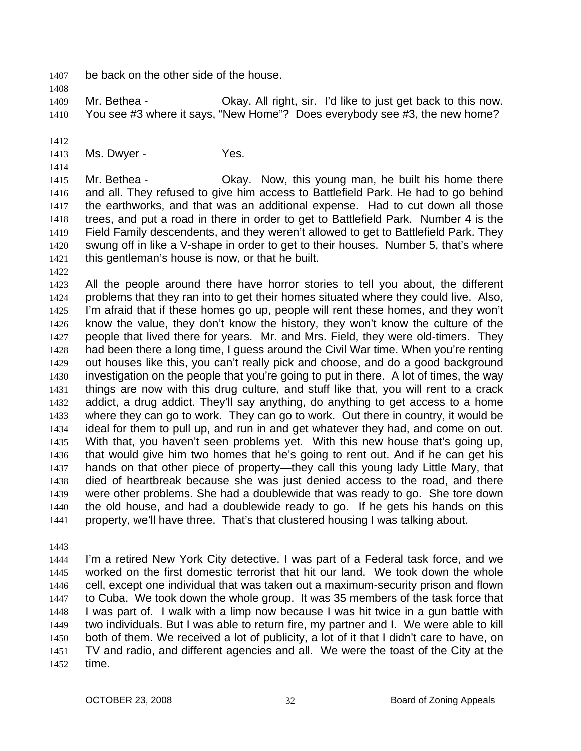1407 be back on the other side of the house.

1409 1410 Mr. Bethea - Ckay. All right, sir. I'd like to just get back to this now. You see #3 where it says, "New Home"? Does everybody see #3, the new home?

1412

1408

1413 Ms. Dwyer - Yes.

1414

1415 1416 1417 1418 1419 1420 1421 Mr. Bethea - Okay. Now, this young man, he built his home there and all. They refused to give him access to Battlefield Park. He had to go behind the earthworks, and that was an additional expense. Had to cut down all those trees, and put a road in there in order to get to Battlefield Park. Number 4 is the Field Family descendents, and they weren't allowed to get to Battlefield Park. They swung off in like a V-shape in order to get to their houses. Number 5, that's where this gentleman's house is now, or that he built.

1422

1423 1424 1425 1426 1427 1428 1429 1430 1431 1432 1433 1434 1435 1436 1437 1438 1439 1440 1441 All the people around there have horror stories to tell you about, the different problems that they ran into to get their homes situated where they could live. Also, I'm afraid that if these homes go up, people will rent these homes, and they won't know the value, they don't know the history, they won't know the culture of the people that lived there for years. Mr. and Mrs. Field, they were old-timers. They had been there a long time, I guess around the Civil War time. When you're renting out houses like this, you can't really pick and choose, and do a good background investigation on the people that you're going to put in there. A lot of times, the way things are now with this drug culture, and stuff like that, you will rent to a crack addict, a drug addict. They'll say anything, do anything to get access to a home where they can go to work. They can go to work. Out there in country, it would be ideal for them to pull up, and run in and get whatever they had, and come on out. With that, you haven't seen problems yet. With this new house that's going up, that would give him two homes that he's going to rent out. And if he can get his hands on that other piece of property—they call this young lady Little Mary, that died of heartbreak because she was just denied access to the road, and there were other problems. She had a doublewide that was ready to go. She tore down the old house, and had a doublewide ready to go. If he gets his hands on this property, we'll have three. That's that clustered housing I was talking about.

1443

1444 1445 1446 1447 1448 1449 1450 1451 1452 I'm a retired New York City detective. I was part of a Federal task force, and we worked on the first domestic terrorist that hit our land. We took down the whole cell, except one individual that was taken out a maximum-security prison and flown to Cuba. We took down the whole group. It was 35 members of the task force that I was part of. I walk with a limp now because I was hit twice in a gun battle with two individuals. But I was able to return fire, my partner and I. We were able to kill both of them. We received a lot of publicity, a lot of it that I didn't care to have, on TV and radio, and different agencies and all. We were the toast of the City at the time.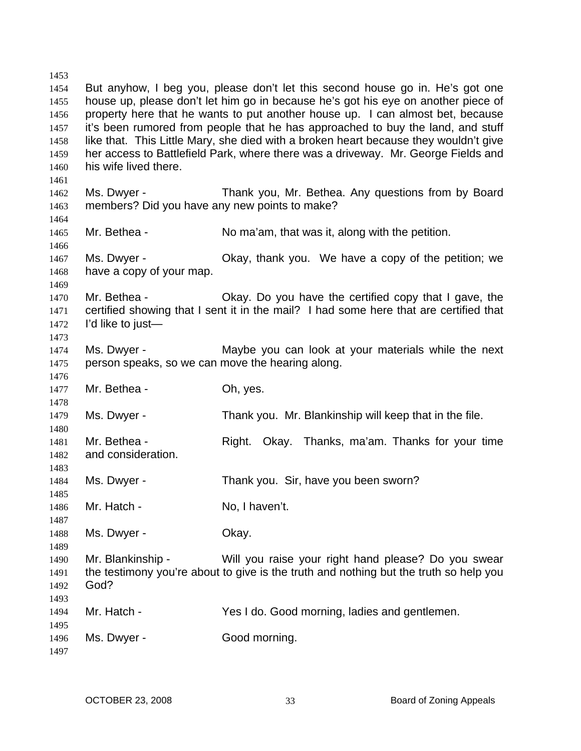1453 1454 1455 1456 1457 1458 1459 1460 1461 1462 1463 1464 1465 1466 1467 1468 1469 1470 1471 1472 1473 1474 1475 1476 1477 1478 1479 1480 1481 1482 1483 1484 1485 1486 1487 1488 1489 1490 1491 1492 1493 1494 1495 1496 1497 But anyhow, I beg you, please don't let this second house go in. He's got one house up, please don't let him go in because he's got his eye on another piece of property here that he wants to put another house up. I can almost bet, because it's been rumored from people that he has approached to buy the land, and stuff like that. This Little Mary, she died with a broken heart because they wouldn't give her access to Battlefield Park, where there was a driveway. Mr. George Fields and his wife lived there. Ms. Dwyer - Thank you, Mr. Bethea. Any questions from by Board members? Did you have any new points to make? Mr. Bethea - No ma'am, that was it, along with the petition. Ms. Dwyer - Ckay, thank you. We have a copy of the petition; we have a copy of your map. Mr. Bethea - Okay. Do you have the certified copy that I gave, the certified showing that I sent it in the mail? I had some here that are certified that I'd like to just— Ms. Dwyer - Maybe you can look at your materials while the next person speaks, so we can move the hearing along. Mr. Bethea - Ch, yes. Ms. Dwyer - Thank you. Mr. Blankinship will keep that in the file. Mr. Bethea - Right. Okay. Thanks, ma'am. Thanks for your time and consideration. Ms. Dwyer - Thank you. Sir, have you been sworn? Mr. Hatch - No. I haven't. Ms. Dwyer - Chay. Mr. Blankinship - Will you raise your right hand please? Do you swear the testimony you're about to give is the truth and nothing but the truth so help you God? Mr. Hatch - Yes I do. Good morning, ladies and gentlemen. Ms. Dwyer - Good morning.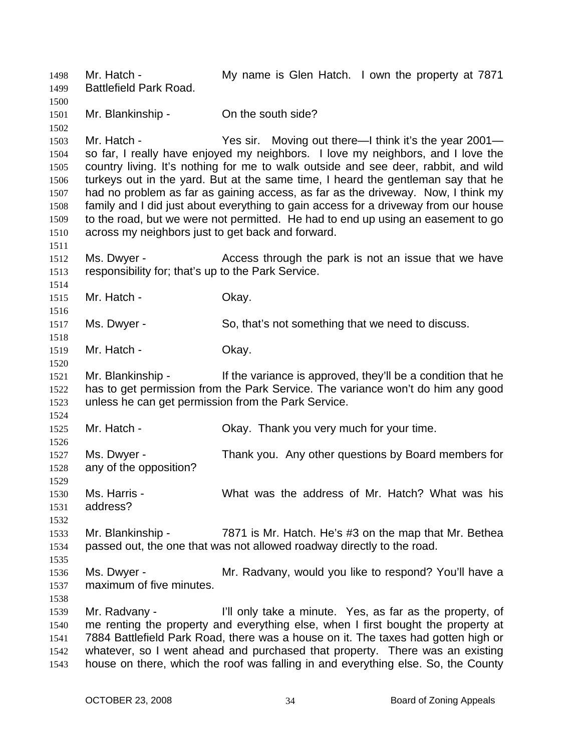Mr. Hatch - The My name is Glen Hatch. I own the property at 7871 Battlefield Park Road. 1498 1499 1500 1501 1502 1503 1504 1505 1506 1507 1508 1509 1510 1511 1512 1513 1514 1515 1516 1517 1518 1519 1520 1521 1522 1523 1524 1525 1526 1527 1528 1529 1530 1531 1532 1533 1534 1535 1536 1537 1538 1539 1540 1541 1542 1543 Mr. Blankinship - On the south side? Mr. Hatch - Yes sir. Moving out there—I think it's the year 2001 so far, I really have enjoyed my neighbors. I love my neighbors, and I love the country living. It's nothing for me to walk outside and see deer, rabbit, and wild turkeys out in the yard. But at the same time, I heard the gentleman say that he had no problem as far as gaining access, as far as the driveway. Now, I think my family and I did just about everything to gain access for a driveway from our house to the road, but we were not permitted. He had to end up using an easement to go across my neighbors just to get back and forward. Ms. Dwyer - The Access through the park is not an issue that we have responsibility for; that's up to the Park Service. Mr. Hatch - Chay. Ms. Dwyer - So, that's not something that we need to discuss. Mr. Hatch - Chay. Mr. Blankinship - If the variance is approved, they'll be a condition that he has to get permission from the Park Service. The variance won't do him any good unless he can get permission from the Park Service. Mr. Hatch - Ckay. Thank you very much for your time. Ms. Dwyer - Thank you. Any other questions by Board members for any of the opposition? Ms. Harris - What was the address of Mr. Hatch? What was his address? Mr. Blankinship - 7871 is Mr. Hatch. He's #3 on the map that Mr. Bethea passed out, the one that was not allowed roadway directly to the road. Ms. Dwyer - **Mr. Radvany, would you like to respond?** You'll have a maximum of five minutes. Mr. Radvany - I'll only take a minute. Yes, as far as the property, of me renting the property and everything else, when I first bought the property at 7884 Battlefield Park Road, there was a house on it. The taxes had gotten high or whatever, so I went ahead and purchased that property. There was an existing house on there, which the roof was falling in and everything else. So, the County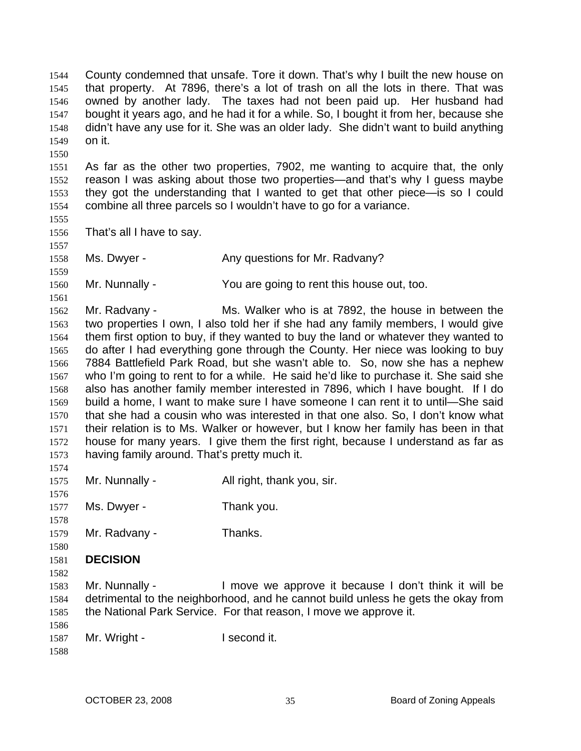County condemned that unsafe. Tore it down. That's why I built the new house on that property. At 7896, there's a lot of trash on all the lots in there. That was owned by another lady. The taxes had not been paid up. Her husband had bought it years ago, and he had it for a while. So, I bought it from her, because she didn't have any use for it. She was an older lady. She didn't want to build anything on it. 1544 1545 1546 1547 1548 1549

1551 1552 1553 1554 As far as the other two properties, 7902, me wanting to acquire that, the only reason I was asking about those two properties—and that's why I guess maybe they got the understanding that I wanted to get that other piece—is so I could combine all three parcels so I wouldn't have to go for a variance.

1555 1556 That's all I have to say.

1557 1558

1550

1559

1561

Ms. Dwyer - The Any questions for Mr. Radvany?

1560 Mr. Nunnally - You are going to rent this house out, too.

1562 1563 1564 1565 1566 1567 1568 1569 1570 1571 1572 1573 Mr. Radvany - Ms. Walker who is at 7892, the house in between the two properties I own, I also told her if she had any family members, I would give them first option to buy, if they wanted to buy the land or whatever they wanted to do after I had everything gone through the County. Her niece was looking to buy 7884 Battlefield Park Road, but she wasn't able to. So, now she has a nephew who I'm going to rent to for a while. He said he'd like to purchase it. She said she also has another family member interested in 7896, which I have bought. If I do build a home, I want to make sure I have someone I can rent it to until—She said that she had a cousin who was interested in that one also. So, I don't know what their relation is to Ms. Walker or however, but I know her family has been in that house for many years. I give them the first right, because I understand as far as having family around. That's pretty much it.

| 1575 | Mr. Nunnally - | All right, thank you, sir. |
|------|----------------|----------------------------|
| 1576 |                |                            |

1577 Ms. Dwyer - Thank you.

1578 1579 Mr. Radvany - Thanks.

1580

1574

1581 **DECISION** 

1582

1583 1584 1585 Mr. Nunnally - I move we approve it because I don't think it will be detrimental to the neighborhood, and he cannot build unless he gets the okay from the National Park Service. For that reason, I move we approve it.

1586 1587 Mr. Wright - I second it.

1588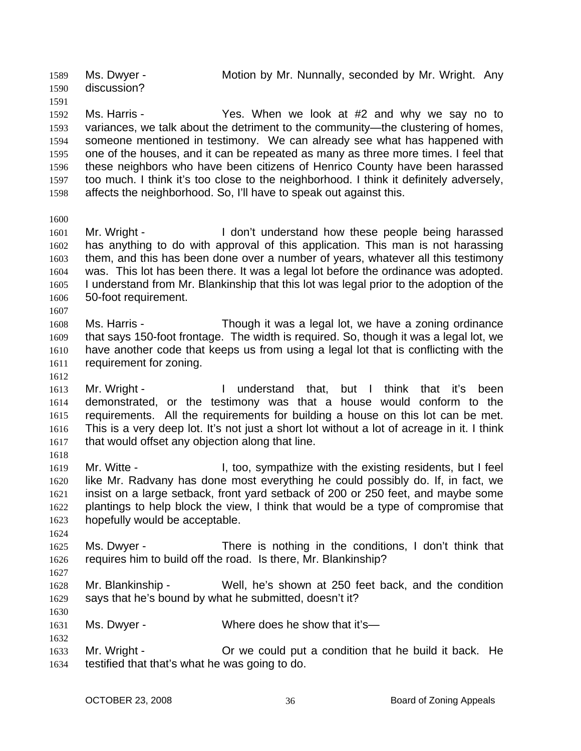Ms. Dwyer - Motion by Mr. Nunnally, seconded by Mr. Wright. Any discussion? 1589 1590

1592 1593 1594 1595 1596 1597 1598 Ms. Harris - Yes. When we look at #2 and why we say no to variances, we talk about the detriment to the community—the clustering of homes, someone mentioned in testimony. We can already see what has happened with one of the houses, and it can be repeated as many as three more times. I feel that these neighbors who have been citizens of Henrico County have been harassed too much. I think it's too close to the neighborhood. I think it definitely adversely, affects the neighborhood. So, I'll have to speak out against this.

1600

1591

1601 1602 1603 1604 1605 1606 Mr. Wright - The Mon't understand how these people being harassed has anything to do with approval of this application. This man is not harassing them, and this has been done over a number of years, whatever all this testimony was. This lot has been there. It was a legal lot before the ordinance was adopted. I understand from Mr. Blankinship that this lot was legal prior to the adoption of the 50-foot requirement.

- 1608 1609 1610 1611 Ms. Harris - Though it was a legal lot, we have a zoning ordinance that says 150-foot frontage. The width is required. So, though it was a legal lot, we have another code that keeps us from using a legal lot that is conflicting with the requirement for zoning.
- 1612

1627

1630

1632

1607

1613 1614 1615 1616 1617 1618 Mr. Wright - I understand that, but I think that it's been demonstrated, or the testimony was that a house would conform to the requirements. All the requirements for building a house on this lot can be met. This is a very deep lot. It's not just a short lot without a lot of acreage in it. I think that would offset any objection along that line.

- 1619 1620 1621 1622 1623 Mr. Witte - The Mr. Witte - I, too, sympathize with the existing residents, but I feel like Mr. Radvany has done most everything he could possibly do. If, in fact, we insist on a large setback, front yard setback of 200 or 250 feet, and maybe some plantings to help block the view, I think that would be a type of compromise that hopefully would be acceptable.
- 1624 1625 1626 Ms. Dwyer - There is nothing in the conditions, I don't think that requires him to build off the road. Is there, Mr. Blankinship?
- 1628 1629 Mr. Blankinship - Well, he's shown at 250 feet back, and the condition says that he's bound by what he submitted, doesn't it?
- 1631 Ms. Dwyer - Where does he show that it's—
- 1633 1634 Mr. Wright - Or we could put a condition that he build it back. He testified that that's what he was going to do.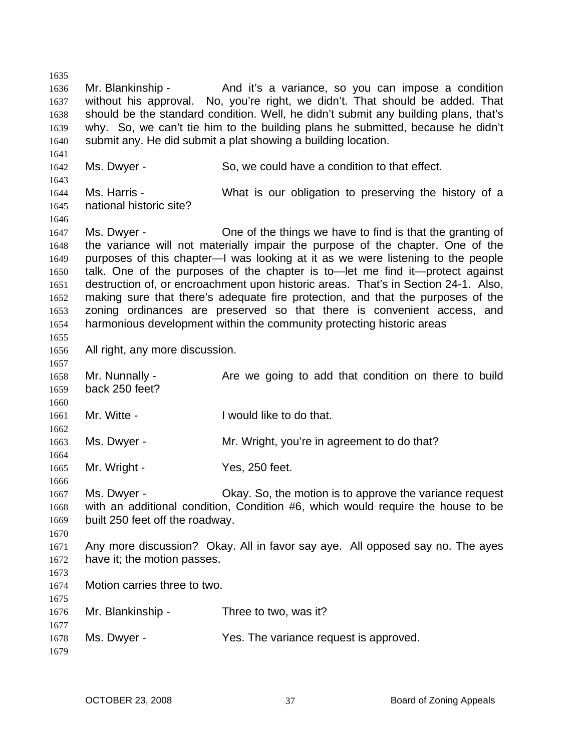1635 1636 1637 1638 1639 1640 1641 1642 1643 1644 1645 1646 1647 1648 1649 1650 1651 1652 1653 1654 1655 1656 1657 1658 1659 1660 1661 1662 1663 1664 1665 1666 1667 1668 1669 1670 1671 1672 1673 1674 1675 1676 1677 1678 1679 Mr. Blankinship - And it's a variance, so you can impose a condition without his approval. No, you're right, we didn't. That should be added. That should be the standard condition. Well, he didn't submit any building plans, that's why. So, we can't tie him to the building plans he submitted, because he didn't submit any. He did submit a plat showing a building location. Ms. Dwyer - So, we could have a condition to that effect. Ms. Harris - What is our obligation to preserving the history of a national historic site? Ms. Dwyer - One of the things we have to find is that the granting of the variance will not materially impair the purpose of the chapter. One of the purposes of this chapter—I was looking at it as we were listening to the people talk. One of the purposes of the chapter is to—let me find it—protect against destruction of, or encroachment upon historic areas. That's in Section 24-1. Also, making sure that there's adequate fire protection, and that the purposes of the zoning ordinances are preserved so that there is convenient access, and harmonious development within the community protecting historic areas All right, any more discussion. Mr. Nunnally - Are we going to add that condition on there to build back 250 feet? Mr. Witte - The Muslim Like to do that. Ms. Dwyer - Mr. Wright, you're in agreement to do that? Mr. Wright - Yes, 250 feet. Ms. Dwyer - Okay. So, the motion is to approve the variance request with an additional condition, Condition #6, which would require the house to be built 250 feet off the roadway. Any more discussion? Okay. All in favor say aye. All opposed say no. The ayes have it; the motion passes. Motion carries three to two. Mr. Blankinship - Three to two, was it? Ms. Dwyer - Yes. The variance request is approved.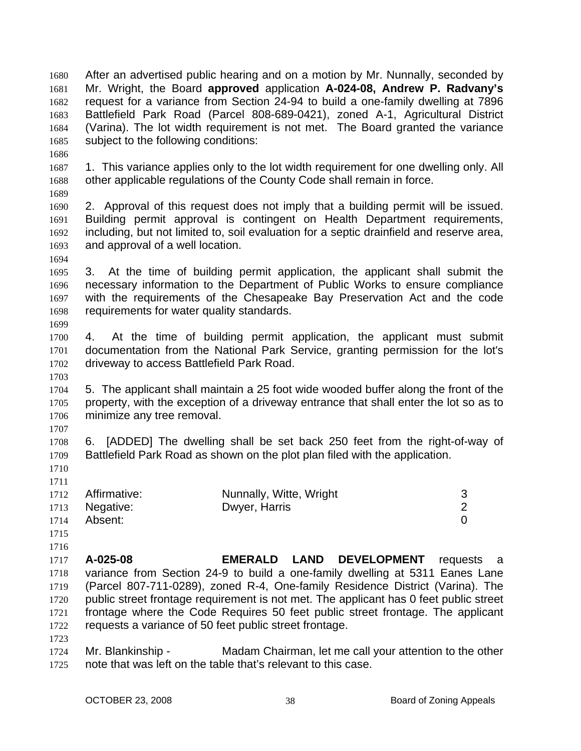After an advertised public hearing and on a motion by Mr. Nunnally, seconded by Mr. Wright, the Board **approved** application **A-024-08, Andrew P. Radvany's**  request for a variance from Section 24-94 to build a one-family dwelling at 7896 Battlefield Park Road (Parcel 808-689-0421), zoned A-1, Agricultural District (Varina). The lot width requirement is not met. The Board granted the variance subject to the following conditions: 1680 1681 1682 1683 1684 1685 1686 1687 1688 1689 1690 1691 1692 1693 1694 1695 1696 1697 1698 1699 1700 1701 1702 1703 1704 1705 1706 1707 1708 1709 1710 1711 1712 1713 1714 1715 1716 1717 1718 1719 1720 1721 1722 1723 1724 1725 1. This variance applies only to the lot width requirement for one dwelling only. All other applicable regulations of the County Code shall remain in force. 2. Approval of this request does not imply that a building permit will be issued. Building permit approval is contingent on Health Department requirements, including, but not limited to, soil evaluation for a septic drainfield and reserve area, and approval of a well location. 3. At the time of building permit application, the applicant shall submit the necessary information to the Department of Public Works to ensure compliance with the requirements of the Chesapeake Bay Preservation Act and the code requirements for water quality standards. 4. At the time of building permit application, the applicant must submit documentation from the National Park Service, granting permission for the lot's driveway to access Battlefield Park Road. 5. The applicant shall maintain a 25 foot wide wooded buffer along the front of the property, with the exception of a driveway entrance that shall enter the lot so as to minimize any tree removal. 6. [ADDED] The dwelling shall be set back 250 feet from the right-of-way of Battlefield Park Road as shown on the plot plan filed with the application. Affirmative: Nunnally, Witte, Wright 3 Negative: Dwyer, Harris 2 Absent: 0 **A-025-08 EMERALD LAND DEVELOPMENT** requests a variance from Section 24-9 to build a one-family dwelling at 5311 Eanes Lane (Parcel 807-711-0289), zoned R-4, One-family Residence District (Varina). The public street frontage requirement is not met. The applicant has 0 feet public street frontage where the Code Requires 50 feet public street frontage. The applicant requests a variance of 50 feet public street frontage. Mr. Blankinship - Madam Chairman, let me call your attention to the other note that was left on the table that's relevant to this case.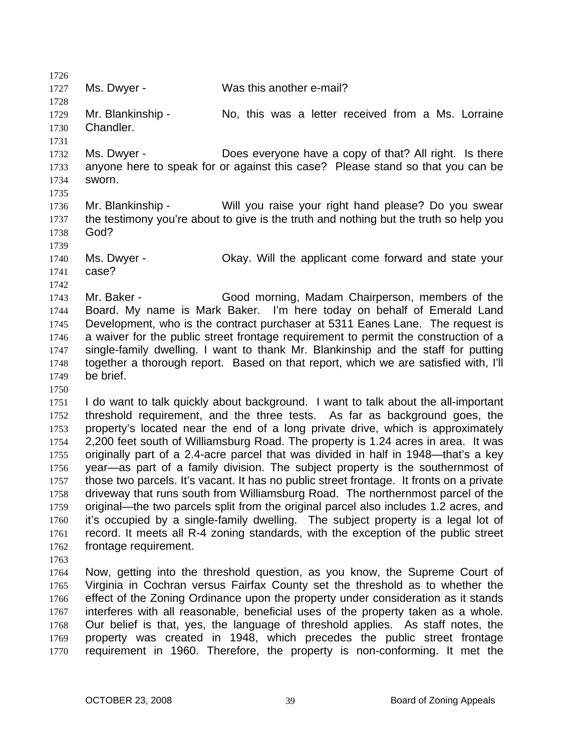1726 1727 1728 1729 1730 1731 1732 1733 1734 1735 1736 1737 1738 1739 1740 1741 1742 1743 1744 1745 1746 1747 1748 1749 1750 1751 1752 1753 1754 1755 1756 1757 1758 1759 1760 1761 1762 1763 1764 1765 1766 1767 1768 1769 Ms. Dwyer - Was this another e-mail? Mr. Blankinship - No, this was a letter received from a Ms. Lorraine Chandler. Ms. Dwyer - Does everyone have a copy of that? All right. Is there anyone here to speak for or against this case? Please stand so that you can be sworn. Mr. Blankinship - Will you raise your right hand please? Do you swear the testimony you're about to give is the truth and nothing but the truth so help you God? Ms. Dwyer - Okay. Will the applicant come forward and state your case? Mr. Baker - Good morning, Madam Chairperson, members of the Board. My name is Mark Baker. I'm here today on behalf of Emerald Land Development, who is the contract purchaser at 5311 Eanes Lane. The request is a waiver for the public street frontage requirement to permit the construction of a single-family dwelling. I want to thank Mr. Blankinship and the staff for putting together a thorough report. Based on that report, which we are satisfied with, I'll be brief. I do want to talk quickly about background. I want to talk about the all-important threshold requirement, and the three tests. As far as background goes, the property's located near the end of a long private drive, which is approximately 2,200 feet south of Williamsburg Road. The property is 1.24 acres in area. It was originally part of a 2.4-acre parcel that was divided in half in 1948—that's a key year—as part of a family division. The subject property is the southernmost of those two parcels. It's vacant. It has no public street frontage. It fronts on a private driveway that runs south from Williamsburg Road. The northernmost parcel of the original—the two parcels split from the original parcel also includes 1.2 acres, and it's occupied by a single-family dwelling. The subject property is a legal lot of record. It meets all R-4 zoning standards, with the exception of the public street frontage requirement. Now, getting into the threshold question, as you know, the Supreme Court of Virginia in Cochran versus Fairfax County set the threshold as to whether the effect of the Zoning Ordinance upon the property under consideration as it stands interferes with all reasonable, beneficial uses of the property taken as a whole. Our belief is that, yes, the language of threshold applies. As staff notes, the property was created in 1948, which precedes the public street frontage

1770

requirement in 1960. Therefore, the property is non-conforming. It met the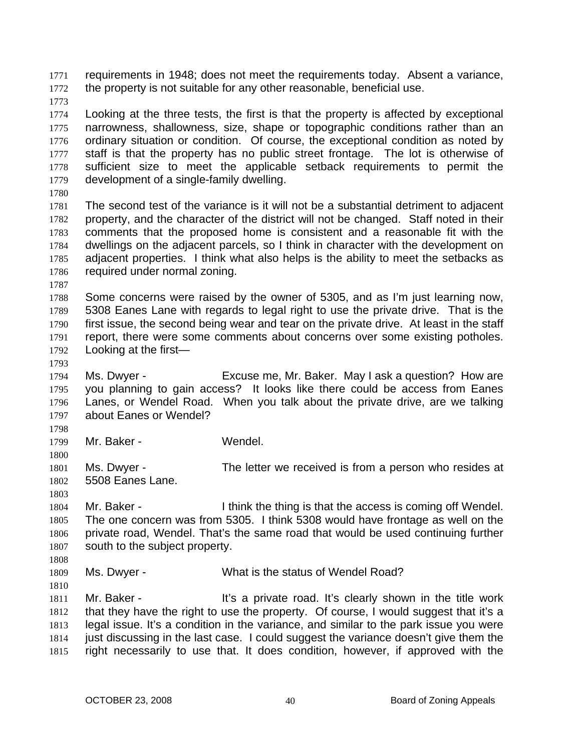requirements in 1948; does not meet the requirements today. Absent a variance, the property is not suitable for any other reasonable, beneficial use. 1771 1772

1773

1774 1775 1776 1777 1778 1779 Looking at the three tests, the first is that the property is affected by exceptional narrowness, shallowness, size, shape or topographic conditions rather than an ordinary situation or condition. Of course, the exceptional condition as noted by staff is that the property has no public street frontage. The lot is otherwise of sufficient size to meet the applicable setback requirements to permit the development of a single-family dwelling.

1780

1781 1782 1783 1784 1785 1786 The second test of the variance is it will not be a substantial detriment to adjacent property, and the character of the district will not be changed. Staff noted in their comments that the proposed home is consistent and a reasonable fit with the dwellings on the adjacent parcels, so I think in character with the development on adjacent properties. I think what also helps is the ability to meet the setbacks as required under normal zoning.

1787

1788 1789 1790 1791 1792 Some concerns were raised by the owner of 5305, and as I'm just learning now, 5308 Eanes Lane with regards to legal right to use the private drive. That is the first issue, the second being wear and tear on the private drive. At least in the staff report, there were some comments about concerns over some existing potholes. Looking at the first—

1793

1794 1795 1796 1797 Ms. Dwyer - Excuse me, Mr. Baker. May I ask a question? How are you planning to gain access? It looks like there could be access from Eanes Lanes, or Wendel Road. When you talk about the private drive, are we talking about Eanes or Wendel?

1798 1799

1800

Mr. Baker - Wendel.

1801 1802 Ms. Dwyer - The letter we received is from a person who resides at 5508 Eanes Lane.

1803

1810

1804 1805 1806 1807 1808 Mr. Baker - I think the thing is that the access is coming off Wendel. The one concern was from 5305. I think 5308 would have frontage as well on the private road, Wendel. That's the same road that would be used continuing further south to the subject property.

1809 Ms. Dwyer - What is the status of Wendel Road?

1811 1812 1813 1814 1815 Mr. Baker - The Music a private road. It's clearly shown in the title work that they have the right to use the property. Of course, I would suggest that it's a legal issue. It's a condition in the variance, and similar to the park issue you were just discussing in the last case. I could suggest the variance doesn't give them the right necessarily to use that. It does condition, however, if approved with the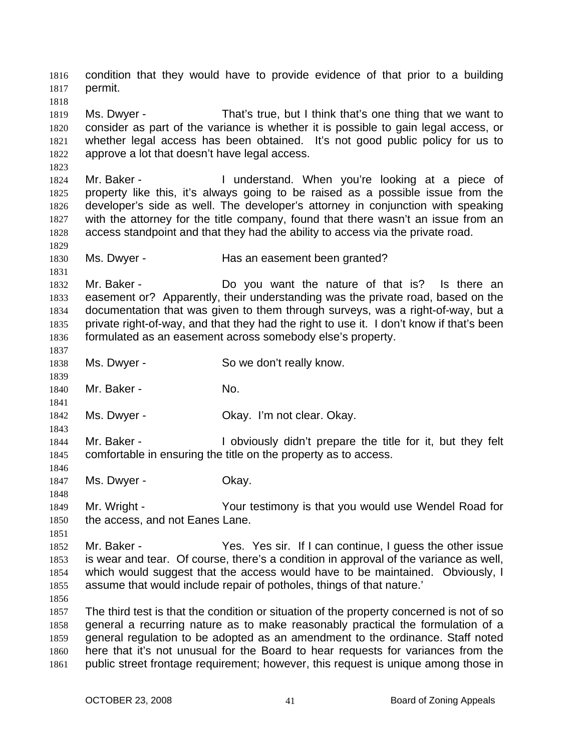condition that they would have to provide evidence of that prior to a building permit. 1816 1817 1818

1819 1820 1821 1822 Ms. Dwyer - That's true, but I think that's one thing that we want to consider as part of the variance is whether it is possible to gain legal access, or whether legal access has been obtained. It's not good public policy for us to approve a lot that doesn't have legal access.

1824 1825 1826 1827 1828 Mr. Baker - The Munderstand. When you're looking at a piece of property like this, it's always going to be raised as a possible issue from the developer's side as well. The developer's attorney in conjunction with speaking with the attorney for the title company, found that there wasn't an issue from an access standpoint and that they had the ability to access via the private road.

1830 Ms. Dwyer - The Has an easement been granted?

1832 1833 1834 1835 1836 1837 Mr. Baker - Do you want the nature of that is? Is there an easement or? Apparently, their understanding was the private road, based on the documentation that was given to them through surveys, was a right-of-way, but a private right-of-way, and that they had the right to use it. I don't know if that's been formulated as an easement across somebody else's property.

1838 Ms. Dwyer - So we don't really know.

1840 Mr. Baker - No.

1842 Ms. Dwyer - Ckay. I'm not clear. Okay.

- 1844 1845 Mr. Baker - I obviously didn't prepare the title for it, but they felt comfortable in ensuring the title on the property as to access.
- 1847 Ms. Dwyer - Chay.
- 1849 1850 Mr. Wright - The Your testimony is that you would use Wendel Road for the access, and not Eanes Lane.

1852 1853 1854 1855 Mr. Baker - The Yes. Yes sir. If I can continue, I guess the other issue is wear and tear. Of course, there's a condition in approval of the variance as well, which would suggest that the access would have to be maintained. Obviously, I assume that would include repair of potholes, things of that nature.'

1856

1823

1829

1831

1839

1841

1843

1846

1848

1851

1857 1858 1859 1860 1861 The third test is that the condition or situation of the property concerned is not of so general a recurring nature as to make reasonably practical the formulation of a general regulation to be adopted as an amendment to the ordinance. Staff noted here that it's not unusual for the Board to hear requests for variances from the public street frontage requirement; however, this request is unique among those in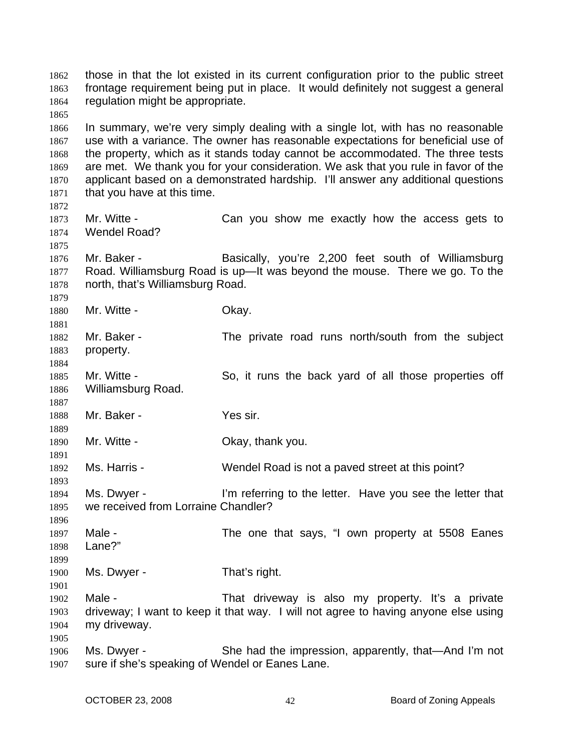those in that the lot existed in its current configuration prior to the public street frontage requirement being put in place. It would definitely not suggest a general regulation might be appropriate. 1862 1863 1864 1865 1866 1867 1868 1869 1870 1871 1872 1873 1874 1875 1876 1877 1878 1879 1880 1881 1882 1883 1884 1885 1886 1887 1888 1889 1890 1891 1892 1893 1894 1895 1896 1897 1898 1899 1900 1901 1902 1903 1904 1905 1906 1907 In summary, we're very simply dealing with a single lot, with has no reasonable use with a variance. The owner has reasonable expectations for beneficial use of the property, which as it stands today cannot be accommodated. The three tests are met. We thank you for your consideration. We ask that you rule in favor of the applicant based on a demonstrated hardship. I'll answer any additional questions that you have at this time. Mr. Witte - Can you show me exactly how the access gets to Wendel Road? Mr. Baker - Basically, you're 2,200 feet south of Williamsburg Road. Williamsburg Road is up—It was beyond the mouse. There we go. To the north, that's Williamsburg Road. Mr. Witte - Chay. Mr. Baker - The private road runs north/south from the subject property. Mr. Witte - So, it runs the back yard of all those properties off Williamsburg Road. Mr. Baker - Yes sir. Mr. Witte - Chay, thank you. Ms. Harris - Wendel Road is not a paved street at this point? Ms. Dwyer - I'm referring to the letter. Have you see the letter that we received from Lorraine Chandler? Male - The one that says, "I own property at 5508 Eanes Lane?" Ms. Dwyer - That's right. Male - That driveway is also my property. It's a private driveway; I want to keep it that way. I will not agree to having anyone else using my driveway. Ms. Dwyer - She had the impression, apparently, that—And I'm not sure if she's speaking of Wendel or Eanes Lane.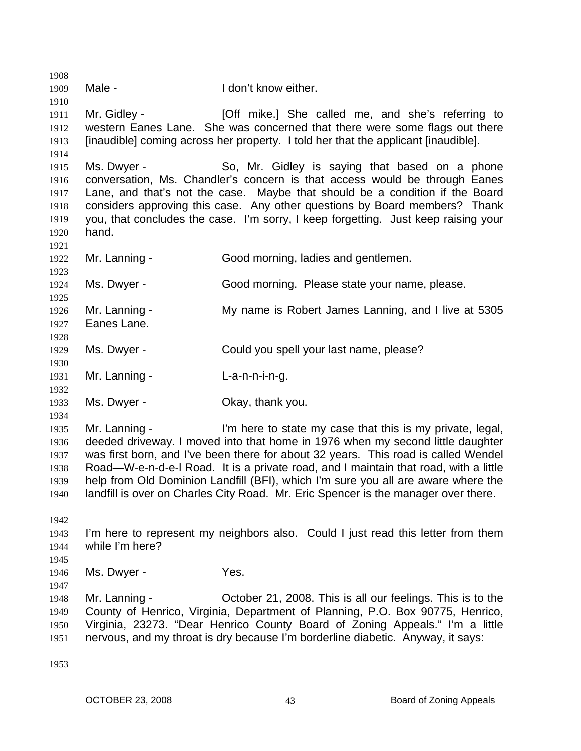1908 1909 1910 1911 1912 1913 1914 1915 1916 1917 1918 1919 1920 1921 1922 1923 1924 1925 1926 1927 1928 1929 1930 1931 1932 1933 1934 1935 1936 1937 1938 1939 1940 1942 1943 1944 1945 1946 1947 1948 1949 1950 1951 1953 Male - I don't know either. Mr. Gidley - **[Off mike.]** She called me, and she's referring to western Eanes Lane. She was concerned that there were some flags out there [inaudible] coming across her property. I told her that the applicant [inaudible]. Ms. Dwyer - So, Mr. Gidley is saying that based on a phone conversation, Ms. Chandler's concern is that access would be through Eanes Lane, and that's not the case. Maybe that should be a condition if the Board considers approving this case. Any other questions by Board members? Thank you, that concludes the case. I'm sorry, I keep forgetting. Just keep raising your hand. Mr. Lanning - Good morning, ladies and gentlemen. Ms. Dwyer - Good morning. Please state your name, please. Mr. Lanning - My name is Robert James Lanning, and I live at 5305 Eanes Lane. Ms. Dwyer - Could you spell your last name, please? Mr. Lanning - L-a-n-n-i-n-g. Ms. Dwyer - Chay, thank you. Mr. Lanning - I'm here to state my case that this is my private, legal, deeded driveway. I moved into that home in 1976 when my second little daughter was first born, and I've been there for about 32 years. This road is called Wendel Road—W-e-n-d-e-l Road. It is a private road, and I maintain that road, with a little help from Old Dominion Landfill (BFI), which I'm sure you all are aware where the landfill is over on Charles City Road. Mr. Eric Spencer is the manager over there. I'm here to represent my neighbors also. Could I just read this letter from them while I'm here? Ms. Dwyer - Yes. Mr. Lanning - October 21, 2008. This is all our feelings. This is to the County of Henrico, Virginia, Department of Planning, P.O. Box 90775, Henrico, Virginia, 23273. "Dear Henrico County Board of Zoning Appeals." I'm a little nervous, and my throat is dry because I'm borderline diabetic. Anyway, it says: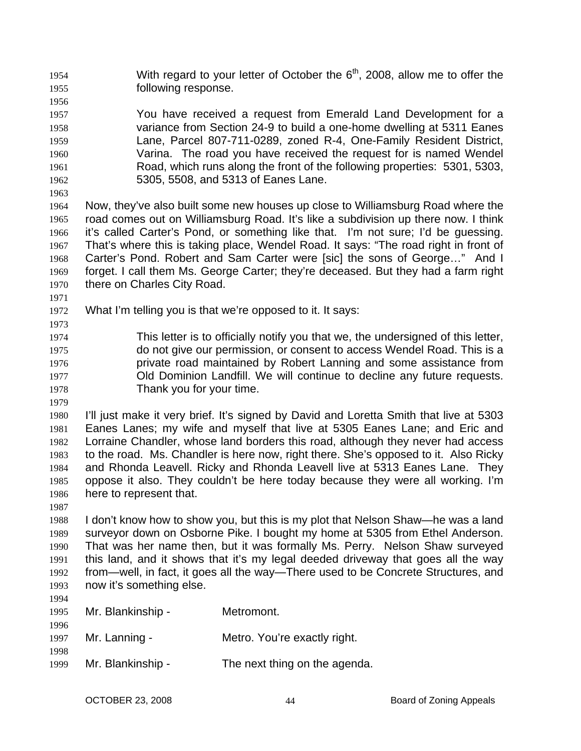- With regard to your letter of October the  $6<sup>th</sup>$ , 2008, allow me to offer the following response. 1954 1955
- 1956 1957 1958 1959 1960 1961 1962 You have received a request from Emerald Land Development for a variance from Section 24-9 to build a one-home dwelling at 5311 Eanes Lane, Parcel 807-711-0289, zoned R-4, One-Family Resident District, Varina. The road you have received the request for is named Wendel Road, which runs along the front of the following properties: 5301, 5303, 5305, 5508, and 5313 of Eanes Lane.
- 1963

1964 1965 1966 1967 1968 1969 1970 Now, they've also built some new houses up close to Williamsburg Road where the road comes out on Williamsburg Road. It's like a subdivision up there now. I think it's called Carter's Pond, or something like that. I'm not sure; I'd be guessing. That's where this is taking place, Wendel Road. It says: "The road right in front of Carter's Pond. Robert and Sam Carter were [sic] the sons of George…" And I forget. I call them Ms. George Carter; they're deceased. But they had a farm right there on Charles City Road.

- 1972 What I'm telling you is that we're opposed to it. It says:
- 1973

1971

1974 1975 1976 1977 1978 This letter is to officially notify you that we, the undersigned of this letter, do not give our permission, or consent to access Wendel Road. This is a private road maintained by Robert Lanning and some assistance from Old Dominion Landfill. We will continue to decline any future requests. Thank you for your time.

1979

1980 1981 1982 1983 1984 1985 1986 I'll just make it very brief. It's signed by David and Loretta Smith that live at 5303 Eanes Lanes; my wife and myself that live at 5305 Eanes Lane; and Eric and Lorraine Chandler, whose land borders this road, although they never had access to the road. Ms. Chandler is here now, right there. She's opposed to it. Also Ricky and Rhonda Leavell. Ricky and Rhonda Leavell live at 5313 Eanes Lane. They oppose it also. They couldn't be here today because they were all working. I'm here to represent that.

1987

1994

1988 1989 1990 1991 1992 1993 I don't know how to show you, but this is my plot that Nelson Shaw—he was a land surveyor down on Osborne Pike. I bought my home at 5305 from Ethel Anderson. That was her name then, but it was formally Ms. Perry. Nelson Shaw surveyed this land, and it shows that it's my legal deeded driveway that goes all the way from—well, in fact, it goes all the way—There used to be Concrete Structures, and now it's something else.

| 1995         | Mr. Blankinship - | Metromont.                    |
|--------------|-------------------|-------------------------------|
| 1996<br>1997 | Mr. Lanning -     | Metro. You're exactly right.  |
| 1998<br>1999 | Mr. Blankinship - | The next thing on the agenda. |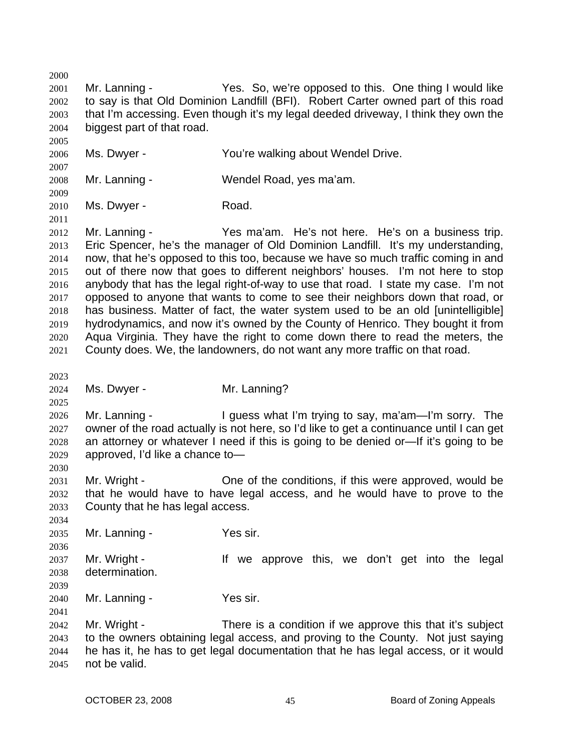2000 2001 2002 2003 2004 2005 2006 2007 2008 2009 2010 2011 2012 2013 2014 2015 2016 2017 2018 2019 2020 2021 2023 2024 2025 2026 2027 2028 2029 2030 2031 2032 2033 2034 2035 2036 2037 2038 2039 2040 2041 2042 2043 2044 2045 Mr. Lanning - The Yes. So, we're opposed to this. One thing I would like to say is that Old Dominion Landfill (BFI). Robert Carter owned part of this road that I'm accessing. Even though it's my legal deeded driveway, I think they own the biggest part of that road. Ms. Dwyer - The You're walking about Wendel Drive. Mr. Lanning - Wendel Road, yes ma'am. Ms. Dwyer - Road. Mr. Lanning - Yes ma'am. He's not here. He's on a business trip. Eric Spencer, he's the manager of Old Dominion Landfill. It's my understanding, now, that he's opposed to this too, because we have so much traffic coming in and out of there now that goes to different neighbors' houses. I'm not here to stop anybody that has the legal right-of-way to use that road. I state my case. I'm not opposed to anyone that wants to come to see their neighbors down that road, or has business. Matter of fact, the water system used to be an old [unintelligible] hydrodynamics, and now it's owned by the County of Henrico. They bought it from Aqua Virginia. They have the right to come down there to read the meters, the County does. We, the landowners, do not want any more traffic on that road. Ms. Dwyer - Mr. Lanning? Mr. Lanning - The I guess what I'm trying to say, ma'am—I'm sorry. The owner of the road actually is not here, so I'd like to get a continuance until I can get an attorney or whatever I need if this is going to be denied or—If it's going to be approved, I'd like a chance to— Mr. Wright - One of the conditions, if this were approved, would be that he would have to have legal access, and he would have to prove to the County that he has legal access. Mr. Lanning - Yes sir. Mr. Wright - The Mr approve this, we don't get into the legal determination. Mr. Lanning - Yes sir. Mr. Wright - There is a condition if we approve this that it's subject to the owners obtaining legal access, and proving to the County. Not just saying he has it, he has to get legal documentation that he has legal access, or it would not be valid.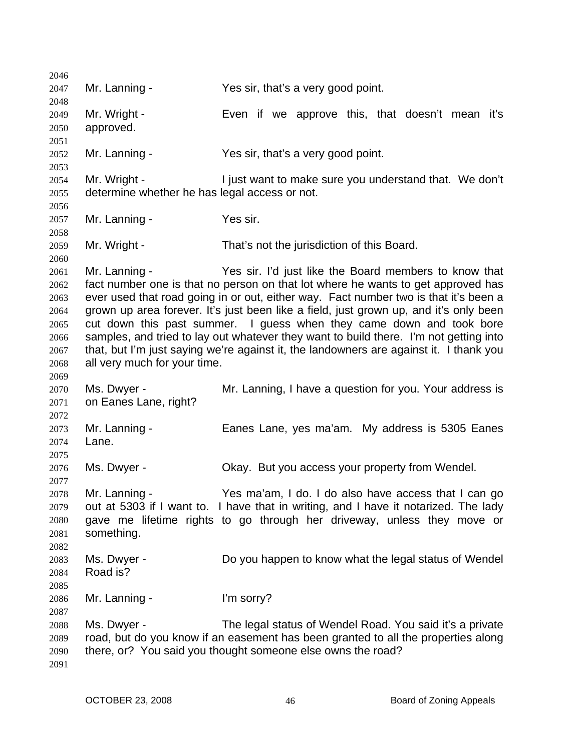| 2046 |                                               |                                                                                        |
|------|-----------------------------------------------|----------------------------------------------------------------------------------------|
| 2047 | Mr. Lanning -                                 | Yes sir, that's a very good point.                                                     |
| 2048 |                                               |                                                                                        |
| 2049 | Mr. Wright -                                  | Even if we approve this, that doesn't mean it's                                        |
| 2050 | approved.                                     |                                                                                        |
| 2051 |                                               |                                                                                        |
| 2052 | Mr. Lanning -                                 | Yes sir, that's a very good point.                                                     |
| 2053 |                                               |                                                                                        |
| 2054 | Mr. Wright -                                  | I just want to make sure you understand that. We don't                                 |
| 2055 | determine whether he has legal access or not. |                                                                                        |
| 2056 |                                               |                                                                                        |
| 2057 | Mr. Lanning -                                 | Yes sir.                                                                               |
| 2058 |                                               |                                                                                        |
| 2059 | Mr. Wright -                                  | That's not the jurisdiction of this Board.                                             |
| 2060 |                                               |                                                                                        |
| 2061 | Mr. Lanning -                                 | Yes sir. I'd just like the Board members to know that                                  |
| 2062 |                                               | fact number one is that no person on that lot where he wants to get approved has       |
| 2063 |                                               | ever used that road going in or out, either way. Fact number two is that it's been a   |
| 2064 |                                               | grown up area forever. It's just been like a field, just grown up, and it's only been  |
| 2065 |                                               | cut down this past summer. I guess when they came down and took bore                   |
| 2066 |                                               | samples, and tried to lay out whatever they want to build there. I'm not getting into  |
| 2067 |                                               | that, but I'm just saying we're against it, the landowners are against it. I thank you |
| 2068 | all very much for your time.                  |                                                                                        |
| 2069 |                                               |                                                                                        |
| 2070 | Ms. Dwyer -                                   | Mr. Lanning, I have a question for you. Your address is                                |
| 2071 | on Eanes Lane, right?                         |                                                                                        |
| 2072 |                                               |                                                                                        |
| 2073 | Mr. Lanning -                                 | Eanes Lane, yes ma'am. My address is 5305 Eanes                                        |
| 2074 | Lane.                                         |                                                                                        |
| 2075 |                                               |                                                                                        |
| 2076 | Ms. Dwyer -                                   | Okay. But you access your property from Wendel.                                        |
| 2077 |                                               |                                                                                        |
| 2078 | Mr. Lanning -                                 | Yes ma'am, I do. I do also have access that I can go                                   |
| 2079 |                                               | out at 5303 if I want to. I have that in writing, and I have it notarized. The lady    |
| 2080 |                                               | gave me lifetime rights to go through her driveway, unless they move or                |
| 2081 | something.                                    |                                                                                        |
| 2082 |                                               |                                                                                        |
| 2083 | Ms. Dwyer -                                   | Do you happen to know what the legal status of Wendel                                  |
| 2084 | Road is?                                      |                                                                                        |
| 2085 |                                               |                                                                                        |
| 2086 | Mr. Lanning -                                 | I'm sorry?                                                                             |
| 2087 |                                               |                                                                                        |
| 2088 | Ms. Dwyer -                                   | The legal status of Wendel Road. You said it's a private                               |
| 2089 |                                               | road, but do you know if an easement has been granted to all the properties along      |
| 2090 |                                               | there, or? You said you thought someone else owns the road?                            |
| 2091 |                                               |                                                                                        |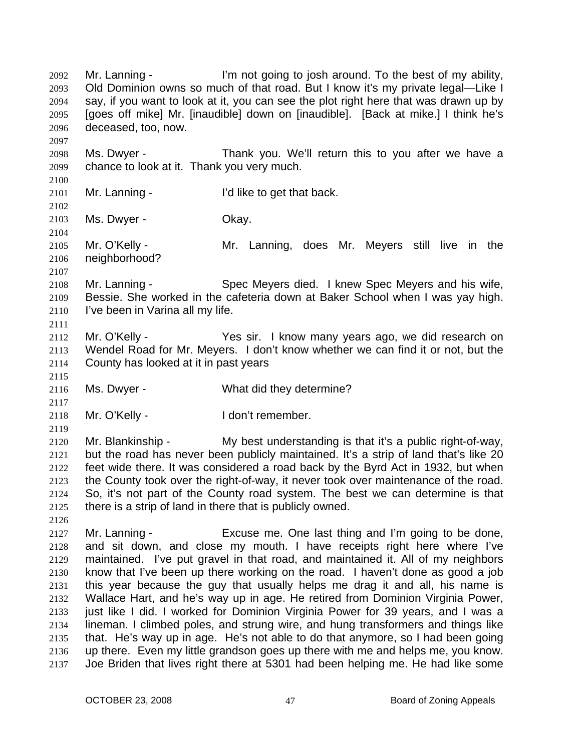Mr. Lanning - I'm not going to josh around. To the best of my ability, Old Dominion owns so much of that road. But I know it's my private legal—Like I say, if you want to look at it, you can see the plot right here that was drawn up by [goes off mike] Mr. [inaudible] down on [inaudible]. [Back at mike.] I think he's deceased, too, now. 2092 2093 2094 2095 2096 2097 2098 2099 2100 2101 2102 2103 2104 2105 2106 2107 2108 2109 2110 2111 2112 2113 2114 2115 2116 2117 2118 2119 2120 2121 2122 2123 2124 2125 2126 2127 2128 2129 2130 2131 2132 2133 2134 2135 2136 2137 Ms. Dwyer - Thank you. We'll return this to you after we have a chance to look at it. Thank you very much. Mr. Lanning - T'd like to get that back. Ms. Dwyer - Ckay. Mr. O'Kelly - The Mr. Lanning, does Mr. Meyers still live in the neighborhood? Mr. Lanning - Spec Meyers died. I knew Spec Meyers and his wife, Bessie. She worked in the cafeteria down at Baker School when I was yay high. I've been in Varina all my life. Mr. O'Kelly - Yes sir. I know many years ago, we did research on Wendel Road for Mr. Meyers. I don't know whether we can find it or not, but the County has looked at it in past years Ms. Dwyer - What did they determine? Mr. O'Kelly - I don't remember. Mr. Blankinship - My best understanding is that it's a public right-of-way, but the road has never been publicly maintained. It's a strip of land that's like 20 feet wide there. It was considered a road back by the Byrd Act in 1932, but when the County took over the right-of-way, it never took over maintenance of the road. So, it's not part of the County road system. The best we can determine is that there is a strip of land in there that is publicly owned. Mr. Lanning - Excuse me. One last thing and I'm going to be done, and sit down, and close my mouth. I have receipts right here where I've maintained. I've put gravel in that road, and maintained it. All of my neighbors know that I've been up there working on the road. I haven't done as good a job this year because the guy that usually helps me drag it and all, his name is Wallace Hart, and he's way up in age. He retired from Dominion Virginia Power, just like I did. I worked for Dominion Virginia Power for 39 years, and I was a lineman. I climbed poles, and strung wire, and hung transformers and things like that. He's way up in age. He's not able to do that anymore, so I had been going up there. Even my little grandson goes up there with me and helps me, you know. Joe Briden that lives right there at 5301 had been helping me. He had like some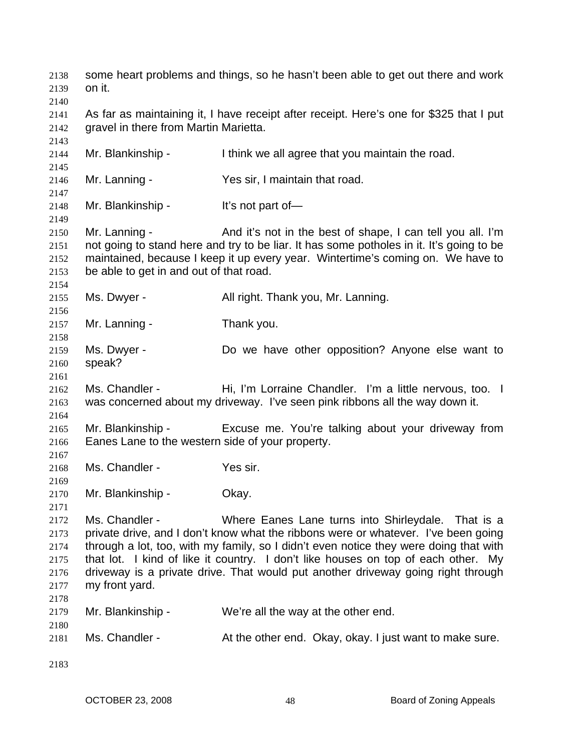some heart problems and things, so he hasn't been able to get out there and work on it. 2138 2139 2140 2141 2142 2143 2144 2145 2146 2147 2148 2149 2150 2151 2152 2153 2154 2155 2156 2157 2158 2159 2160 2161 2162 2163 2164 2165 2166 2167 2168 2169 2170 2171 2172 2173 2174 2175 2176 2177 2178 2179 2180 2181 2183 As far as maintaining it, I have receipt after receipt. Here's one for \$325 that I put gravel in there from Martin Marietta. Mr. Blankinship - Think we all agree that you maintain the road. Mr. Lanning - The Yes sir, I maintain that road. Mr. Blankinship - It's not part of— Mr. Lanning - The And it's not in the best of shape, I can tell you all. I'm not going to stand here and try to be liar. It has some potholes in it. It's going to be maintained, because I keep it up every year. Wintertime's coming on. We have to be able to get in and out of that road. Ms. Dwyer - **All right. Thank you, Mr. Lanning.** Mr. Lanning - Thank you. Ms. Dwyer - The Do we have other opposition? Anyone else want to speak? Ms. Chandler - Thi, I'm Lorraine Chandler. I'm a little nervous, too. I was concerned about my driveway. I've seen pink ribbons all the way down it. Mr. Blankinship - Excuse me. You're talking about your driveway from Eanes Lane to the western side of your property. Ms. Chandler - Yes sir. Mr. Blankinship - Okay. Ms. Chandler - Where Eanes Lane turns into Shirleydale. That is a private drive, and I don't know what the ribbons were or whatever. I've been going through a lot, too, with my family, so I didn't even notice they were doing that with that lot. I kind of like it country. I don't like houses on top of each other. My driveway is a private drive. That would put another driveway going right through my front yard. Mr. Blankinship - We're all the way at the other end. Ms. Chandler - At the other end. Okay, okay. I just want to make sure.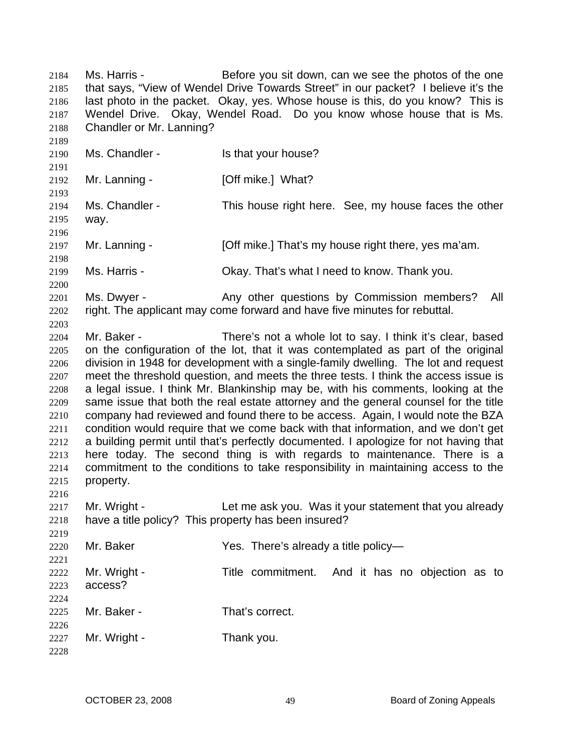Ms. Harris - Before you sit down, can we see the photos of the one that says, "View of Wendel Drive Towards Street" in our packet? I believe it's the last photo in the packet. Okay, yes. Whose house is this, do you know? This is Wendel Drive. Okay, Wendel Road. Do you know whose house that is Ms. Chandler or Mr. Lanning? 2184 2185 2186 2187 2188 2189 2190 2191 2192 2193 2194 2195 2196 2197 2198 2199 2200 2201 2202 2203 2204 2205 2206 2207 2208 2209 2210 2211 2212 2213 2214 2215 2216 2217 2218 2219 2220 2221 2222 2223 2224 2225 2226 2227 2228 Ms. Chandler - The Musse of the Is that your house? Mr. Lanning - **[Off mike.]** What? Ms. Chandler - This house right here. See, my house faces the other way. Mr. Lanning - [Off mike.] That's my house right there, yes ma'am. Ms. Harris - Chay. That's what I need to know. Thank you. Ms. Dwyer - Any other questions by Commission members? All right. The applicant may come forward and have five minutes for rebuttal. Mr. Baker - There's not a whole lot to say. I think it's clear, based on the configuration of the lot, that it was contemplated as part of the original division in 1948 for development with a single-family dwelling. The lot and request meet the threshold question, and meets the three tests. I think the access issue is a legal issue. I think Mr. Blankinship may be, with his comments, looking at the same issue that both the real estate attorney and the general counsel for the title company had reviewed and found there to be access. Again, I would note the BZA condition would require that we come back with that information, and we don't get a building permit until that's perfectly documented. I apologize for not having that here today. The second thing is with regards to maintenance. There is a commitment to the conditions to take responsibility in maintaining access to the property. Mr. Wright - Let me ask you. Was it your statement that you already have a title policy? This property has been insured? Mr. Baker Yes. There's already a title policy-Mr. Wright - Title commitment. And it has no objection as to access? Mr. Baker - That's correct. Mr. Wright - Thank you.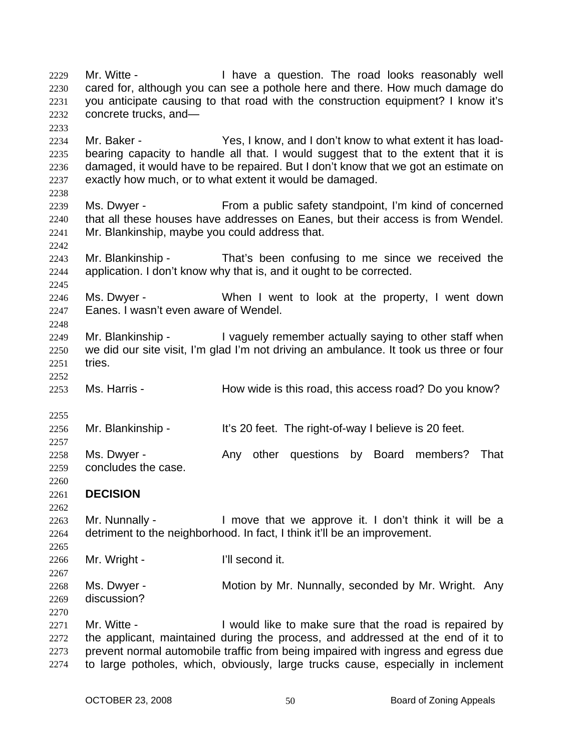Mr. Witte - The Muslim Have a question. The road looks reasonably well cared for, although you can see a pothole here and there. How much damage do you anticipate causing to that road with the construction equipment? I know it's concrete trucks, and— 2229 2230 2231 2232 2233 2234 2235 2236 2237 2238 2239 2240 2241 2242 2243 2244 2245 2246 2247 2248 2249 2250 2251 2252 2253 2255 2256 2257 2258 2259 2260 2261 2262 2263 2264 2265 2266 2267 2268 2269 2270 2271 2272 2273 2274 Mr. Baker - Yes, I know, and I don't know to what extent it has loadbearing capacity to handle all that. I would suggest that to the extent that it is damaged, it would have to be repaired. But I don't know that we got an estimate on exactly how much, or to what extent it would be damaged. Ms. Dwyer - From a public safety standpoint, I'm kind of concerned that all these houses have addresses on Eanes, but their access is from Wendel. Mr. Blankinship, maybe you could address that. Mr. Blankinship - That's been confusing to me since we received the application. I don't know why that is, and it ought to be corrected. Ms. Dwyer - When I went to look at the property, I went down Eanes. I wasn't even aware of Wendel. Mr. Blankinship - The aguely remember actually saying to other staff when we did our site visit, I'm glad I'm not driving an ambulance. It took us three or four tries. Ms. Harris - The Mow wide is this road, this access road? Do you know? Mr. Blankinship - It's 20 feet. The right-of-way I believe is 20 feet. Ms. Dwyer - That Any other questions by Board members? That concludes the case. **DECISION**  Mr. Nunnally - I move that we approve it. I don't think it will be a detriment to the neighborhood. In fact, I think it'll be an improvement. Mr. Wright - I'll second it. Ms. Dwyer - **Motion by Mr. Nunnally, seconded by Mr. Wright.** Any discussion? Mr. Witte - The Sould like to make sure that the road is repaired by the applicant, maintained during the process, and addressed at the end of it to prevent normal automobile traffic from being impaired with ingress and egress due to large potholes, which, obviously, large trucks cause, especially in inclement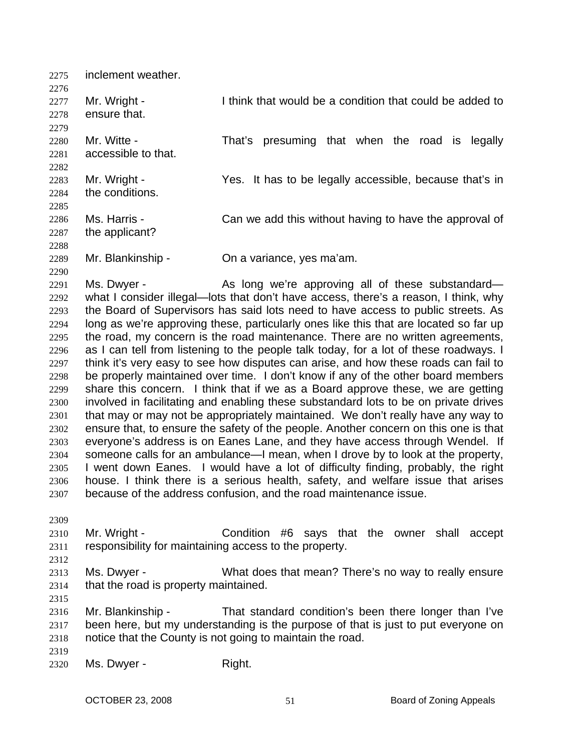2275 inclement weather. 2276 2277 2278 2279 2280 2281 2282 2283 2284 2285 2286 2287 2288 2289 2290 2291 2292 2293 2294 2295 2296 2297 2298 2299 2300 2301 2302 2303 2304 2305 2306 2307 2309 2310 2311 2312 2313 2314 2315 2316 2317 2318 2319 2320 Mr. Wright - I think that would be a condition that could be added to ensure that. Mr. Witte - That's presuming that when the road is legally accessible to that. Mr. Wright - Yes. It has to be legally accessible, because that's in the conditions. Ms. Harris - Can we add this without having to have the approval of the applicant? Mr. Blankinship - Chia variance, yes ma'am. Ms. Dwyer - The As long we're approving all of these substandard what I consider illegal—lots that don't have access, there's a reason, I think, why the Board of Supervisors has said lots need to have access to public streets. As long as we're approving these, particularly ones like this that are located so far up the road, my concern is the road maintenance. There are no written agreements, as I can tell from listening to the people talk today, for a lot of these roadways. I think it's very easy to see how disputes can arise, and how these roads can fail to be properly maintained over time. I don't know if any of the other board members share this concern. I think that if we as a Board approve these, we are getting involved in facilitating and enabling these substandard lots to be on private drives that may or may not be appropriately maintained. We don't really have any way to ensure that, to ensure the safety of the people. Another concern on this one is that everyone's address is on Eanes Lane, and they have access through Wendel. If someone calls for an ambulance—I mean, when I drove by to look at the property, I went down Eanes. I would have a lot of difficulty finding, probably, the right house. I think there is a serious health, safety, and welfare issue that arises because of the address confusion, and the road maintenance issue. Mr. Wright - Condition #6 says that the owner shall accept responsibility for maintaining access to the property. Ms. Dwyer - What does that mean? There's no way to really ensure that the road is property maintained. Mr. Blankinship - That standard condition's been there longer than I've been here, but my understanding is the purpose of that is just to put everyone on notice that the County is not going to maintain the road. Ms. Dwyer - Right.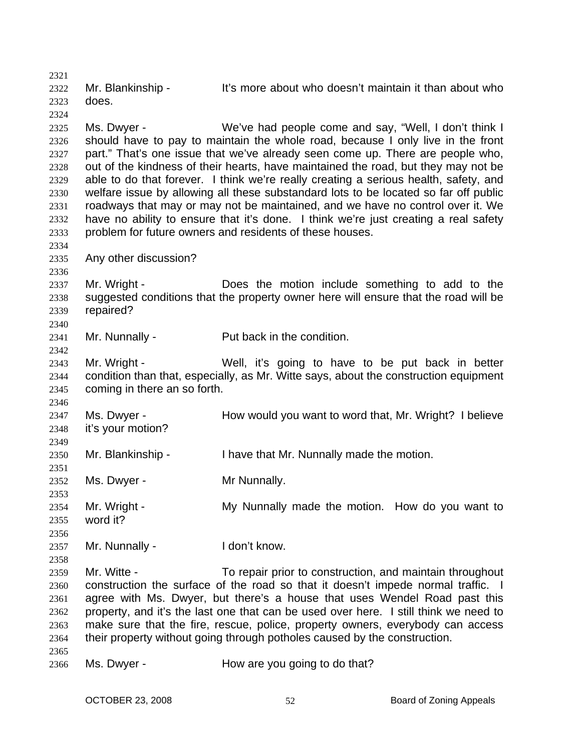2321 2322 2323 2324 2325 2326 2327 2328 2329 2330 2331 2332 2333 2334 2335 2336 2337 2338 2339 2340 2341 2342 2343 2344 2345 2346 2347 2348 2349 2350 2351 2352 2353 2354 2355 2356 2357 2358 2359 2360 2361 2362 2363 2364 2365 2366 Mr. Blankinship - It's more about who doesn't maintain it than about who does. Ms. Dwyer - We've had people come and say, "Well, I don't think I should have to pay to maintain the whole road, because I only live in the front part." That's one issue that we've already seen come up. There are people who, out of the kindness of their hearts, have maintained the road, but they may not be able to do that forever. I think we're really creating a serious health, safety, and welfare issue by allowing all these substandard lots to be located so far off public roadways that may or may not be maintained, and we have no control over it. We have no ability to ensure that it's done. I think we're just creating a real safety problem for future owners and residents of these houses. Any other discussion? Mr. Wright - Does the motion include something to add to the suggested conditions that the property owner here will ensure that the road will be repaired? Mr. Nunnally - Put back in the condition. Mr. Wright - Well, it's going to have to be put back in better condition than that, especially, as Mr. Witte says, about the construction equipment coming in there an so forth. Ms. Dwyer - How would you want to word that, Mr. Wright? I believe it's your motion? Mr. Blankinship - I have that Mr. Nunnally made the motion. Ms. Dwyer - Mr Nunnally. Mr. Wright - My Nunnally made the motion. How do you want to word it? Mr. Nunnally - I don't know. Mr. Witte - To repair prior to construction, and maintain throughout construction the surface of the road so that it doesn't impede normal traffic. I agree with Ms. Dwyer, but there's a house that uses Wendel Road past this property, and it's the last one that can be used over here. I still think we need to make sure that the fire, rescue, police, property owners, everybody can access their property without going through potholes caused by the construction. Ms. Dwyer - How are you going to do that?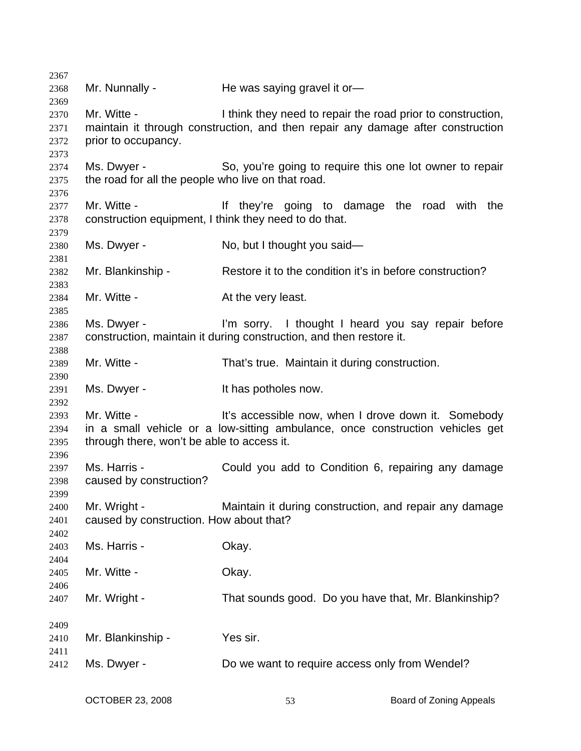Mr. Nunnally - He was saying gravel it or-Mr. Witte - I think they need to repair the road prior to construction, maintain it through construction, and then repair any damage after construction prior to occupancy. Ms. Dwyer - So, you're going to require this one lot owner to repair the road for all the people who live on that road. Mr. Witte - If they're going to damage the road with the construction equipment, I think they need to do that. Ms. Dwyer - No, but I thought you said— Mr. Blankinship - Restore it to the condition it's in before construction? Mr. Witte - The Muslim At the very least. Ms. Dwyer - I'm sorry. I thought I heard you say repair before construction, maintain it during construction, and then restore it. Mr. Witte - That's true. Maintain it during construction. Ms. Dwyer - The Music Section of the Music Section Music Province and Music Music Music Music Music Music Music Music Music Music Music Music Music Music Music Music Music Music Music Music Music Music Music Music Music Mu Mr. Witte - The Music of the accessible now, when I drove down it. Somebody in a small vehicle or a low-sitting ambulance, once construction vehicles get through there, won't be able to access it. Ms. Harris - Could you add to Condition 6, repairing any damage caused by construction? Mr. Wright - **Maintain it during construction**, and repair any damage caused by construction. How about that? Ms. Harris - Ckay. Mr. Witte - Chay. Mr. Wright - That sounds good. Do you have that, Mr. Blankinship? Mr. Blankinship - Yes sir. Ms. Dwyer - Do we want to require access only from Wendel?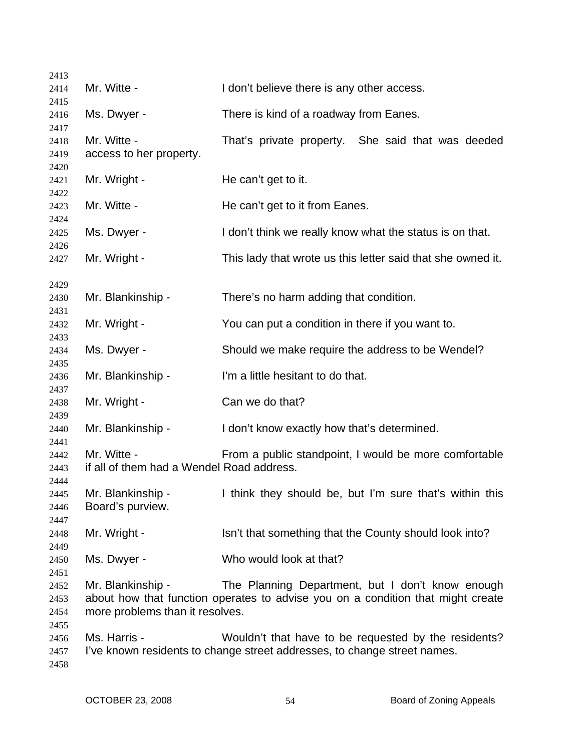| 2413                 |                                                          |                                                                                                                                     |
|----------------------|----------------------------------------------------------|-------------------------------------------------------------------------------------------------------------------------------------|
| 2414                 | Mr. Witte -                                              | I don't believe there is any other access.                                                                                          |
| 2415                 |                                                          |                                                                                                                                     |
| 2416                 | Ms. Dwyer -                                              | There is kind of a roadway from Eanes.                                                                                              |
| 2417<br>2418<br>2419 | Mr. Witte -<br>access to her property.                   | That's private property. She said that was deeded                                                                                   |
| 2420                 |                                                          |                                                                                                                                     |
| 2421<br>2422         | Mr. Wright -                                             | He can't get to it.                                                                                                                 |
| 2423                 | Mr. Witte -                                              | He can't get to it from Eanes.                                                                                                      |
| 2424<br>2425         | Ms. Dwyer -                                              | I don't think we really know what the status is on that.                                                                            |
| 2426<br>2427         | Mr. Wright -                                             | This lady that wrote us this letter said that she owned it.                                                                         |
| 2429                 |                                                          |                                                                                                                                     |
| 2430                 | Mr. Blankinship -                                        | There's no harm adding that condition.                                                                                              |
| 2431<br>2432         | Mr. Wright -                                             | You can put a condition in there if you want to.                                                                                    |
| 2433                 |                                                          |                                                                                                                                     |
| 2434<br>2435         | Ms. Dwyer -                                              | Should we make require the address to be Wendel?                                                                                    |
| 2436                 | Mr. Blankinship -                                        | I'm a little hesitant to do that.                                                                                                   |
| 2437<br>2438         | Mr. Wright -                                             | Can we do that?                                                                                                                     |
| 2439<br>2440         | Mr. Blankinship -                                        | I don't know exactly how that's determined.                                                                                         |
| 2441                 |                                                          |                                                                                                                                     |
| 2442<br>2443         | Mr. Witte -<br>if all of them had a Wendel Road address. | From a public standpoint, I would be more comfortable                                                                               |
| 2444                 |                                                          |                                                                                                                                     |
| 2445<br>2446         | Mr. Blankinship -<br>Board's purview.                    | I think they should be, but I'm sure that's within this                                                                             |
| 2447                 |                                                          |                                                                                                                                     |
| 2448                 | Mr. Wright -                                             | Isn't that something that the County should look into?                                                                              |
| 2449<br>2450         | Ms. Dwyer -                                              | Who would look at that?                                                                                                             |
| 2451                 |                                                          |                                                                                                                                     |
| 2452<br>2453         | Mr. Blankinship -                                        | The Planning Department, but I don't know enough<br>about how that function operates to advise you on a condition that might create |
| 2454<br>2455         | more problems than it resolves.                          |                                                                                                                                     |
| 2456                 | Ms. Harris -                                             | Wouldn't that have to be requested by the residents?                                                                                |
| 2457<br>2458         |                                                          | I've known residents to change street addresses, to change street names.                                                            |
|                      |                                                          |                                                                                                                                     |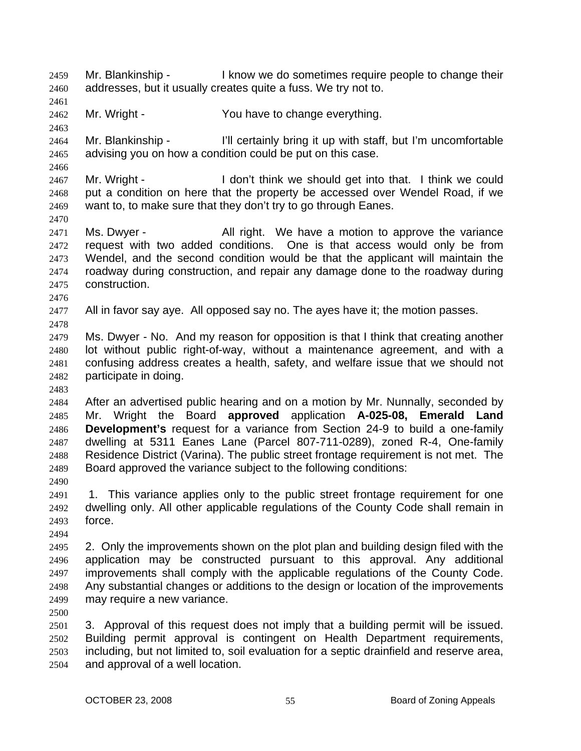Mr. Blankinship - The large vector we do sometimes require people to change their addresses, but it usually creates quite a fuss. We try not to. 2459 2460

2462 Mr. Wright - The You have to change everything.

2464 2465 Mr. Blankinship - I'll certainly bring it up with staff, but I'm uncomfortable advising you on how a condition could be put on this case.

2467 2468 2469 Mr. Wright - I don't think we should get into that. I think we could put a condition on here that the property be accessed over Wendel Road, if we want to, to make sure that they don't try to go through Eanes.

2471 2472 2473 2474 2475 Ms. Dwyer - The All right. We have a motion to approve the variance request with two added conditions. One is that access would only be from Wendel, and the second condition would be that the applicant will maintain the roadway during construction, and repair any damage done to the roadway during construction.

2476

2478

2461

2463

2466

2470

2477 All in favor say aye. All opposed say no. The ayes have it; the motion passes.

2479 2480 2481 2482 Ms. Dwyer - No. And my reason for opposition is that I think that creating another lot without public right-of-way, without a maintenance agreement, and with a confusing address creates a health, safety, and welfare issue that we should not participate in doing.

2483

2484 2485 2486 2487 2488 2489 After an advertised public hearing and on a motion by Mr. Nunnally, seconded by Mr. Wright the Board **approved** application **A-025-08, Emerald Land Development's** request for a variance from Section 24-9 to build a one-family dwelling at 5311 Eanes Lane (Parcel 807-711-0289), zoned R-4, One-family Residence District (Varina). The public street frontage requirement is not met. The Board approved the variance subject to the following conditions:

2491 2492 2493 1. This variance applies only to the public street frontage requirement for one dwelling only. All other applicable regulations of the County Code shall remain in force.

2494

2490

2495 2496 2497 2498 2499 2. Only the improvements shown on the plot plan and building design filed with the application may be constructed pursuant to this approval. Any additional improvements shall comply with the applicable regulations of the County Code. Any substantial changes or additions to the design or location of the improvements may require a new variance.

2500

2501 2502 2503 2504 3. Approval of this request does not imply that a building permit will be issued. Building permit approval is contingent on Health Department requirements, including, but not limited to, soil evaluation for a septic drainfield and reserve area, and approval of a well location.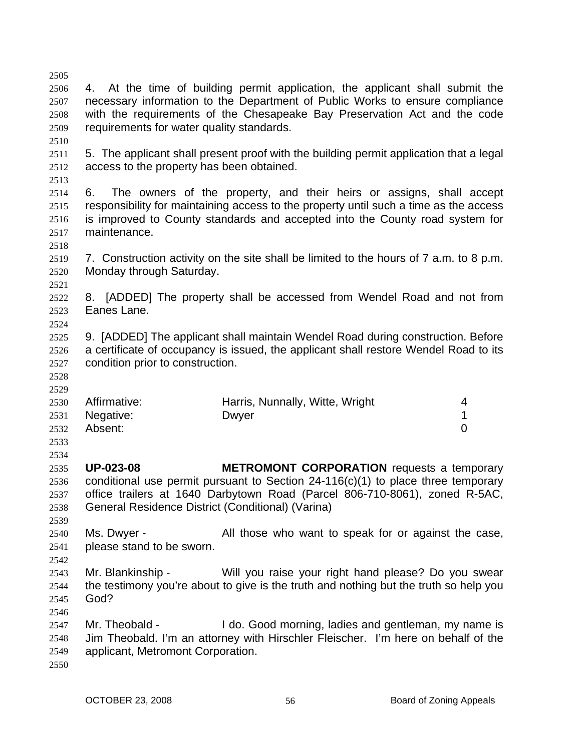2505 2506 2507 2508 2509 2510 2511 2512 2513 2514 2515 2516 2517 2518 2519 2520 2521 2522 2523 2524 2525 2526 2527 2528 2529 2530 2531 2532 2533 2534 2535 2536 2537 2538 2539 2540 2541 2542 2543 2544 2545 2546 2547 2548 2549 2550 4. At the time of building permit application, the applicant shall submit the necessary information to the Department of Public Works to ensure compliance with the requirements of the Chesapeake Bay Preservation Act and the code requirements for water quality standards. 5. The applicant shall present proof with the building permit application that a legal access to the property has been obtained. 6. The owners of the property, and their heirs or assigns, shall accept responsibility for maintaining access to the property until such a time as the access is improved to County standards and accepted into the County road system for maintenance. 7. Construction activity on the site shall be limited to the hours of 7 a.m. to 8 p.m. Monday through Saturday. 8. [ADDED] The property shall be accessed from Wendel Road and not from Eanes Lane. 9. [ADDED] The applicant shall maintain Wendel Road during construction. Before a certificate of occupancy is issued, the applicant shall restore Wendel Road to its condition prior to construction. Affirmative: **Harris, Nunnally, Witte, Wright** 4 Negative: Dwyer 2008 Dwyer 2009 Absent: 0 **UP-023-08 METROMONT CORPORATION** requests a temporary conditional use permit pursuant to Section 24-116(c)(1) to place three temporary office trailers at 1640 Darbytown Road (Parcel 806-710-8061), zoned R-5AC, General Residence District (Conditional) (Varina) Ms. Dwyer - All those who want to speak for or against the case, please stand to be sworn. Mr. Blankinship - Will you raise your right hand please? Do you swear the testimony you're about to give is the truth and nothing but the truth so help you God? Mr. Theobald - **I** do. Good morning, ladies and gentleman, my name is Jim Theobald. I'm an attorney with Hirschler Fleischer. I'm here on behalf of the applicant, Metromont Corporation.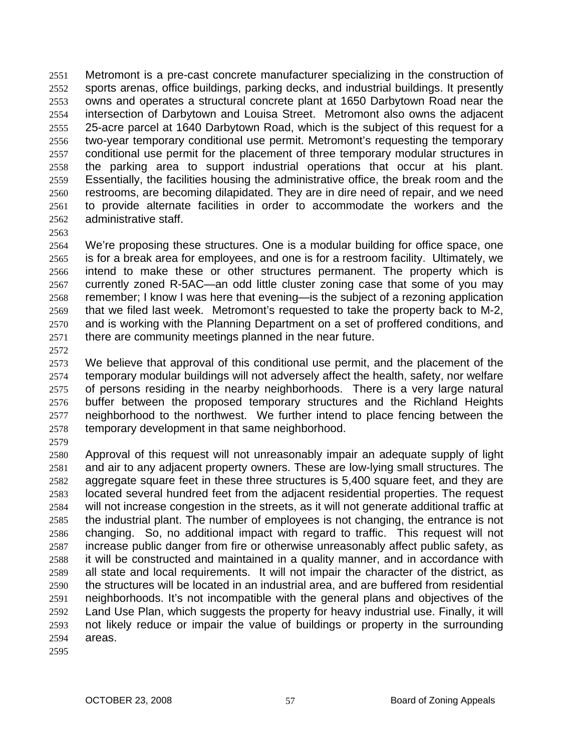Metromont is a pre-cast concrete manufacturer specializing in the construction of sports arenas, office buildings, parking decks, and industrial buildings. It presently owns and operates a structural concrete plant at 1650 Darbytown Road near the intersection of Darbytown and Louisa Street. Metromont also owns the adjacent 25-acre parcel at 1640 Darbytown Road, which is the subject of this request for a two-year temporary conditional use permit. Metromont's requesting the temporary conditional use permit for the placement of three temporary modular structures in the parking area to support industrial operations that occur at his plant. Essentially, the facilities housing the administrative office, the break room and the restrooms, are becoming dilapidated. They are in dire need of repair, and we need to provide alternate facilities in order to accommodate the workers and the administrative staff. 2551 2552 2553 2554 2555 2556 2557 2558 2559 2560 2561 2562

2563

2564 2565 2566 2567 2568 2569 2570 2571 We're proposing these structures. One is a modular building for office space, one is for a break area for employees, and one is for a restroom facility. Ultimately, we intend to make these or other structures permanent. The property which is currently zoned R-5AC—an odd little cluster zoning case that some of you may remember; I know I was here that evening—is the subject of a rezoning application that we filed last week. Metromont's requested to take the property back to M-2, and is working with the Planning Department on a set of proffered conditions, and there are community meetings planned in the near future.

2572

2573 2574 2575 2576 2577 2578 We believe that approval of this conditional use permit, and the placement of the temporary modular buildings will not adversely affect the health, safety, nor welfare of persons residing in the nearby neighborhoods. There is a very large natural buffer between the proposed temporary structures and the Richland Heights neighborhood to the northwest. We further intend to place fencing between the temporary development in that same neighborhood.

2579

2580 2581 2582 2583 2584 2585 2586 2587 2588 2589 2590 2591 2592 2593 2594 Approval of this request will not unreasonably impair an adequate supply of light and air to any adjacent property owners. These are low-lying small structures. The aggregate square feet in these three structures is 5,400 square feet, and they are located several hundred feet from the adjacent residential properties. The request will not increase congestion in the streets, as it will not generate additional traffic at the industrial plant. The number of employees is not changing, the entrance is not changing. So, no additional impact with regard to traffic. This request will not increase public danger from fire or otherwise unreasonably affect public safety, as it will be constructed and maintained in a quality manner, and in accordance with all state and local requirements. It will not impair the character of the district, as the structures will be located in an industrial area, and are buffered from residential neighborhoods. It's not incompatible with the general plans and objectives of the Land Use Plan, which suggests the property for heavy industrial use. Finally, it will not likely reduce or impair the value of buildings or property in the surrounding areas.

2595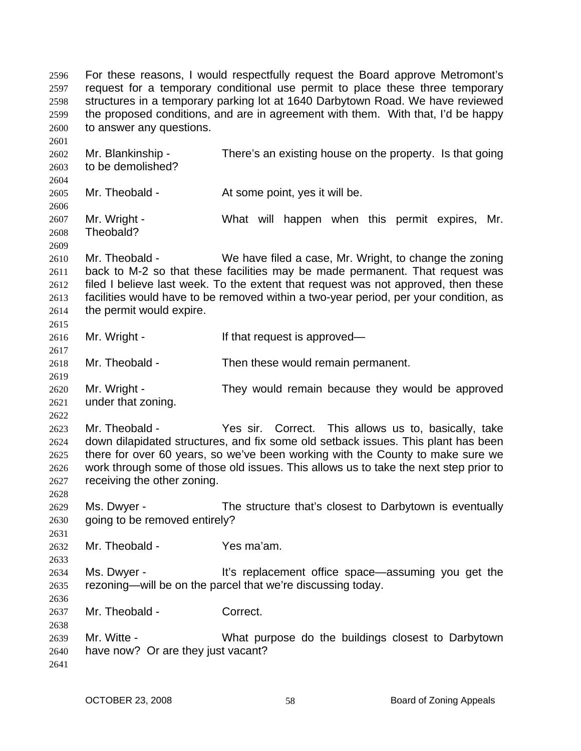For these reasons, I would respectfully request the Board approve Metromont's request for a temporary conditional use permit to place these three temporary structures in a temporary parking lot at 1640 Darbytown Road. We have reviewed the proposed conditions, and are in agreement with them. With that, I'd be happy to answer any questions. 2596 2597 2598 2599 2600 2601

2602 2603 2604 Mr. Blankinship - There's an existing house on the property. Is that going to be demolished?

2605 Mr. Theobald - At some point, yes it will be.

2607 2608 Mr. Wright - The Must will happen when this permit expires, Mr. Theobald?

2610 2611 2612 2613 2614 2615 Mr. Theobald - We have filed a case, Mr. Wright, to change the zoning back to M-2 so that these facilities may be made permanent. That request was filed I believe last week. To the extent that request was not approved, then these facilities would have to be removed within a two-year period, per your condition, as the permit would expire.

2616 Mr. Wright - The If that request is approved—

2618 Mr. Theobald - Then these would remain permanent.

2620 2621 Mr. Wright - They would remain because they would be approved under that zoning.

2623 2624 2625 2626 2627 Mr. Theobald - The Yes sir. Correct. This allows us to, basically, take down dilapidated structures, and fix some old setback issues. This plant has been there for over 60 years, so we've been working with the County to make sure we work through some of those old issues. This allows us to take the next step prior to receiving the other zoning.

2629 2630 Ms. Dwyer - The structure that's closest to Darbytown is eventually going to be removed entirely?

2632 Mr. Theobald - Yes ma'am.

2634 2635 Ms. Dwyer - It's replacement office space—assuming you get the rezoning—will be on the parcel that we're discussing today.

2637 Mr. Theobald - Correct.

2639 2640 Mr. Witte - What purpose do the buildings closest to Darbytown have now? Or are they just vacant?

2641

2606

2609

2617

2619

2622

2628

2631

2633

2636

2638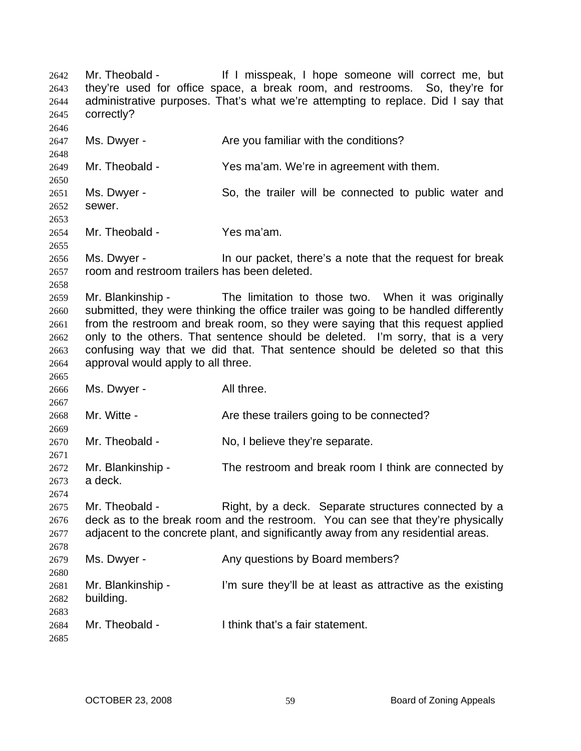Mr. Theobald - Theore of If I misspeak, I hope someone will correct me, but they're used for office space, a break room, and restrooms. So, they're for administrative purposes. That's what we're attempting to replace. Did I say that correctly? 2642 2643 2644 2645 2646 2647 2648 2649 2650 2651 2652 2653 2654 2655 2656 2657 2658 2659 2660 2661 2662 2663 2664 2665 2666 2667 2668 2669 2670 2671 2672 2673 2674 2675 2676 2677 2678 2679 2680 2681 2682 2683 2684 2685 Ms. Dwyer - The Mare you familiar with the conditions? Mr. Theobald - Yes ma'am. We're in agreement with them. Ms. Dwyer - So, the trailer will be connected to public water and sewer. Mr. Theobald - Yes ma'am. Ms. Dwyer - In our packet, there's a note that the request for break room and restroom trailers has been deleted. Mr. Blankinship - The limitation to those two. When it was originally submitted, they were thinking the office trailer was going to be handled differently from the restroom and break room, so they were saying that this request applied only to the others. That sentence should be deleted. I'm sorry, that is a very confusing way that we did that. That sentence should be deleted so that this approval would apply to all three. Ms. Dwyer - All three. Mr. Witte - The Are these trailers going to be connected? Mr. Theobald - No, I believe they're separate. Mr. Blankinship - The restroom and break room I think are connected by a deck. Mr. Theobald - Right, by a deck. Separate structures connected by a deck as to the break room and the restroom. You can see that they're physically adjacent to the concrete plant, and significantly away from any residential areas. Ms. Dwyer - Any questions by Board members? Mr. Blankinship - I'm sure they'll be at least as attractive as the existing building. Mr. Theobald - I think that's a fair statement.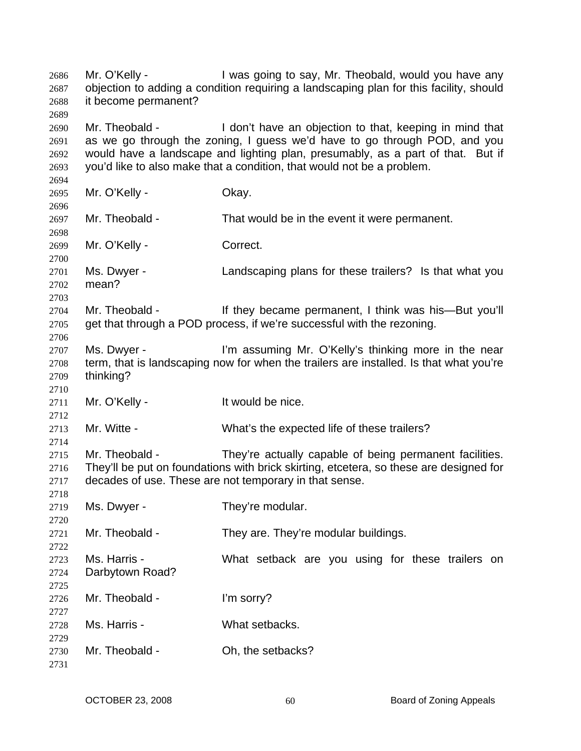Mr. O'Kelly - I was going to say, Mr. Theobald, would you have any objection to adding a condition requiring a landscaping plan for this facility, should it become permanent? Mr. Theobald - I don't have an objection to that, keeping in mind that as we go through the zoning, I guess we'd have to go through POD, and you would have a landscape and lighting plan, presumably, as a part of that. But if you'd like to also make that a condition, that would not be a problem. Mr. O'Kelly - Ckay. Mr. Theobald - That would be in the event it were permanent. Mr. O'Kelly - Correct. Ms. Dwyer - Landscaping plans for these trailers? Is that what you mean? Mr. Theobald - If they became permanent, I think was his—But you'll get that through a POD process, if we're successful with the rezoning. Ms. Dwyer - I'm assuming Mr. O'Kelly's thinking more in the near term, that is landscaping now for when the trailers are installed. Is that what you're thinking? Mr. O'Kelly - It would be nice. Mr. Witte - What's the expected life of these trailers? Mr. Theobald - They're actually capable of being permanent facilities. They'll be put on foundations with brick skirting, etcetera, so these are designed for decades of use. These are not temporary in that sense. Ms. Dwyer - They're modular. Mr. Theobald - They are. They're modular buildings. Ms. Harris - The Must setback are you using for these trailers on Darbytown Road? Mr. Theobald - I'm sorry? Ms. Harris - What setbacks. Mr. Theobald - Ch, the setbacks?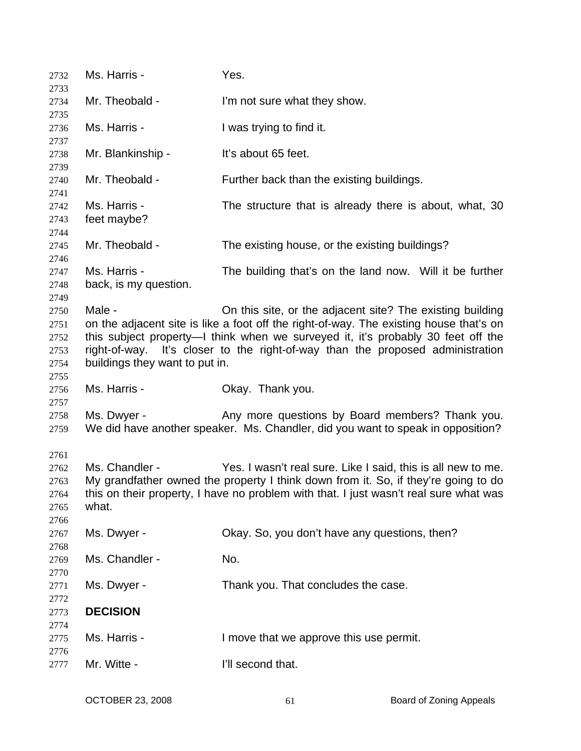| 2732<br>2733                                 | Ms. Harris -                             | Yes.                                                                                                                                                                                                                                                                                                                      |
|----------------------------------------------|------------------------------------------|---------------------------------------------------------------------------------------------------------------------------------------------------------------------------------------------------------------------------------------------------------------------------------------------------------------------------|
| 2734                                         | Mr. Theobald -                           | I'm not sure what they show.                                                                                                                                                                                                                                                                                              |
| 2735<br>2736<br>2737                         | Ms. Harris -                             | I was trying to find it.                                                                                                                                                                                                                                                                                                  |
| 2738<br>2739                                 | Mr. Blankinship -                        | It's about 65 feet.                                                                                                                                                                                                                                                                                                       |
| 2740<br>2741                                 | Mr. Theobald -                           | Further back than the existing buildings.                                                                                                                                                                                                                                                                                 |
| 2742<br>2743<br>2744                         | Ms. Harris -<br>feet maybe?              | The structure that is already there is about, what, 30                                                                                                                                                                                                                                                                    |
| 2745                                         | Mr. Theobald -                           | The existing house, or the existing buildings?                                                                                                                                                                                                                                                                            |
| 2746<br>2747<br>2748<br>2749                 | Ms. Harris -<br>back, is my question.    | The building that's on the land now. Will it be further                                                                                                                                                                                                                                                                   |
| 2750<br>2751<br>2752<br>2753<br>2754<br>2755 | Male -<br>buildings they want to put in. | On this site, or the adjacent site? The existing building<br>on the adjacent site is like a foot off the right-of-way. The existing house that's on<br>this subject property—I think when we surveyed it, it's probably 30 feet off the<br>right-of-way. It's closer to the right-of-way than the proposed administration |
| 2756                                         | Ms. Harris -                             | Okay. Thank you.                                                                                                                                                                                                                                                                                                          |
| 2757<br>2758<br>2759                         | Ms. Dwyer -                              | Any more questions by Board members? Thank you.<br>We did have another speaker. Ms. Chandler, did you want to speak in opposition?                                                                                                                                                                                        |
| 2761<br>2762<br>2763<br>2764<br>2765<br>2766 | Ms. Chandler -<br>what.                  | Yes. I wasn't real sure. Like I said, this is all new to me.<br>My grandfather owned the property I think down from it. So, if they're going to do<br>this on their property, I have no problem with that. I just wasn't real sure what was                                                                               |
| 2767                                         | Ms. Dwyer -                              | Okay. So, you don't have any questions, then?                                                                                                                                                                                                                                                                             |
| 2768<br>2769<br>2770                         | Ms. Chandler -                           | No.                                                                                                                                                                                                                                                                                                                       |
| 2771<br>2772                                 | Ms. Dwyer -                              | Thank you. That concludes the case.                                                                                                                                                                                                                                                                                       |
| 2773<br>2774                                 | <b>DECISION</b>                          |                                                                                                                                                                                                                                                                                                                           |
| 2775<br>2776                                 | Ms. Harris -                             | I move that we approve this use permit.                                                                                                                                                                                                                                                                                   |
| 2777                                         | Mr. Witte -                              | I'll second that.                                                                                                                                                                                                                                                                                                         |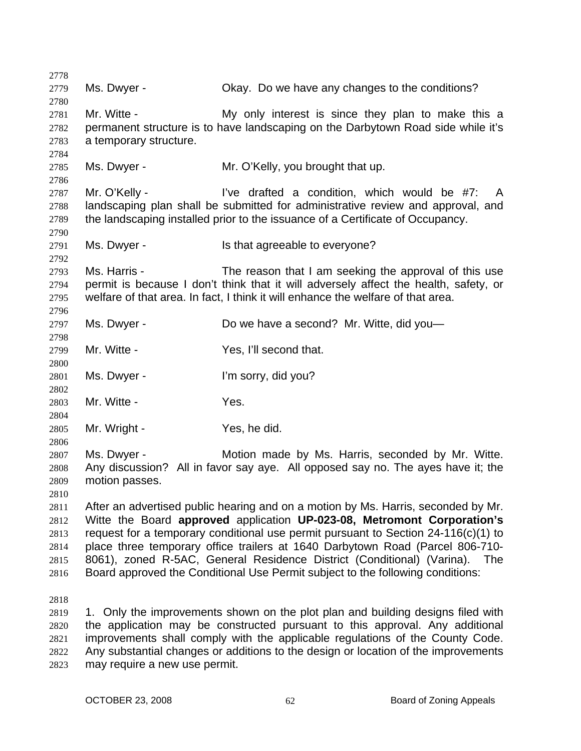| 2778         |                        |                                                                                      |
|--------------|------------------------|--------------------------------------------------------------------------------------|
| 2779         | Ms. Dwyer -            | Okay. Do we have any changes to the conditions?                                      |
| 2780         |                        |                                                                                      |
| 2781         | Mr. Witte -            | My only interest is since they plan to make this a                                   |
| 2782         |                        | permanent structure is to have landscaping on the Darbytown Road side while it's     |
| 2783         | a temporary structure. |                                                                                      |
| 2784         |                        |                                                                                      |
| 2785         | Ms. Dwyer -            | Mr. O'Kelly, you brought that up.                                                    |
| 2786         |                        |                                                                                      |
| 2787         | Mr. O'Kelly -          | I've drafted a condition, which would be #7:<br>$\mathsf{A}$                         |
| 2788         |                        | landscaping plan shall be submitted for administrative review and approval, and      |
| 2789         |                        | the landscaping installed prior to the issuance of a Certificate of Occupancy.       |
| 2790         |                        |                                                                                      |
| 2791         | Ms. Dwyer -            | Is that agreeable to everyone?                                                       |
| 2792<br>2793 | Ms. Harris -           | The reason that I am seeking the approval of this use                                |
| 2794         |                        | permit is because I don't think that it will adversely affect the health, safety, or |
| 2795         |                        | welfare of that area. In fact, I think it will enhance the welfare of that area.     |
| 2796         |                        |                                                                                      |
| 2797         | Ms. Dwyer -            | Do we have a second? Mr. Witte, did you-                                             |
| 2798         |                        |                                                                                      |
| 2799         | Mr. Witte -            | Yes, I'll second that.                                                               |
| 2800         |                        |                                                                                      |
| 2801         | Ms. Dwyer -            | I'm sorry, did you?                                                                  |
| 2802         |                        |                                                                                      |
| 2803         | Mr. Witte -            | Yes.                                                                                 |
| 2804         |                        |                                                                                      |
| 2805         | Mr. Wright -           | Yes, he did.                                                                         |
| 2806         |                        |                                                                                      |
| 2807         | Ms. Dwyer -            | Motion made by Ms. Harris, seconded by Mr. Witte.                                    |
| 2808         |                        | Any discussion? All in favor say aye. All opposed say no. The ayes have it; the      |
| 2809         | motion passes.         |                                                                                      |
| 2810         |                        |                                                                                      |
| 2811         |                        | After an advertised public hearing and on a motion by Ms. Harris, seconded by Mr.    |
| 2812         |                        | Witte the Board approved application UP-023-08, Metromont Corporation's              |
| 2813         |                        | request for a temporary conditional use permit pursuant to Section 24-116(c)(1) to   |
| 2814         |                        | place three temporary office trailers at 1640 Darbytown Road (Parcel 806-710-        |
| 2815         |                        | 8061), zoned R-5AC, General Residence District (Conditional) (Varina).<br>The        |
| 2816         |                        | Board approved the Conditional Use Permit subject to the following conditions:       |
| 2818         |                        |                                                                                      |
| 2819         |                        | 1. Only the improvements shown on the plot plan and building designs filed with      |
| 2820         |                        | the application may be constructed pursuant to this approval. Any additional         |
| 2821         |                        | improvements shall comply with the applicable regulations of the County Code.        |

may require a new use permit.

2822 2823 Any substantial changes or additions to the design or location of the improvements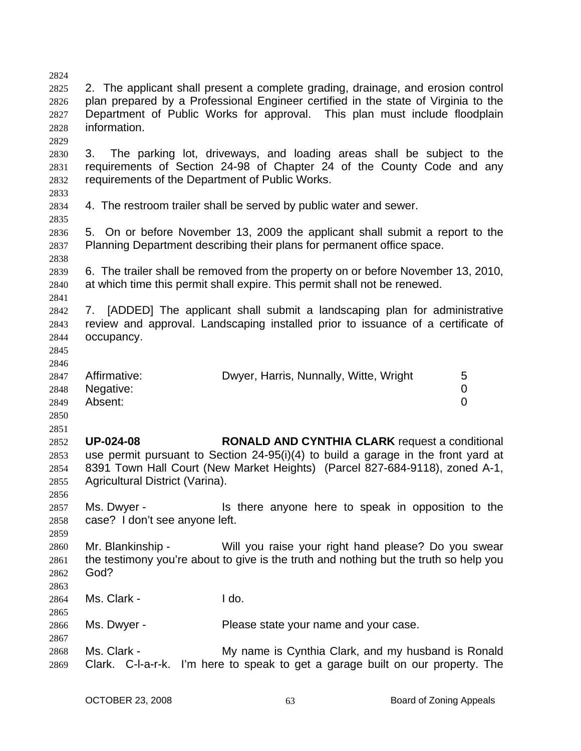2824 2825 2826 2827 2828 2829 2830 2831 2832 2833 2834 2835 2836 2837 2838 2839 2840 2841 2842 2843 2844 2845 2846 2847 2848 2849 2850 2851 2852 2853 2854 2855 2856 2857 2858 2859 2860 2861 2862 2863 2864 2865 2866 2867 2868 2869 2. The applicant shall present a complete grading, drainage, and erosion control plan prepared by a Professional Engineer certified in the state of Virginia to the Department of Public Works for approval. This plan must include floodplain information. 3. The parking lot, driveways, and loading areas shall be subject to the requirements of Section 24-98 of Chapter 24 of the County Code and any requirements of the Department of Public Works. 4. The restroom trailer shall be served by public water and sewer. 5. On or before November 13, 2009 the applicant shall submit a report to the Planning Department describing their plans for permanent office space. 6. The trailer shall be removed from the property on or before November 13, 2010, at which time this permit shall expire. This permit shall not be renewed. 7. [ADDED] The applicant shall submit a landscaping plan for administrative review and approval. Landscaping installed prior to issuance of a certificate of occupancy. Affirmative: **Dwyer, Harris, Nunnally, Witte, Wright** 5 Negative: 0 Absent: 0 **UP-024-08 RONALD AND CYNTHIA CLARK** request a conditional use permit pursuant to Section 24-95(i)(4) to build a garage in the front yard at 8391 Town Hall Court (New Market Heights) (Parcel 827-684-9118), zoned A-1, Agricultural District (Varina). Ms. Dwyer - Is there anyone here to speak in opposition to the case? I don't see anyone left. Mr. Blankinship - Will you raise your right hand please? Do you swear the testimony you're about to give is the truth and nothing but the truth so help you God? Ms. Clark - I do. Ms. Dwyer - Please state your name and your case. Ms. Clark - My name is Cynthia Clark, and my husband is Ronald Clark. C-l-a-r-k. I'm here to speak to get a garage built on our property. The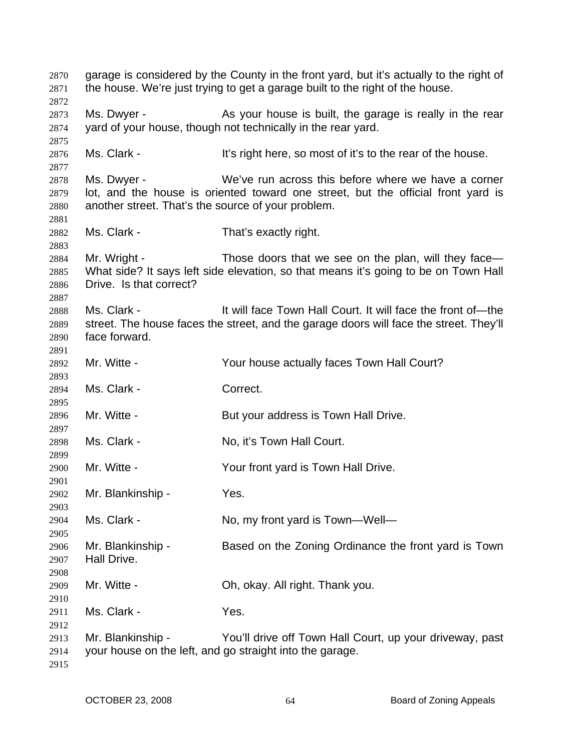garage is considered by the County in the front yard, but it's actually to the right of the house. We're just trying to get a garage built to the right of the house. Ms. Dwyer - As your house is built, the garage is really in the rear yard of your house, though not technically in the rear yard. Ms. Clark - The state of it's right here, so most of it's to the rear of the house. Ms. Dwyer - We've run across this before where we have a corner lot, and the house is oriented toward one street, but the official front yard is another street. That's the source of your problem. Ms. Clark - That's exactly right. Mr. Wright - Those doors that we see on the plan, will they face— What side? It says left side elevation, so that means it's going to be on Town Hall Drive. Is that correct? Ms. Clark - It will face Town Hall Court. It will face the front of—the street. The house faces the street, and the garage doors will face the street. They'll face forward. Mr. Witte - The Sour house actually faces Town Hall Court? Ms. Clark - Correct. Mr. Witte - **But your address is Town Hall Drive.** Ms. Clark - No. it's Town Hall Court. Mr. Witte - Your front yard is Town Hall Drive. Mr. Blankinship - Yes. Ms. Clark - No, my front yard is Town—Well— Mr. Blankinship - Based on the Zoning Ordinance the front yard is Town Hall Drive. Mr. Witte - Ch. okay. All right. Thank you. Ms. Clark - Yes. Mr. Blankinship - You'll drive off Town Hall Court, up your driveway, past your house on the left, and go straight into the garage.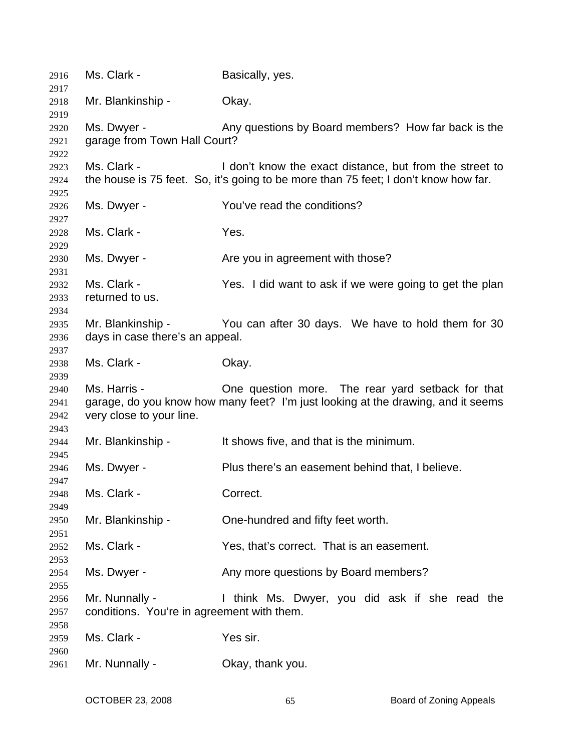| 2916         | Ms. Clark -                                | Basically, yes.                                                                     |
|--------------|--------------------------------------------|-------------------------------------------------------------------------------------|
| 2917         | Mr. Blankinship -                          |                                                                                     |
| 2918<br>2919 |                                            | Okay.                                                                               |
| 2920         | Ms. Dwyer -                                | Any questions by Board members? How far back is the                                 |
| 2921         | garage from Town Hall Court?               |                                                                                     |
| 2922         |                                            |                                                                                     |
| 2923         | Ms. Clark -                                | I don't know the exact distance, but from the street to                             |
| 2924         |                                            | the house is 75 feet. So, it's going to be more than 75 feet; I don't know how far. |
| 2925         |                                            |                                                                                     |
| 2926         | Ms. Dwyer -                                | You've read the conditions?                                                         |
| 2927         |                                            |                                                                                     |
| 2928         | Ms. Clark -                                | Yes.                                                                                |
| 2929         |                                            |                                                                                     |
| 2930         | Ms. Dwyer -                                | Are you in agreement with those?                                                    |
| 2931         |                                            |                                                                                     |
| 2932         | Ms. Clark -                                | Yes. I did want to ask if we were going to get the plan                             |
| 2933         | returned to us.                            |                                                                                     |
| 2934         |                                            |                                                                                     |
| 2935         | Mr. Blankinship -                          | You can after 30 days. We have to hold them for 30                                  |
| 2936         | days in case there's an appeal.            |                                                                                     |
| 2937         |                                            |                                                                                     |
| 2938         | Ms. Clark -                                | Okay.                                                                               |
| 2939         |                                            |                                                                                     |
| 2940         | Ms. Harris -                               | One question more. The rear yard setback for that                                   |
| 2941         |                                            | garage, do you know how many feet? I'm just looking at the drawing, and it seems    |
| 2942         | very close to your line.                   |                                                                                     |
| 2943<br>2944 | Mr. Blankinship -                          | It shows five, and that is the minimum.                                             |
| 2945         |                                            |                                                                                     |
| 2946         | Ms. Dwyer -                                | Plus there's an easement behind that, I believe.                                    |
| 2947         |                                            |                                                                                     |
| 2948         | Ms. Clark -                                | Correct.                                                                            |
| 2949         |                                            |                                                                                     |
| 2950         | Mr. Blankinship -                          | One-hundred and fifty feet worth.                                                   |
| 2951         |                                            |                                                                                     |
| 2952         | Ms. Clark -                                | Yes, that's correct. That is an easement.                                           |
| 2953         |                                            |                                                                                     |
| 2954         | Ms. Dwyer -                                | Any more questions by Board members?                                                |
| 2955         |                                            |                                                                                     |
| 2956         | Mr. Nunnally -                             | I think Ms. Dwyer, you did ask if she read the                                      |
| 2957         | conditions. You're in agreement with them. |                                                                                     |
| 2958         |                                            |                                                                                     |
| 2959         | Ms. Clark -                                | Yes sir.                                                                            |
| 2960         |                                            |                                                                                     |
| 2961         | Mr. Nunnally -                             | Okay, thank you.                                                                    |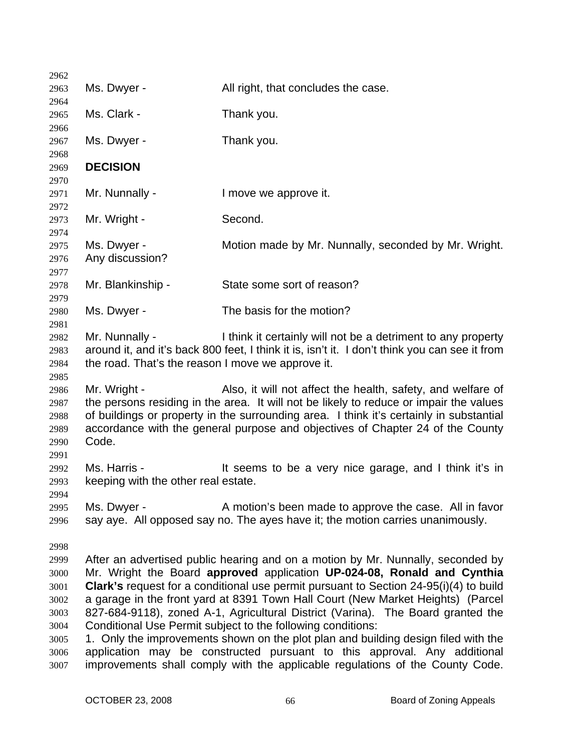| 2962         |                                                                                                                                                                         |                                                                                               |
|--------------|-------------------------------------------------------------------------------------------------------------------------------------------------------------------------|-----------------------------------------------------------------------------------------------|
| 2963         | Ms. Dwyer -                                                                                                                                                             | All right, that concludes the case.                                                           |
| 2964         |                                                                                                                                                                         |                                                                                               |
| 2965         | Ms. Clark -                                                                                                                                                             | Thank you.                                                                                    |
| 2966<br>2967 | Ms. Dwyer -                                                                                                                                                             | Thank you.                                                                                    |
| 2968         |                                                                                                                                                                         |                                                                                               |
| 2969         | <b>DECISION</b>                                                                                                                                                         |                                                                                               |
| 2970         |                                                                                                                                                                         |                                                                                               |
| 2971         | Mr. Nunnally -                                                                                                                                                          | I move we approve it.                                                                         |
| 2972         |                                                                                                                                                                         |                                                                                               |
| 2973         | Mr. Wright -                                                                                                                                                            | Second.                                                                                       |
| 2974         |                                                                                                                                                                         |                                                                                               |
| 2975         | Ms. Dwyer -                                                                                                                                                             | Motion made by Mr. Nunnally, seconded by Mr. Wright.                                          |
| 2976         | Any discussion?                                                                                                                                                         |                                                                                               |
| 2977         |                                                                                                                                                                         |                                                                                               |
| 2978         | Mr. Blankinship -                                                                                                                                                       | State some sort of reason?                                                                    |
| 2979         |                                                                                                                                                                         |                                                                                               |
| 2980         | Ms. Dwyer -                                                                                                                                                             | The basis for the motion?                                                                     |
| 2981         |                                                                                                                                                                         |                                                                                               |
| 2982         | Mr. Nunnally -                                                                                                                                                          | I think it certainly will not be a detriment to any property                                  |
| 2983         |                                                                                                                                                                         | around it, and it's back 800 feet, I think it is, isn't it. I don't think you can see it from |
| 2984         | the road. That's the reason I move we approve it.                                                                                                                       |                                                                                               |
| 2985         |                                                                                                                                                                         |                                                                                               |
| 2986         | Mr. Wright -                                                                                                                                                            | Also, it will not affect the health, safety, and welfare of                                   |
| 2987         |                                                                                                                                                                         | the persons residing in the area. It will not be likely to reduce or impair the values        |
| 2988         |                                                                                                                                                                         | of buildings or property in the surrounding area. I think it's certainly in substantial       |
| 2989         |                                                                                                                                                                         | accordance with the general purpose and objectives of Chapter 24 of the County                |
| 2990         | Code.                                                                                                                                                                   |                                                                                               |
| 2991         |                                                                                                                                                                         |                                                                                               |
| 2992         | Ms. Harris -                                                                                                                                                            | It seems to be a very nice garage, and I think it's in                                        |
| 2993         | keeping with the other real estate.                                                                                                                                     |                                                                                               |
| 2994         |                                                                                                                                                                         |                                                                                               |
| 2995         | Ms. Dwyer -                                                                                                                                                             | A motion's been made to approve the case. All in favor                                        |
| 2996         |                                                                                                                                                                         | say aye. All opposed say no. The ayes have it; the motion carries unanimously.                |
| 2998         |                                                                                                                                                                         |                                                                                               |
| 2999         |                                                                                                                                                                         | After an advertised public hearing and on a motion by Mr. Nunnally, seconded by               |
| 3000         |                                                                                                                                                                         |                                                                                               |
| 3001         | Mr. Wright the Board approved application UP-024-08, Ronald and Cynthia<br><b>Clark's</b> request for a conditional use permit pursuant to Section 24-95(i)(4) to build |                                                                                               |
| 3002         |                                                                                                                                                                         | a garage in the front yard at 8391 Town Hall Court (New Market Heights) (Parcel               |
| 3003         |                                                                                                                                                                         | 827-684-9118), zoned A-1, Agricultural District (Varina). The Board granted the               |
| 3004         |                                                                                                                                                                         | Conditional Use Permit subject to the following conditions:                                   |
| 3005         |                                                                                                                                                                         | 1. Only the improvements shown on the plot plan and building design filed with the            |
| 3006         |                                                                                                                                                                         | application may be constructed pursuant to this approval. Any additional                      |
| 3007         |                                                                                                                                                                         | improvements shall comply with the applicable regulations of the County Code.                 |
|              |                                                                                                                                                                         |                                                                                               |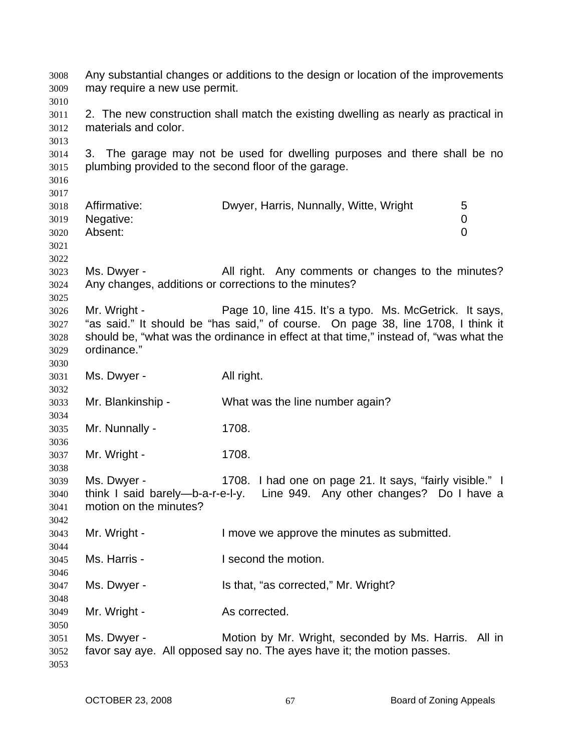Any substantial changes or additions to the design or location of the improvements may require a new use permit. 2. The new construction shall match the existing dwelling as nearly as practical in materials and color. 3. The garage may not be used for dwelling purposes and there shall be no plumbing provided to the second floor of the garage. Affirmative: **Dwyer, Harris, Nunnally, Witte, Wright** 5 Negative: 0 Absent: 0 Ms. Dwyer - All right. Any comments or changes to the minutes? Any changes, additions or corrections to the minutes? Mr. Wright - Page 10, line 415. It's a typo. Ms. McGetrick. It says, "as said." It should be "has said," of course. On page 38, line 1708, I think it should be, "what was the ordinance in effect at that time," instead of, "was what the ordinance." Ms. Dwyer - All right. Mr. Blankinship - What was the line number again? Mr. Nunnally - 1708. Mr. Wright - 1708. Ms. Dwyer - 1708. I had one on page 21. It says, "fairly visible." I think I said barely—b-a-r-e-l-y. Line 949. Any other changes? Do I have a motion on the minutes? Mr. Wright - The Muslim and the move we approve the minutes as submitted. Ms. Harris - The Muslim I second the motion. Ms. Dwyer - Is that, "as corrected," Mr. Wright? Mr. Wright - As corrected. Ms. Dwyer - The Motion by Mr. Wright, seconded by Ms. Harris. All in favor say aye. All opposed say no. The ayes have it; the motion passes.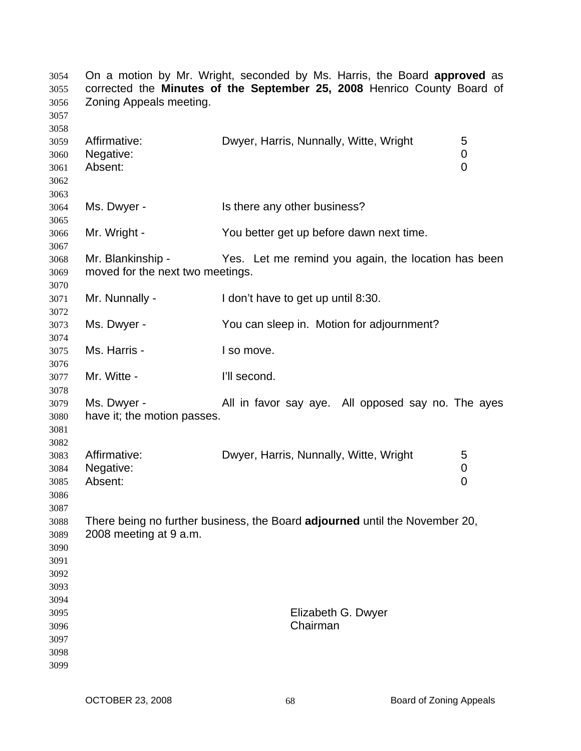| 3054<br>3055<br>3056<br>3057                         | On a motion by Mr. Wright, seconded by Ms. Harris, the Board approved as<br>corrected the Minutes of the September 25, 2008 Henrico County Board of<br>Zoning Appeals meeting. |                                                     |                          |
|------------------------------------------------------|--------------------------------------------------------------------------------------------------------------------------------------------------------------------------------|-----------------------------------------------------|--------------------------|
| 3058<br>3059<br>3060<br>3061<br>3062                 | Affirmative:<br>Negative:<br>Absent:                                                                                                                                           | Dwyer, Harris, Nunnally, Witte, Wright              | 5<br>0<br>$\overline{0}$ |
| 3063<br>3064<br>3065                                 | Ms. Dwyer -                                                                                                                                                                    | Is there any other business?                        |                          |
| 3066<br>3067                                         | Mr. Wright -                                                                                                                                                                   | You better get up before dawn next time.            |                          |
| 3068<br>3069<br>3070                                 | Mr. Blankinship -<br>moved for the next two meetings.                                                                                                                          | Yes. Let me remind you again, the location has been |                          |
| 3071<br>3072                                         | Mr. Nunnally -                                                                                                                                                                 | I don't have to get up until 8:30.                  |                          |
| 3073<br>3074                                         | Ms. Dwyer -                                                                                                                                                                    | You can sleep in. Motion for adjournment?           |                          |
| 3075<br>3076                                         | Ms. Harris -                                                                                                                                                                   | I so move.                                          |                          |
| 3077<br>3078                                         | Mr. Witte -                                                                                                                                                                    | I'll second.                                        |                          |
| 3079<br>3080<br>3081                                 | Ms. Dwyer -<br>have it; the motion passes.                                                                                                                                     | All in favor say aye. All opposed say no. The ayes  |                          |
| 3082<br>3083<br>3084<br>3085<br>3086                 | Affirmative:<br>Negative:<br>Absent:                                                                                                                                           | Dwyer, Harris, Nunnally, Witte, Wright              | 5<br>0<br>0              |
| 3087<br>3088<br>3089<br>3090<br>3091<br>3092         | There being no further business, the Board adjourned until the November 20,<br>2008 meeting at 9 a.m.                                                                          |                                                     |                          |
| 3093<br>3094<br>3095<br>3096<br>3097<br>3098<br>3099 |                                                                                                                                                                                | Elizabeth G. Dwyer<br>Chairman                      |                          |